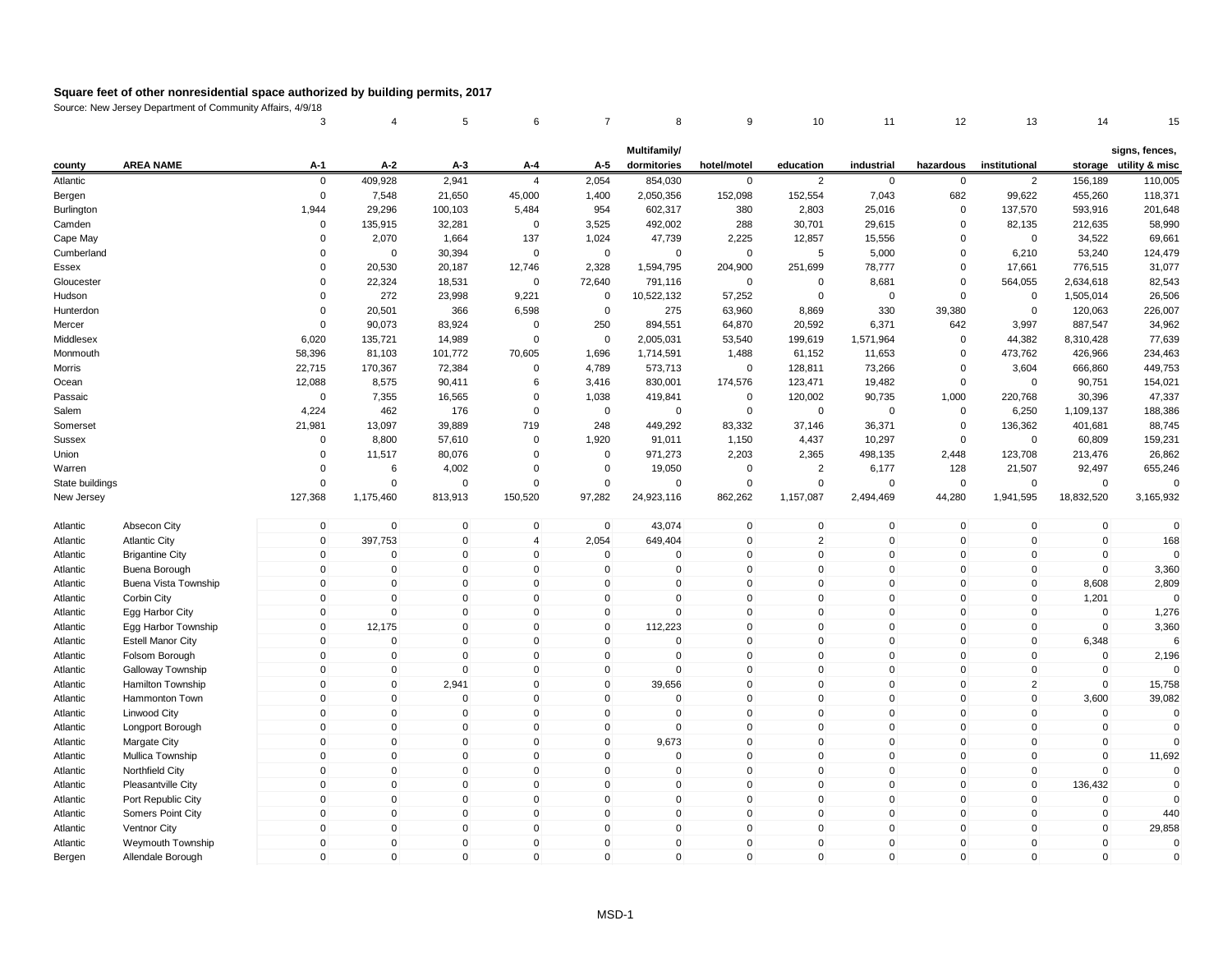|                 |                          | 3                   | 4            | 5            | 6                   | $\overline{7}$      | 8              | 9            | 10             | 11          | 12                  | 13             | 14          | 15                     |
|-----------------|--------------------------|---------------------|--------------|--------------|---------------------|---------------------|----------------|--------------|----------------|-------------|---------------------|----------------|-------------|------------------------|
|                 |                          |                     |              |              |                     |                     | Multifamily/   |              |                |             |                     |                |             | signs, fences,         |
| county          | <b>AREA NAME</b>         | A-1                 | A-2          | $A-3$        | A-4                 | A-5                 | dormitories    | hotel/motel  | education      | industrial  | hazardous           | institutional  |             | storage utility & misc |
| Atlantic        |                          | $\mathbf 0$         | 409,928      | 2,941        | $\overline{4}$      | 2,054               | 854,030        | $\mathbf 0$  | $\overline{2}$ | $\mathbf 0$ | 0                   | $\overline{2}$ | 156,189     | 110,005                |
| Bergen          |                          | $\Omega$            | 7,548        | 21,650       | 45,000              | 1,400               | 2,050,356      | 152,098      | 152,554        | 7,043       | 682                 | 99,622         | 455,260     | 118,371                |
| Burlington      |                          | 1,944               | 29,296       | 100,103      | 5,484               | 954                 | 602,317        | 380          | 2,803          | 25,016      | $\mathbf 0$         | 137,570        | 593,916     | 201,648                |
| Camden          |                          | $\mathbf 0$         | 135,915      | 32,281       | 0                   | 3,525               | 492,002        | 288          | 30,701         | 29,615      | 0                   | 82,135         | 212,635     | 58,990                 |
| Cape May        |                          | $\Omega$            | 2,070        | 1,664        | 137                 | 1,024               | 47,739         | 2,225        | 12,857         | 15,556      | $\Omega$            | 0              | 34,522      | 69,661                 |
| Cumberland      |                          | $\Omega$            | $\mathbf 0$  | 30,394       | $\Omega$            | $\mathbf 0$         | $\mathbf 0$    | $\mathsf 0$  | 5              | 5,000       | $\Omega$            | 6,210          | 53,240      | 124,479                |
| Essex           |                          | $\Omega$            | 20,530       | 20,187       | 12,746              | 2,328               | 1,594,795      | 204,900      | 251,699        | 78,777      | $\Omega$            | 17,661         | 776,515     | 31,077                 |
| Gloucester      |                          | $\Omega$            | 22,324       | 18,531       | $\mathbf 0$         | 72,640              | 791,116        | $\mathbf 0$  | $\mathbf 0$    | 8,681       | 0                   | 564,055        | 2,634,618   | 82,543                 |
| Hudson          |                          | $\Omega$            | 272          | 23,998       | 9,221               | 0                   | 10,522,132     | 57,252       | $\Omega$       | $\mathbf 0$ | $\Omega$            | $\mathbf 0$    | 1,505,014   | 26,506                 |
| Hunterdon       |                          | $\mathbf 0$         | 20,501       | 366          | 6,598               | $\mathbf 0$         | 275            | 63,960       | 8,869          | 330         | 39,380              | $\mathbf 0$    | 120,063     | 226,007                |
| Mercer          |                          | 0                   | 90,073       | 83,924       | 0                   | 250                 | 894,551        | 64,870       | 20,592         | 6,371       | 642                 | 3,997          | 887,547     | 34,962                 |
| Middlesex       |                          | 6,020               | 135,721      | 14,989       | $\mathbf 0$         | $\mathbf 0$         | 2,005,031      | 53,540       | 199,619        | 1,571,964   | $\mathbf 0$         | 44,382         | 8,310,428   | 77,639                 |
| Monmouth        |                          | 58,396              | 81,103       | 101,772      | 70,605              | 1,696               | 1,714,591      | 1,488        | 61,152         | 11,653      | $\Omega$            | 473,762        | 426,966     | 234,463                |
| Morris          |                          | 22,715              | 170,367      | 72,384       | $\mathbf 0$         | 4,789               | 573,713        | $\mathbf 0$  | 128,811        | 73,266      | 0                   | 3,604          | 666,860     | 449,753                |
| Ocean           |                          | 12,088              | 8,575        | 90,411       | 6                   | 3,416               | 830,001        | 174,576      | 123,471        | 19,482      | $\mathbf 0$         | $\mathbf 0$    | 90,751      | 154,021                |
| Passaic         |                          | $\mathbf 0$         | 7,355        | 16,565       | $\mathbf 0$         | 1,038               | 419,841        | $\mathbf 0$  | 120,002        | 90,735      | 1,000               | 220,768        | 30,396      | 47,337                 |
| Salem           |                          | 4,224               | 462          | 176          | $\mathbf 0$         | $\mathbf 0$         | $\overline{0}$ | $\mathbf 0$  | $\mathbf 0$    | $\mathbf 0$ | 0                   | 6,250          | 1,109,137   | 188,386                |
| Somerset        |                          | 21,981              | 13,097       | 39,889       | 719                 | 248                 | 449,292        | 83,332       | 37,146         | 36,371      | $\pmb{0}$           | 136,362        | 401,681     | 88,745                 |
| <b>Sussex</b>   |                          | $\mathbf 0$         | 8,800        | 57,610       | $\Omega$            | 1,920               | 91,011         | 1,150        | 4,437          | 10,297      | $\mathbf 0$         | $\mathbf 0$    | 60,809      | 159,231                |
| Union           |                          | $\Omega$            | 11,517       | 80,076       | $\Omega$            | $\mathbf 0$         | 971,273        | 2,203        | 2,365          | 498,135     | 2,448               | 123,708        | 213,476     | 26,862                 |
| Warren          |                          | $\Omega$            | 6            | 4,002        | $\mathbf 0$         | 0                   | 19,050         | $\mathbf 0$  | $\overline{2}$ | 6,177       | 128                 | 21,507         | 92,497      | 655,246                |
| State buildings |                          | $\Omega$            | $\mathbf 0$  | $\mathbf 0$  | $\mathbf 0$         | $\mathbf 0$         | $\mathbf 0$    | $\mathbf 0$  | $\mathbf 0$    | $\mathbf 0$ | $\pmb{0}$           | $\mathbf 0$    | $\Omega$    | $\Omega$               |
| New Jersey      |                          | 127,368             | 1,175,460    | 813,913      | 150,520             | 97,282              | 24,923,116     | 862,262      | 1,157,087      | 2,494,469   | 44,280              | 1,941,595      | 18,832,520  | 3,165,932              |
| Atlantic        | Absecon City             | $\mathbf 0$         | $\mathbf 0$  | $\mathbf 0$  | $\mathbf 0$         | $\mathbf 0$         | 43,074         | $\pmb{0}$    | $\mathbf 0$    | $\mathbf 0$ | $\mathbf 0$         | $\mathbf 0$    | $\pmb{0}$   | $\mathbf 0$            |
| Atlantic        | <b>Atlantic City</b>     | $\mathbf{0}$        | 397,753      | $\mathbf{0}$ | $\overline{4}$      | 2,054               | 649,404        | $\mathsf 0$  | 2              | $\Omega$    | $\Omega$            | $\mathbf{0}$   | $\mathbf 0$ | 168                    |
| Atlantic        | <b>Brigantine City</b>   | $\mathbf{0}$        | $\mathbf 0$  | $\mathbf 0$  | $\mathbf 0$         | $\mathbf 0$         | $\mathbf 0$    | $\mathbf 0$  | $\mathbf{0}$   | $\mathbf 0$ | $\mathbf 0$         | $\mathbf{0}$   | $\mathbf 0$ | $\Omega$               |
| Atlantic        | Buena Borough            | $\Omega$            | $\mathbf 0$  | $\mathbf 0$  | $\mathbf 0$         | $\mathbf 0$         | $\mathbf 0$    | $\mathbf 0$  | $\mathbf{0}$   | $\mathbf 0$ | $\mathbf 0$         | $\mathbf 0$    | $\mathbf 0$ | 3,360                  |
| Atlantic        | Buena Vista Township     | $\mathbf{0}$        | $\mathbf 0$  | $\mathbf 0$  | $\mathbf 0$         | $\mathbf 0$         | 0              | $\mathsf 0$  | $\mathbf{0}$   | $\mathbf 0$ | $\mathbf 0$         | $\mathbf{0}$   | 8,608       | 2,809                  |
| Atlantic        | Corbin City              | $\mathbf 0$         | $\pmb{0}$    | $\mathbf 0$  | $\mathsf{O}\xspace$ | 0                   | 0              | $\pmb{0}$    | $\mathbf 0$    | $\mathbf 0$ | $\mathsf{O}\xspace$ | 0              | 1,201       | $\Omega$               |
| Atlantic        | Egg Harbor City          | $\mathsf{O}\xspace$ | $\mathbf 0$  | $\mathbf{0}$ | $\mathsf{O}\xspace$ | $\mathsf{O}\xspace$ | $\Omega$       | $\mathbf 0$  | $\mathbf{0}$   | $\mathbf 0$ | $\mathbf{0}$        | $\mathbf 0$    | $\mathbf 0$ | 1,276                  |
| Atlantic        | Egg Harbor Township      | $\mathbf 0$         | 12,175       | $\mathbf 0$  | $\mathbf 0$         | $\mathbf 0$         | 112,223        | $\mathsf 0$  | $\mathbf{0}$   | $\mathbf 0$ | $\mathbf 0$         | $\mathbf 0$    | $\Omega$    | 3,360                  |
| Atlantic        | <b>Estell Manor City</b> | $\mathbf 0$         | $\mathbf 0$  | $\mathbf 0$  | $\mathbf 0$         | $\mathbf 0$         | $\mathbf 0$    | $\mathsf 0$  | $\mathbf{0}$   | $\mathbf 0$ | $\mathbf 0$         | $\mathbf 0$    | 6,348       | 6                      |
| Atlantic        | Folsom Borough           | $\mathbf 0$         | $\mathbf 0$  | $\mathbf 0$  | $\mathbf 0$         | $\mathbf 0$         | $\mathbf 0$    | $\mathbf 0$  | $\mathbf{0}$   | $\mathbf 0$ | $\mathbf 0$         | $\Omega$       | $\mathbf 0$ | 2,196                  |
| Atlantic        | Galloway Township        | $\mathbf 0$         | $\mathbf 0$  | $\mathbf 0$  | $\mathbf 0$         | $\mathbf 0$         | $\mathbf 0$    | $\mathbf 0$  | $\mathbf{0}$   | $\mathbf 0$ | $\mathbf 0$         | $\mathbf 0$    | $\mathbf 0$ |                        |
| Atlantic        | Hamilton Township        | $\mathbf 0$         | $\mathbf 0$  | 2,941        | $\mathbf 0$         | $\mathbf 0$         | 39,656         | $\mathbf 0$  | $\mathbf 0$    | $\mathbf 0$ | $\mathbf 0$         | $\overline{2}$ | $\mathbf 0$ | 15,758                 |
| Atlantic        | Hammonton Town           | $\mathbf 0$         | $\pmb{0}$    | $\pmb{0}$    | $\mathsf 0$         | $\mathsf 0$         | $\mathbf 0$    | $\pmb{0}$    | $\mathbf 0$    | $\mathbf 0$ | $\mathsf 0$         | $\pmb{0}$      | 3,600       | 39,082                 |
| Atlantic        | Linwood City             | $\mathbf{0}$        | $\mathbf 0$  | $\mathbf 0$  | $\mathbf 0$         | $\mathbf 0$         | $\Omega$       | $\mathsf 0$  | $\mathbf{0}$   | $\mathbf 0$ | $\mathbf{0}$        | $\mathbf 0$    | $\mathbf 0$ | $\mathbf 0$            |
| Atlantic        | Longport Borough         | $\mathbf{0}$        | $\mathbf 0$  | $\mathbf 0$  | $\mathbf 0$         | $\mathbf 0$         | $\mathbf 0$    | $\mathsf 0$  | $\mathbf{0}$   | $\mathbf 0$ | $\mathbf 0$         | $\mathbf{0}$   | $\mathbf 0$ | $\Omega$               |
| Atlantic        | Margate City             | $\mathbf 0$         | $\mathbf 0$  | $\mathbf 0$  | $\mathbf 0$         | $\mathbf 0$         | 9,673          | $\mathsf 0$  | $\mathbf{0}$   | $\mathbf 0$ | $\mathbf 0$         | $\mathbf 0$    | $\mathbf 0$ | $\Omega$               |
| Atlantic        | Mullica Township         | $\mathbf{0}$        | $\mathbf 0$  | $\mathbf 0$  | $\mathbf 0$         | $\mathbf 0$         | 0              | $\mathbf 0$  | $\mathbf{0}$   | $\mathbf 0$ | $\mathbf 0$         | 0              | $\mathbf 0$ | 11,692                 |
| Atlantic        | <b>Northfield City</b>   | $\mathbf 0$         | $\mathbf 0$  | $\mathbf 0$  | $\mathbf 0$         | 0                   | 0              | $\mathbf 0$  | $\mathbf{0}$   | $\mathbf 0$ | 0                   | 0              | $\mathbf 0$ | $\mathbf 0$            |
| Atlantic        | Pleasantville City       | $\mathbf 0$         | $\mathbf 0$  | $\mathbf 0$  | $\mathbf 0$         | $\mathbf 0$         | 0              | $\mathbf 0$  | $\mathbf 0$    | $\mathbf 0$ | $\mathbf 0$         | $\mathbf 0$    | 136,432     | $\Omega$               |
| Atlantic        | Port Republic City       | $\mathbf 0$         | $\mathbf 0$  | $\mathbf 0$  | $\mathbf 0$         | $\mathbf 0$         | 0              | $\mathsf 0$  | $\mathbf{0}$   | $\mathbf 0$ | $\mathbf 0$         | $\mathbf 0$    | $\mathbf 0$ |                        |
| Atlantic        | Somers Point City        | $\mathbf 0$         | $\mathbf 0$  | $\mathbf{0}$ | $\mathbf 0$         | $\mathbf 0$         | 0              | $\mathsf 0$  | $\mathbf{0}$   | $\mathbf 0$ | $\mathbf{0}$        | $\mathbf 0$    | $\mathbf 0$ | 440                    |
| Atlantic        | <b>Ventnor City</b>      | $\mathbf{0}$        | $\mathbf 0$  | $\mathbf 0$  | $\mathbf 0$         | $\mathbf{0}$        | 0              | $\mathsf 0$  | $\mathbf{0}$   | $\mathbf 0$ | $\mathbf 0$         | 0              | $\mathbf 0$ | 29,858                 |
| Atlantic        | Weymouth Township        | $\mathbf 0$         | $\mathbf 0$  | $\mathbf 0$  | $\mathbf 0$         | $\mathbf 0$         | 0              | $\mathbf 0$  | $\Omega$       | $\mathbf 0$ | $\mathbf 0$         | $\Omega$       | $\mathbf 0$ | $\mathbf 0$            |
| Bergen          | Allendale Borough        | $\mathbf{0}$        | $\mathbf{0}$ | $\mathbf 0$  | $\mathbf{0}$        | $\mathbf{0}$        | $\Omega$       | $\mathbf{0}$ | $\Omega$       | $\Omega$    | $\mathbf{0}$        | $\Omega$       | $\mathbf 0$ | $\Omega$               |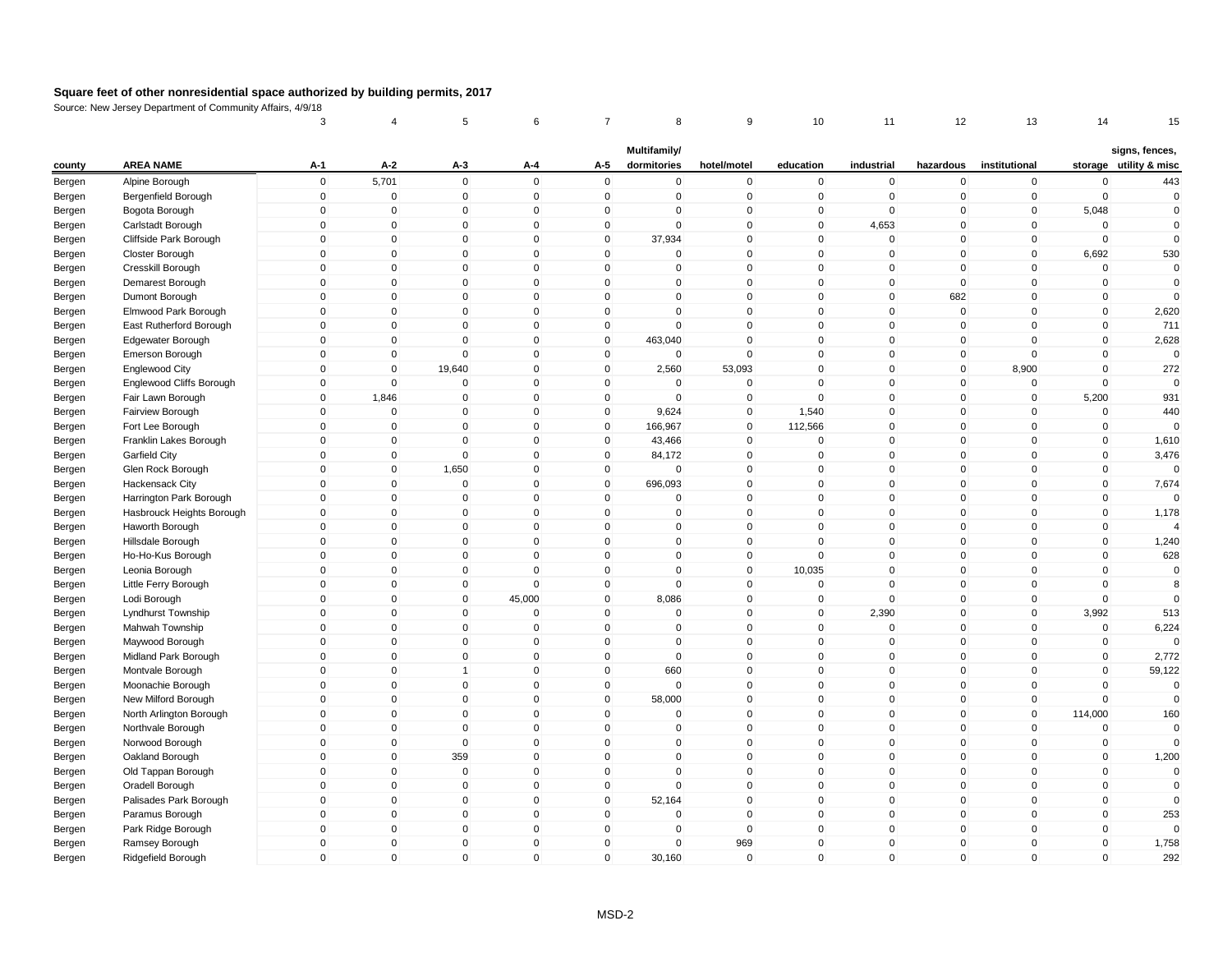|        |                           | 3                   | $\overline{4}$ | 5              | 6                   | 7                   | 8            | 9           | 10           | 11           | 12             | 13            | 14          | 15                     |
|--------|---------------------------|---------------------|----------------|----------------|---------------------|---------------------|--------------|-------------|--------------|--------------|----------------|---------------|-------------|------------------------|
|        |                           |                     |                |                |                     |                     | Multifamily/ |             |              |              |                |               |             | signs, fences,         |
| county | <b>AREA NAME</b>          | $A-1$               | $A-2$          | $A-3$          | A-4                 | A-5                 | dormitories  | hotel/motel | education    | industrial   | hazardous      | institutional |             | storage utility & misc |
| Bergen | Alpine Borough            | $\mathbf 0$         | 5,701          | $\mathbf 0$    | $\mathbf 0$         | $\mathbf 0$         | $\mathbf 0$  | $\pmb{0}$   | $\mathbf 0$  | $\mathbf 0$  | $\pmb{0}$      | $\pmb{0}$     | $\mathbf 0$ | 443                    |
| Bergen | Bergenfield Borough       | $\mathbf 0$         | $\mathbf 0$    | $\mathbf 0$    | $\mathbf 0$         | $\mathbf 0$         | $\mathbf 0$  | $\mathbf 0$ | $\mathbf 0$  | $\mathbf 0$  | $\overline{0}$ | $\mathbf 0$   | $\mathbf 0$ | $\overline{0}$         |
| Bergen | Bogota Borough            | $\mathsf{O}\xspace$ | $\pmb{0}$      | $\mathbf 0$    | $\mathsf{O}\xspace$ | 0                   | 0            | $\pmb{0}$   | $\mathbf 0$  | 0            | $\overline{0}$ | 0             | 5,048       | $\mathbf 0$            |
| Bergen | Carlstadt Borough         | $\mathbf 0$         | $\mathbf{0}$   | $\mathbf{0}$   | $\Omega$            | $\mathbf 0$         | $\mathbf{0}$ | $\mathsf 0$ | $\mathbf{0}$ | 4,653        | $\mathbf 0$    | $\mathbf 0$   | $\mathbf 0$ | $\mathbf 0$            |
| Bergen | Cliffside Park Borough    | $\mathbf 0$         | $\mathbf 0$    | $\mathbf 0$    | $\mathbf 0$         | $\mathbf 0$         | 37,934       | $\mathbf 0$ | $\mathbf 0$  | $\mathbf 0$  | $\mathbf 0$    | $\mathbf 0$   | $\mathbf 0$ | $\mathbf 0$            |
| Bergen | Closter Borough           | $\mathbf 0$         | $\mathbf 0$    | $\mathbf{0}$   | $\mathbf{0}$        | $\mathbf 0$         | $\Omega$     | $\mathsf 0$ | $\mathbf{0}$ | $\mathbf 0$  | $\mathbf 0$    | $\mathbf 0$   | 6,692       | 530                    |
| Bergen | Cresskill Borough         | $\mathbf 0$         | $\mathbf 0$    | $\mathbf 0$    | $\mathbf{0}$        | $\mathbf 0$         | $\mathbf 0$  | $\mathbf 0$ | $\mathbf{0}$ | $\mathbf 0$  | $\mathbf 0$    | $\mathbf 0$   | $\mathbf 0$ | $\mathbf 0$            |
| Bergen | Demarest Borough          | $\mathbf 0$         | $\mathbf 0$    | $\mathbf 0$    | $\mathbf 0$         | $\mathbf 0$         | 0            | $\mathbf 0$ | $\mathbf 0$  | $\mathbf 0$  | $\overline{0}$ | $\mathbf 0$   | $\mathbf 0$ | 0                      |
| Bergen | Dumont Borough            | $\mathbf 0$         | $\mathbf 0$    | $\mathbf 0$    | $\mathbf{0}$        | $\mathbf 0$         | $\mathbf 0$  | $\mathsf 0$ | $\mathbf 0$  | $\mathbf 0$  | 682            | $\mathbf 0$   | $\mathbf 0$ | $\mathbf{0}$           |
| Bergen | Elmwood Park Borough      | $\mathbf 0$         | $\mathbf 0$    | $\mathbf 0$    | $\mathbf 0$         | $\mathbf 0$         | $\mathbf 0$  | $\mathsf 0$ | $\mathbf 0$  | $\mathbf 0$  | $\mathbf 0$    | $\mathbf 0$   | $\mathbf 0$ | 2,620                  |
| Bergen | East Rutherford Borough   | $\mathbf 0$         | $\mathbf 0$    | $\mathbf 0$    | $\Omega$            | 0                   | $\mathbf 0$  | $\mathbf 0$ | $\mathbf 0$  | 0            | $\overline{0}$ | 0             | $\mathbf 0$ | 711                    |
| Bergen | Edgewater Borough         | $\mathbf 0$         | $\mathbf 0$    | $\mathbf 0$    | $\mathbf{0}$        | $\mathbf 0$         | 463,040      | $\mathsf 0$ | $\mathbf 0$  | $\mathbf 0$  | $\mathbf 0$    | $\mathbf 0$   | $\mathbf 0$ | 2,628                  |
| Bergen | Emerson Borough           | $\mathbf 0$         | $\mathbf 0$    | $\mathbf 0$    | $\mathbf 0$         | $\mathbf 0$         | $\mathbf 0$  | $\mathsf 0$ | $\mathbf 0$  | $\mathbf 0$  | $\overline{0}$ | $\mathbf 0$   | $\mathbf 0$ | $\mathbf 0$            |
| Bergen | Englewood City            | $\mathbf{0}$        | $\mathbf 0$    | 19,640         | $\mathbf{0}$        | $\mathbf 0$         | 2,560        | 53,093      | $\mathbf{0}$ | $\mathbf 0$  | $\overline{0}$ | 8,900         | $\mathbf 0$ | 272                    |
| Bergen | Englewood Cliffs Borough  | $\mathbf 0$         | 0              | $\mathbf 0$    | $\mathbf 0$         | $\mathbf 0$         | $\mathbf 0$  | $\mathbf 0$ | $\Omega$     | $\mathbf 0$  | $\mathbf 0$    | $\mathbf 0$   | $\mathbf 0$ | $\mathbf 0$            |
| Bergen | Fair Lawn Borough         | $\mathbf 0$         | 1,846          | $\mathbf 0$    | $\mathbf 0$         | $\mathbf 0$         | $\mathbf 0$  | $\mathsf 0$ | $\mathbf 0$  | $\mathbf 0$  | $\overline{0}$ | $\mathbf 0$   | 5,200       | 931                    |
| Bergen | Fairview Borough          | $\mathbf 0$         | $\mathbf 0$    | $\mathbf 0$    | $\mathbf 0$         | $\mathbf 0$         | 9,624        | $\mathsf 0$ | 1,540        | $\mathbf 0$  | $\mathbf 0$    | $\mathbf 0$   | $\mathbf 0$ | 440                    |
| Bergen | Fort Lee Borough          | $\mathbf 0$         | $\mathbf 0$    | $\mathbf 0$    | $\mathbf 0$         | $\mathbf 0$         | 166,967      | $\mathsf 0$ | 112,566      | $\mathbf 0$  | $\mathbf 0$    | $\mathbf 0$   | $\mathbf 0$ | $\mathbf 0$            |
| Bergen | Franklin Lakes Borough    | $\mathbf 0$         | $\mathbf 0$    | 0              | $\mathbf 0$         | 0                   | 43,466       | $\mathbf 0$ | 0            | 0            | $\overline{0}$ | 0             | $\mathbf 0$ | 1,610                  |
| Bergen | Garfield City             | $\mathbf 0$         | $\mathbf 0$    | $\mathbf 0$    | $\mathbf{0}$        | $\mathbf 0$         | 84,172       | $\mathsf 0$ | $\mathbf 0$  | $\mathbf 0$  | $\mathbf 0$    | $\mathbf 0$   | $\mathbf 0$ | 3,476                  |
| Bergen | Glen Rock Borough         | $\mathbf 0$         | $\mathbf 0$    | 1,650          | $\mathbf 0$         | $\mathbf 0$         | $\mathbf 0$  | $\mathbf 0$ | $\mathbf 0$  | $\mathbf 0$  | $\overline{0}$ | $\mathbf 0$   | $\mathbf 0$ | $\mathbf 0$            |
| Bergen | Hackensack City           | $\mathbf{0}$        | 0              | $\mathbf 0$    | $\mathbf 0$         | $\mathsf{O}\xspace$ | 696,093      | $\pmb{0}$   | $\mathbf 0$  | $\mathbf 0$  | $\overline{0}$ | $\mathbf 0$   | $\mathbf 0$ | 7,674                  |
| Bergen | Harrington Park Borough   | $\mathbf{0}$        | $\mathbf 0$    | $\mathbf 0$    | $\mathbf{0}$        | $\mathbf 0$         | $\mathbf 0$  | $\mathbf 0$ | $\mathbf{0}$ | $\mathbf 0$  | $\mathbf 0$    | $\mathbf 0$   | $\mathbf 0$ | $\mathbf 0$            |
| Bergen | Hasbrouck Heights Borough | $\mathbf 0$         | $\mathbf 0$    | $\mathbf 0$    | $\mathbf 0$         | $\mathbf 0$         | $\mathbf 0$  | $\mathsf 0$ | $\mathbf 0$  | $\mathbf 0$  | $\mathbf 0$    | $\Omega$      | $\mathbf 0$ | 1,178                  |
| Bergen | Haworth Borough           | $\mathbf 0$         | $\mathbf 0$    | $\mathbf{0}$   | $\mathbf{0}$        | $\mathbf{0}$        | $\mathbf{0}$ | $\mathbf 0$ | $\mathbf{0}$ | $\mathbf 0$  | $\overline{0}$ | $\mathbf 0$   | $\mathbf 0$ | $\Delta$               |
| Bergen | Hillsdale Borough         | $\mathbf 0$         | $\mathbf 0$    | $\mathbf 0$    | $\mathbf 0$         | $\mathbf 0$         | $\mathbf 0$  | $\pmb{0}$   | $\mathbf 0$  | $\mathbf 0$  | $\overline{0}$ | $\mathbf 0$   | $\mathbf 0$ | 1,240                  |
| Bergen | Ho-Ho-Kus Borough         | $\mathbf 0$         | $\mathbf 0$    | $\mathbf 0$    | $\mathbf 0$         | $\mathbf 0$         | $\mathbf 0$  | $\mathbf 0$ | $\mathbf 0$  | $\mathbf 0$  | $\overline{0}$ | $\mathbf 0$   | $\mathbf 0$ | 628                    |
| Bergen | Leonia Borough            | $\mathbf 0$         | $\mathbf 0$    | $\mathbf 0$    | $\Omega$            | $\mathbf 0$         | $\mathbf 0$  | $\mathsf 0$ | 10,035       | $\mathbf 0$  | $\mathbf 0$    | $\mathbf 0$   | $\mathbf 0$ | $\mathbf 0$            |
| Bergen | Little Ferry Borough      | $\mathbf 0$         | $\mathbf 0$    | $\mathbf 0$    | $\mathbf 0$         | $\mathbf 0$         | $\mathbf 0$  | $\mathsf 0$ | $\mathbf 0$  | $\mathbf 0$  | $\overline{0}$ | $\mathbf 0$   | $\mathbf 0$ | 8                      |
| Bergen | Lodi Borough              | $\mathbf 0$         | $\mathbf 0$    | $\mathbf 0$    | 45,000              | $\mathbf 0$         | 8,086        | $\mathbf 0$ | $\mathbf 0$  | $\mathbf 0$  | $\mathbf 0$    | $\mathbf 0$   | $\mathbf 0$ | $\Omega$               |
| Bergen | Lyndhurst Township        | $\mathbf 0$         | $\mathbf 0$    | $\mathbf 0$    | $\mathbf 0$         | $\mathbf 0$         | $\mathbf 0$  | $\mathbf 0$ | $\mathbf 0$  | 2,390        | $\mathbf 0$    | $\mathbf 0$   | 3,992       | 513                    |
| Bergen | Mahwah Township           | $\mathbf{0}$        | $\mathbf 0$    | $\mathbf 0$    | $\Omega$            | $\mathbf 0$         | $\mathbf{0}$ | $\mathbf 0$ | $\mathbf{0}$ | $\mathbf 0$  | $\mathbf{0}$   | $\mathbf 0$   | $\mathbf 0$ | 6,224                  |
| Bergen | Maywood Borough           | $\mathbf 0$         | $\mathbf 0$    | $\mathbf 0$    | $\mathbf 0$         | $\mathbf 0$         | $\mathbf 0$  | $\mathsf 0$ | $\mathbf 0$  | $\mathbf 0$  | $\mathbf 0$    | $\mathbf 0$   | $\mathbf 0$ | $\Omega$               |
| Bergen | Midland Park Borough      | $\mathbf 0$         | $\mathbf 0$    | $\mathbf 0$    | $\mathbf 0$         | $\mathbf 0$         | $\mathbf 0$  | $\mathsf 0$ | $\mathbf 0$  | $\mathbf 0$  | $\mathbf 0$    | $\mathbf 0$   | $\mathbf 0$ | 2,772                  |
| Bergen | Montvale Borough          | $\mathbf 0$         | $\mathbf 0$    | $\overline{1}$ | $\mathbf 0$         | $\mathbf 0$         | 660          | $\mathbf 0$ | 0            | $\mathbf 0$  | $\overline{0}$ | $\mathbf 0$   | $\mathbf 0$ | 59,122                 |
| Bergen | Moonachie Borough         | $\mathbf 0$         | $\mathbf 0$    | $\mathbf 0$    | $\Omega$            | $\mathbf 0$         | $\mathbf 0$  | $\mathsf 0$ | $\mathbf{0}$ | $\mathbf 0$  | $\mathbf 0$    | $\mathbf 0$   | $\Omega$    | $\mathbf 0$            |
| Bergen | New Milford Borough       | $\mathbf 0$         | $\mathbf 0$    | $\mathbf 0$    | $\mathbf 0$         | $\mathbf 0$         | 58,000       | $\mathsf 0$ | $\mathbf 0$  | $\mathbf 0$  | $\mathbf 0$    | $\mathbf 0$   | $\mathbf 0$ | $\overline{0}$         |
| Bergen | North Arlington Borough   | $\mathbf 0$         | $\mathbf 0$    | $\mathbf 0$    | $\mathbf 0$         | $\mathbf 0$         | $\mathbf 0$  | $\mathbf 0$ | $\mathbf 0$  | $\mathbf 0$  | $\mathbf 0$    | $\mathbf 0$   | 114,000     | 160                    |
| Bergen | Northvale Borough         | $\mathbf{0}$        | $\mathbf 0$    | $\mathbf 0$    | $\mathbf{0}$        | $\mathbf 0$         | $\mathbf{0}$ | $\mathsf 0$ | $\mathbf{0}$ | $\mathbf 0$  | $\mathbf{0}$   | $\mathbf 0$   | $\mathbf 0$ | $\Omega$               |
| Bergen | Norwood Borough           | $\mathbf 0$         | $\mathbf 0$    | $\mathbf 0$    | $\mathbf 0$         | $\mathbf 0$         | 0            | $\mathsf 0$ | $\mathbf 0$  | $\mathbf 0$  | $\overline{0}$ | $\mathbf 0$   | $\pmb{0}$   | 0                      |
| Bergen | Oakland Borough           | $\mathbf{0}$        | $\mathbf{0}$   | 359            | $\mathbf{0}$        | $\mathbf{0}$        | $\mathbf{0}$ | $\mathbf 0$ | $\mathbf{0}$ | $\mathbf{0}$ | $\overline{0}$ | $\mathbf 0$   | $\mathbf 0$ | 1,200                  |
| Bergen | Old Tappan Borough        | $\mathbf 0$         | $\mathbf 0$    | $\mathbf 0$    | $\mathbf 0$         | $\mathbf 0$         | $\mathbf 0$  | $\mathbf 0$ | $\mathbf 0$  | $\mathbf 0$  | $\overline{0}$ | $\mathbf 0$   | $\mathbf 0$ | $\mathbf 0$            |
| Bergen | Oradell Borough           | $\mathbf 0$         | $\mathbf 0$    | $\mathbf 0$    | $\mathbf 0$         | $\mathbf 0$         | $\mathbf 0$  | $\mathbf 0$ | $\mathbf 0$  | $\mathbf 0$  | $\overline{0}$ | $\mathbf 0$   | $\mathbf 0$ | $\mathbf 0$            |
| Bergen | Palisades Park Borough    | $\mathbf 0$         | $\mathbf 0$    | $\mathbf 0$    | $\mathbf 0$         | $\mathbf 0$         | 52,164       | $\pmb{0}$   | $\mathbf 0$  | $\mathbf 0$  | $\mathbf 0$    | $\mathbf 0$   | $\mathbf 0$ | $\mathbf{0}$           |
| Bergen | Paramus Borough           | $\mathbf 0$         | $\mathbf 0$    | $\mathbf 0$    | $\mathbf 0$         | $\mathbf 0$         | $\mathbf 0$  | $\mathsf 0$ | $\mathbf 0$  | $\mathbf 0$  | $\mathbf 0$    | $\mathbf 0$   | $\mathbf 0$ | 253                    |
| Bergen | Park Ridge Borough        | $\mathbf 0$         | $\mathbf 0$    | $\mathbf 0$    | $\mathbf 0$         | $\mathbf 0$         | $\mathbf 0$  | $\mathbf 0$ | $\mathbf 0$  | $\mathbf 0$  | $\overline{0}$ | $\mathbf 0$   | $\mathbf 0$ | $\mathbf{0}$           |
| Bergen | Ramsey Borough            | $\mathbf 0$         | $\mathbf 0$    | $\mathbf 0$    | $\mathbf{0}$        | $\mathbf 0$         | $\mathbf 0$  | 969         | $\mathbf{0}$ | $\mathbf 0$  | $\mathbf 0$    | $\mathbf 0$   | $\mathbf 0$ | 1,758                  |
| Bergen | Ridgefield Borough        | $\mathbf{0}$        | $\mathbf{0}$   | $\mathbf 0$    | $\mathbf{0}$        | $\mathbf{0}$        | 30,160       | $\mathbf 0$ | $\mathbf{0}$ | $\mathbf 0$  | $\mathbf 0$    | $\mathbf{0}$  | $\mathbf 0$ | 292                    |
|        |                           |                     |                |                |                     |                     |              |             |              |              |                |               |             |                        |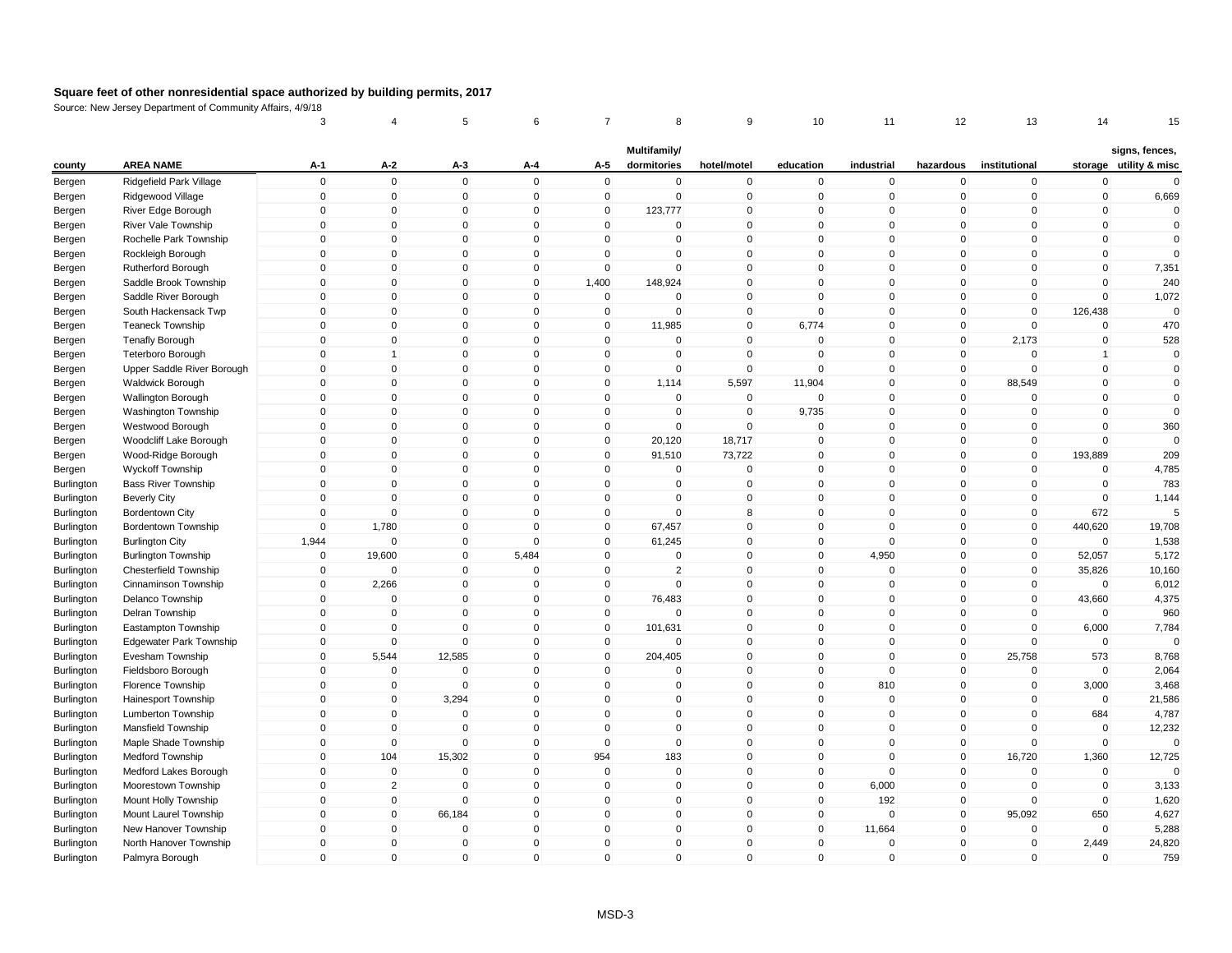|                          |                                                            | 3            | 4                          | 5                     | 6                          | 7                          | 8                           | 9                          | 10           | 11          | 12                         | 13                    | 14                 | 15                                       |
|--------------------------|------------------------------------------------------------|--------------|----------------------------|-----------------------|----------------------------|----------------------------|-----------------------------|----------------------------|--------------|-------------|----------------------------|-----------------------|--------------------|------------------------------------------|
| county                   | <b>AREA NAME</b>                                           | $A-1$        | $A-2$                      | A-3                   | A-4                        | A-5                        | Multifamily/<br>dormitories | hotel/motel                | education    | industrial  | hazardous                  | institutional         |                    | signs, fences,<br>storage utility & misc |
| Bergen                   | Ridgefield Park Village                                    | $\mathbf 0$  | $\mathbf 0$                | $\mathbf 0$           | $\mathbf 0$                | $\mathbf 0$                | $\mathbf 0$                 | $\pmb{0}$                  | $\mathbf 0$  | $\mathbf 0$ | $\mathbf 0$                | $\mathbf 0$           | $\mathbf 0$        | $\Omega$                                 |
| Bergen                   | Ridgewood Village                                          | $\mathbf 0$  | $\mathbf 0$                | $\mathbf 0$           | $\mathbf 0$                | $\mathbf 0$                | $\mathbf 0$                 | $\mathsf 0$                | $\mathbf 0$  | $\mathbf 0$ | $\mathbf 0$                | $\mathbf 0$           | $\mathbf 0$        | 6,669                                    |
| Bergen                   | River Edge Borough                                         | $\mathbf 0$  | $\pmb{0}$                  | $\mathbf 0$           | $\mathbf 0$                | $\mathbf 0$                | 123,777                     | $\mathbf 0$                | $\Omega$     | $\mathbf 0$ | 0                          | 0                     | $\mathbf 0$        | $\mathbf 0$                              |
| Bergen                   | River Vale Township                                        | $\mathbf{0}$ | $\mathbf 0$                | $\Omega$              | $\mathbf{0}$               | $\mathbf{0}$               | $\Omega$                    | $\mathsf 0$                | $\mathbf{0}$ | $\Omega$    | $\mathbf{0}$               | $\Omega$              | $\mathbf 0$        | $\mathbf 0$                              |
| Bergen                   | Rochelle Park Township                                     | $\mathbf{0}$ | $\mathbf 0$                | $\mathbf 0$           | $\mathbf{0}$               | $\mathbf 0$                | 0                           | $\mathsf 0$                | $\Omega$     | $\mathbf 0$ | $\mathbf 0$                | $\Omega$              | $\mathbf 0$        | $\mathbf 0$                              |
| Bergen                   | Rockleigh Borough                                          | $\mathbf 0$  | $\mathbf 0$                | $\mathbf 0$           | $\mathbf 0$                | 0                          | $\mathbf 0$                 | $\mathbf 0$                | $\mathbf{0}$ | $\mathbf 0$ | $\mathbf 0$                | 0                     | $\mathbf 0$        | $\Omega$                                 |
| Bergen                   | Rutherford Borough                                         | $\Omega$     | $\mathbf 0$                | $\mathbf{0}$          | $\mathbf{0}$               | $\mathbf 0$                | $\Omega$                    | $\mathbf 0$                | $\Omega$     | $\Omega$    | $\mathbf{0}$               | $\Omega$              | $\mathbf 0$        | 7,351                                    |
| Bergen                   | Saddle Brook Township                                      | $\mathbf 0$  | $\mathbf 0$                | $\mathbf 0$           | $\mathbf 0$                | 1,400                      | 148,924                     | $\mathsf 0$                | $\mathbf{0}$ | $\mathbf 0$ | $\mathbf 0$                | $\mathbf 0$           | $\mathbf 0$        | 240                                      |
| Bergen                   | Saddle River Borough                                       | $\mathbf 0$  | $\mathbf 0$                | $\mathbf 0$           | $\mathbf 0$                | $\mathbf 0$                | $\mathbf 0$                 | $\mathsf 0$                | $\mathbf{0}$ | $\mathbf 0$ | $\mathbf 0$                | $\mathbf 0$           | $\mathbf 0$        | 1,072                                    |
| Bergen                   | South Hackensack Twp                                       | $\mathbf 0$  | $\pmb{0}$                  | $\mathbf 0$           | $\mathbf 0$                | $\mathbf 0$                | $\mathbf 0$                 | $\mathsf 0$                | $\mathbf{0}$ | $\mathbf 0$ | $\mathbf 0$                | $\mathbf 0$           | 126,438            | $\Omega$                                 |
| Bergen                   | <b>Teaneck Township</b>                                    | $\mathbf{0}$ | $\mathbf 0$                | $\mathbf{0}$          | $\mathbf 0$                | $\mathbf 0$                | 11,985                      | $\mathsf 0$                | 6,774        | $\mathbf 0$ | $\mathbf 0$                | $\Omega$              | $\mathbf 0$        | 470                                      |
| Bergen                   | <b>Tenafly Borough</b>                                     | $\mathbf 0$  | $\mathbf 0$                | $\mathbf 0$           | $\mathbf 0$                | $\mathbf 0$                | $\mathbf 0$                 | $\mathbf 0$                | $\Omega$     | $\mathbf 0$ | $\mathbf 0$                | 2,173                 | $\mathbf 0$        | 528                                      |
| Bergen                   | <b>Teterboro Borough</b>                                   | $\mathbf{0}$ | 1                          | $\mathbf{0}$          | $\mathbf{0}$               | $\mathbf 0$                | $\Omega$                    | $\mathsf 0$                | $\Omega$     | $\Omega$    | $\mathbf 0$                | $\Omega$              | $\overline{1}$     | $\mathbf 0$                              |
| Bergen                   | Upper Saddle River Borough                                 | $\mathbf{0}$ | $\mathbf 0$                | $\mathbf 0$           | $\mathbf{0}$               | $\mathbf 0$                | 0                           | $\mathsf 0$                | $\mathbf{0}$ | $\mathbf 0$ | $\mathbf 0$                | $\mathbf{0}$          | $\mathbf 0$        | $\mathbf 0$                              |
|                          | <b>Waldwick Borough</b>                                    | $\mathbf{0}$ | $\mathbf 0$                | $\mathbf 0$           | $\mathbf 0$                | 0                          | 1,114                       | 5,597                      | 11,904       | $\mathbf 0$ | $\mathbf 0$                | 88,549                | $\mathbf 0$        | $\mathbf 0$                              |
| Bergen                   | <b>Wallington Borough</b>                                  | $\mathbf{0}$ | $\mathbf 0$                | $\mathbf{0}$          | $\mathbf{0}$               | $\mathbf{0}$               | $\mathbf{0}$                | $\mathsf 0$                | $\mathbf{0}$ | $\Omega$    | $\mathbf{0}$               | $\Omega$              | $\mathbf 0$        | $\mathbf{0}$                             |
| Bergen<br>Bergen         | Washington Township                                        | $\mathbf 0$  | $\pmb{0}$                  | $\mathbf 0$           | $\mathbf 0$                | $\mathbf 0$                | $\mathbf 0$                 | $\mathbf 0$                | 9,735        | $\mathbf 0$ | $\mathbf 0$                | $\mathbf 0$           | $\mathbf 0$        | $\mathbf 0$                              |
|                          |                                                            | $\mathbf 0$  | $\pmb{0}$                  | $\mathbf 0$           | $\mathbf 0$                | $\mathbf 0$                | $\mathbf 0$                 | $\mathbf 0$                | $\mathbf{0}$ | $\mathbf 0$ | $\mathbf 0$                | $\mathbf 0$           | $\mathbf 0$        | 360                                      |
| Bergen                   | Westwood Borough<br>Woodcliff Lake Borough                 | $\mathbf{0}$ | $\mathbf 0$                | $\mathbf 0$           | $\mathbf 0$                | $\mathbf 0$                | 20,120                      | 18,717                     | $\Omega$     | $\mathbf 0$ | $\mathbf{0}$               | $\mathbf{0}$          | $\mathbf 0$        | $\Omega$                                 |
| Bergen                   | Wood-Ridge Borough                                         | $\mathbf 0$  | $\mathbf 0$                | $\mathbf 0$           | $\mathbf 0$                | $\mathbf 0$                | 91,510                      | 73,722                     | $\mathbf{0}$ | $\mathbf 0$ | $\mathbf 0$                | $\mathbf 0$           | 193,889            | 209                                      |
| Bergen                   | <b>Wyckoff Township</b>                                    | $\mathbf 0$  | $\mathbf 0$                | $\mathbf 0$           | $\mathbf 0$                | $\mathbf 0$                | 0                           | $\mathbf 0$                | $\mathbf{0}$ | $\mathbf 0$ | $\mathbf 0$                | $\mathbf 0$           | $\mathbf 0$        | 4,785                                    |
| Bergen<br>Burlington     | <b>Bass River Township</b>                                 | $\mathbf{0}$ | $\mathbf{0}$               | $\mathbf{0}$          | $\mathbf{0}$               | $\mathbf{0}$               | $\Omega$                    | $\mathbf 0$                | $\mathbf{0}$ | $\Omega$    | $\mathbf{0}$               | $\Omega$              | $\mathbf 0$        | 783                                      |
|                          |                                                            | $\mathbf{0}$ | $\mathbf 0$                | $\mathbf{0}$          | $\Omega$                   | $\mathbf{0}$               | $\Omega$                    | $\mathsf 0$                | $\mathbf{0}$ | $\Omega$    | $\mathbf{0}$               | $\mathbf{0}$          | $\mathbf 0$        | 1,144                                    |
| Burlington               | <b>Beverly City</b>                                        | $\mathbf 0$  | $\mathbf 0$                | $\mathbf 0$           | $\mathbf 0$                | $\mathbf 0$                | $\mathbf 0$                 | 8                          | $\mathbf 0$  | $\mathbf 0$ | $\mathbf 0$                | $\mathbf 0$           | 672                |                                          |
| Burlington<br>Burlington | <b>Bordentown City</b><br>Bordentown Township              | $\mathbf{0}$ | 1,780                      | $\mathbf{0}$          | $\Omega$                   | $\mathbf 0$                | 67,457                      | $\mathsf 0$                | $\mathbf{0}$ | $\mathbf 0$ | $\mathbf{0}$               | $\mathbf 0$           | 440,620            | 19,708                                   |
| Burlington               | <b>Burlington City</b>                                     | 1,944        | $\mathbf 0$                | $\mathbf 0$           | $\mathbf 0$                | $\mathbf 0$                | 61,245                      | $\pmb{0}$                  | $\mathbf 0$  | $\mathbf 0$ | $\mathbf 0$                | $\mathbf 0$           | $\Omega$           | 1,538                                    |
|                          |                                                            | $\mathbf 0$  |                            | $\mathbf 0$           | 5,484                      | 0                          | $\mathbf 0$                 | $\mathbf 0$                | $\mathbf 0$  | 4,950       | 0                          | $\mathbf 0$           |                    | 5,172                                    |
| Burlington<br>Burlington | <b>Burlington Township</b><br><b>Chesterfield Township</b> | $\mathbf{0}$ | 19,600<br>$\mathbf{0}$     | $\mathbf 0$           | $\Omega$                   | $\mathbf 0$                | $\overline{2}$              | $\mathsf 0$                | $\mathbf{0}$ | $\mathbf 0$ | $\mathbf 0$                | $\mathbf 0$           | 52,057<br>35,826   | 10,160                                   |
|                          | Cinnaminson Township                                       | $\mathbf 0$  | 2,266                      | $\mathbf 0$           | $\mathbf 0$                | $\mathbf 0$                | $\mathbf 0$                 | $\mathbf 0$                | $\mathbf{0}$ | $\mathbf 0$ | $\mathbf 0$                | $\mathbf 0$           | $\mathbf 0$        | 6,012                                    |
| Burlington               |                                                            | $\mathbf{0}$ | $\mathbf 0$                | $\mathbf 0$           | $\Omega$                   | $\mathbf 0$                |                             | $\mathbf 0$                | $\mathbf{0}$ | $\mathbf 0$ | $\mathbf 0$                | $\mathbf{0}$          |                    |                                          |
| Burlington               | Delanco Township                                           | $\mathbf{0}$ | $\mathbf 0$                | $\Omega$              | $\mathbf{0}$               | $\mathbf 0$                | 76,483<br>$\Omega$          | $\mathbf 0$                | $\mathbf{0}$ | $\Omega$    | $\mathbf{0}$               | $\Omega$              | 43,660<br>$\Omega$ | 4,375<br>960                             |
| Burlington               | Delran Township                                            | $\mathbf 0$  | $\mathbf 0$                | $\mathbf 0$           | $\mathbf 0$                | $\mathbf 0$                | 101,631                     | $\mathsf 0$                | $\mathbf{0}$ | $\mathbf 0$ | $\mathbf 0$                | $\mathbf 0$           | 6,000              |                                          |
| Burlington               | Eastampton Township                                        | 0            | $\mathbf 0$                | $\mathbf 0$           | $\mathbf 0$                |                            | $\mathbf 0$                 | $\mathbf 0$                | $\mathbf 0$  | $\mathbf 0$ | $\mathbf 0$                | $\mathbf 0$           | $\mathbf 0$        | 7,784<br>$\Omega$                        |
| Burlington               | <b>Edgewater Park Township</b>                             | $\mathbf{0}$ | 5,544                      |                       | $\mathbf 0$                | 0<br>$\mathbf 0$           | 204,405                     | $\mathsf 0$                | $\mathbf{0}$ | $\mathbf 0$ | $\mathbf{0}$               |                       | 573                |                                          |
| Burlington               | Evesham Township                                           | $\Omega$     | $\mathbf 0$                | 12,585<br>$\mathbf 0$ | $\mathbf 0$                | $\mathbf 0$                |                             | $\mathsf 0$                | $\mathbf{0}$ | $\Omega$    | $\mathbf 0$                | 25,758<br>$\mathbf 0$ | $\mathbf 0$        | 8,768<br>2,064                           |
| Burlington               | Fieldsboro Borough                                         | $\mathbf 0$  | $\mathbf 0$                | $\mathbf 0$           | $\mathbf 0$                | $\mathbf 0$                | 0<br>0                      | $\mathbf 0$                | $\mathbf 0$  | 810         | $\mathbf 0$                | $\mathbf 0$           | 3,000              | 3,468                                    |
| Burlington               | Florence Township                                          | $\Omega$     | $\mathbf 0$                | 3,294                 | $\mathbf{0}$               | $\mathbf{0}$               | $\Omega$                    | $\mathbf 0$                | $\Omega$     | $\mathbf 0$ | $\mathbf 0$                | $\Omega$              | $\mathbf 0$        | 21,586                                   |
| Burlington               | Hainesport Township                                        | $\Omega$     |                            | $\mathbf{0}$          |                            |                            | $\mathbf 0$                 |                            | $\mathbf{0}$ | $\mathbf 0$ |                            | 0                     |                    |                                          |
| Burlington               | Lumberton Township                                         | $\mathbf 0$  | $\mathbf 0$<br>$\mathbf 0$ | $\mathbf 0$           | $\mathbf 0$<br>$\mathbf 0$ | $\mathbf 0$<br>$\mathbf 0$ | $\mathbf 0$                 | $\mathbf 0$<br>$\mathsf 0$ | $\mathbf{0}$ | $\mathbf 0$ | $\mathbf 0$<br>$\mathbf 0$ | $\mathbf 0$           | 684<br>$\mathbf 0$ | 4,787                                    |
| Burlington               | Mansfield Township                                         | $\mathbf 0$  | $\mathbf 0$                | $\mathbf 0$           | $\mathbf 0$                | $\mathbf 0$                | $\mathbf 0$                 | $\mathsf 0$                | $\mathbf{0}$ | $\mathbf 0$ | $\mathbf 0$                | $\mathbf 0$           | $\mathbf 0$        | 12,232<br>$\Omega$                       |
| Burlington               | Maple Shade Township                                       |              |                            |                       |                            |                            |                             |                            |              |             |                            |                       |                    |                                          |
| Burlington               | Medford Township                                           | $\mathbf 0$  | 104                        | 15,302                | $\mathbf 0$                | 954                        | 183                         | $\mathsf 0$                | $\mathbf{0}$ | $\mathbf 0$ | $\mathbf 0$                | 16,720                | 1,360              | 12,725<br>$\Omega$                       |
| Burlington               | Medford Lakes Borough                                      | 0            | $\mathbf 0$                | $\mathbf 0$           | $\mathbf 0$                | $\mathbf 0$                | $\mathbf 0$                 | $\mathbf 0$                | $\mathbf 0$  | $\mathbf 0$ | 0                          | $\mathbf 0$           | $\mathbf 0$        |                                          |
| Burlington               | Moorestown Township                                        | $\mathbf{0}$ | $\overline{2}$             | $\mathbf 0$           | $\mathbf 0$                | $\mathbf{0}$               | $\Omega$                    | $\mathsf 0$                | $\mathbf{0}$ | 6,000       | $\mathbf 0$                | $\mathbf 0$           | $\mathbf 0$        | 3,133                                    |
| Burlington               | Mount Holly Township                                       | $\mathbf{0}$ | $\mathbf 0$                | $\mathbf 0$           | $\mathbf 0$                | $\mathbf 0$                | $\mathbf 0$                 | $\mathsf 0$                | $\mathbf{0}$ | 192         | $\mathbf 0$                | $\mathbf 0$           | $\mathbf 0$        | 1,620                                    |
| Burlington               | Mount Laurel Township                                      | $\mathbf 0$  | $\mathbf 0$                | 66,184                | $\mathbf 0$                | 0                          | 0                           | $\mathbf 0$                | $\mathbf 0$  | $\Omega$    | $\mathbf 0$                | 95,092                | 650                | 4,627                                    |
| Burlington               | New Hanover Township                                       | $\Omega$     | $\mathbf 0$                | $\mathbf 0$           | $\mathbf{0}$               | $\mathbf{0}$               | $\Omega$                    | $\mathbf 0$                | $\mathbf{0}$ | 11,664      | $\mathbf{0}$               | $\Omega$              | $\mathbf 0$        | 5,288                                    |
| Burlington               | North Hanover Township                                     | $\Omega$     | $\mathbf 0$                | $\mathbf 0$           | $\mathbf 0$                | $\mathbf 0$                | $\mathbf 0$                 | $\mathsf 0$                | $\mathbf{0}$ | $\Omega$    | $\mathbf 0$                | 0                     | 2,449              | 24,820                                   |
| Burlington               | Palmyra Borough                                            | $\mathbf 0$  | $\mathbf 0$                | $\mathbf 0$           | $\mathbf 0$                | $\mathbf 0$                | $\mathbf 0$                 | $\mathbf 0$                | $\mathbf{0}$ | $\mathbf 0$ | $\mathbf 0$                | 0                     | $\mathbf 0$        | 759                                      |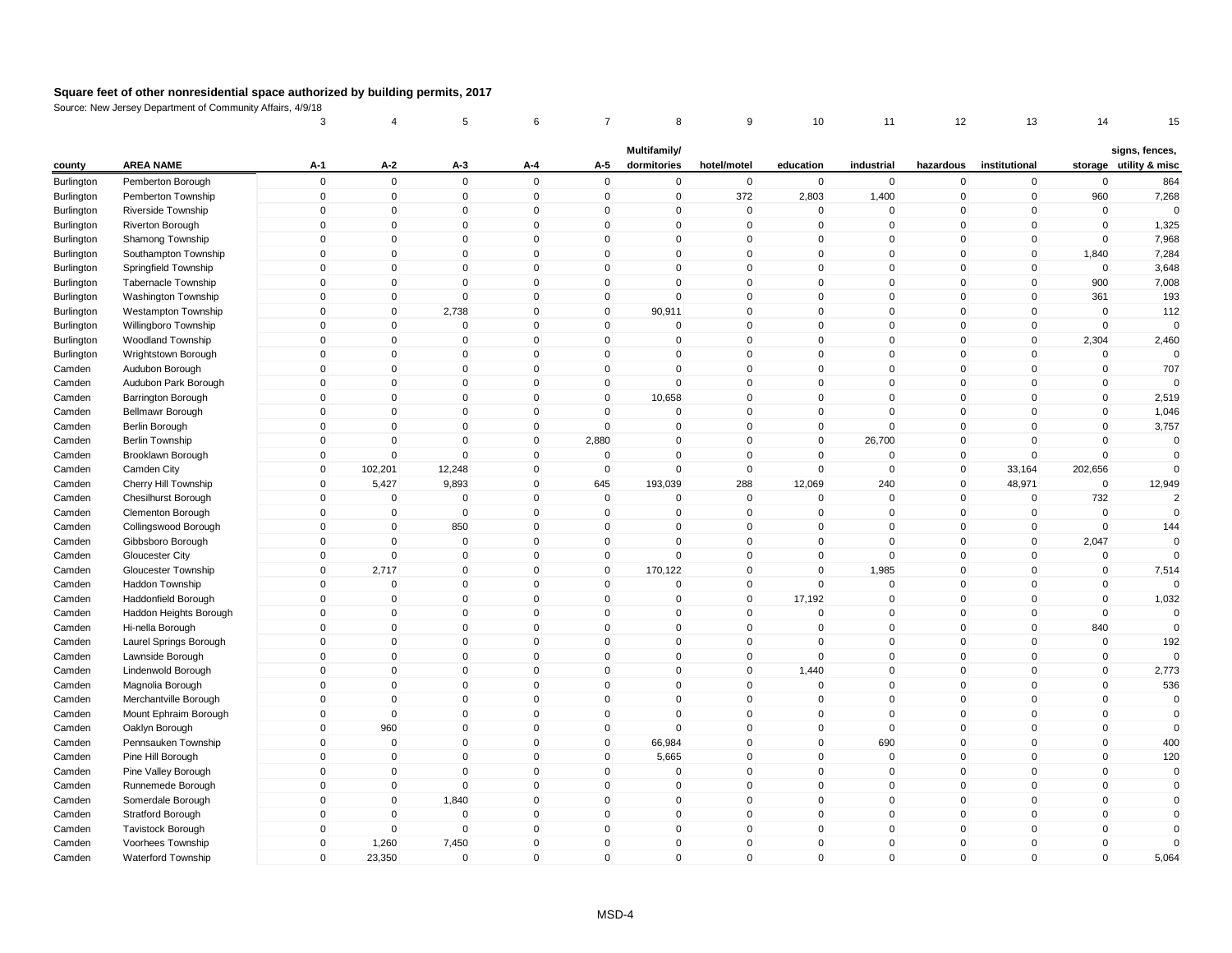|            |                            | 3            | 4           | 5            | 6            |                | 8            | 9            | 10           | 11             | 12           | 13            | 14          | 15                     |
|------------|----------------------------|--------------|-------------|--------------|--------------|----------------|--------------|--------------|--------------|----------------|--------------|---------------|-------------|------------------------|
|            |                            |              |             |              |              |                | Multifamily/ |              |              |                |              |               |             | signs, fences,         |
| county     | <b>AREA NAME</b>           | A-1          | A-2         | A-3          | A-4          | A-5            | dormitories  | hotel/motel  | education    | industrial     | hazardous    | institutional |             | storage utility & misc |
| Burlington | Pemberton Borough          | $\mathsf 0$  | $\mathbf 0$ | $\mathbf 0$  | $\mathbf 0$  | $\mathbf 0$    | $\mathbf 0$  | $\mathbf 0$  | $\mathbf 0$  | $\mathbf 0$    | $\pmb{0}$    | $\mathbf 0$   | $\mathbf 0$ | 864                    |
| Burlington | Pemberton Township         | $\mathbf 0$  | $\pmb{0}$   | 0            | $\mathbf 0$  | $\overline{0}$ | $\mathbf 0$  | 372          | 2,803        | 1,400          | $\mathbf 0$  | $\mathbf 0$   | 960         | 7,268                  |
| Burlington | Riverside Township         | 0            | $\pmb{0}$   | $\Omega$     | 0            | $\overline{0}$ | $\mathbf 0$  | $\Omega$     | $\mathbf{0}$ | $\Omega$       | $\mathbf 0$  | $\mathbf 0$   | $\mathbf 0$ | $\Omega$               |
| Burlington | <b>Riverton Borough</b>    | $\mathbf 0$  | $\mathbf 0$ | $\Omega$     | $\mathbf 0$  | $\mathsf 0$    | $\mathbf{0}$ | $\Omega$     | $\mathbf{0}$ | $\Omega$       | $\mathbf 0$  | $\mathbf 0$   | $\mathbf 0$ | 1,325                  |
| Burlington | Shamong Township           | $\mathbf 0$  | $\mathbf 0$ | $\mathbf 0$  | $\mathbf 0$  | $\mathbf 0$    | $\mathbf 0$  | $\mathbf 0$  | $\mathbf 0$  | 0              | $\mathbf 0$  | $\mathbf 0$   | $\mathbf 0$ | 7,968                  |
| Burlington | Southampton Township       | $\mathbf{0}$ | $\mathbf 0$ | $\mathbf 0$  | $\mathbf 0$  | $\mathbf 0$    | $\Omega$     | $\mathbf{0}$ | $\mathbf{0}$ | $\Omega$       | $\mathbf 0$  | $\mathbf 0$   | 1,840       | 7,284                  |
| Burlington | Springfield Township       | $\Omega$     | $\mathbf 0$ | $\Omega$     | $\mathbf 0$  | $\mathbf 0$    | $\mathbf 0$  | $\mathbf{0}$ | $\Omega$     | $\mathbf{0}$   | $\mathbf{0}$ | $\mathbf 0$   | $\Omega$    | 3,648                  |
| Burlington | Tabernacle Township        | 0            | $\pmb{0}$   | $\mathbf 0$  | $\mathbf 0$  | $\mathbf 0$    | $\mathbf 0$  | $\mathbf 0$  | $\mathbf 0$  | 0              | $\mathbf 0$  | 0             | 900         | 7,008                  |
| Burlington | Washington Township        | $\mathbf{0}$ | $\mathbf 0$ | $\mathbf 0$  | $\mathbf 0$  | $\mathbf 0$    | $\mathsf 0$  | $\Omega$     | $\mathbf{0}$ | $\overline{0}$ | $\mathbf 0$  | $\mathbf 0$   | 361         | 193                    |
| Burlington | <b>Westampton Township</b> | $\mathbf 0$  | $\pmb{0}$   | 2,738        | $\mathbf 0$  | $\overline{0}$ | 90,911       | $\mathbf 0$  | $\mathbf 0$  | 0              | $\mathbf 0$  | $\mathbf 0$   | $\pmb{0}$   | 112                    |
| Burlington | Willingboro Township       | $\mathbf 0$  | $\pmb{0}$   | $\Omega$     | 0            | $\mathbf 0$    | 0            | $\Omega$     | $\mathbf 0$  | $\Omega$       | $\Omega$     | 0             | $\Omega$    | $\Omega$               |
| Burlington | <b>Woodland Township</b>   | $\mathbf 0$  | $\pmb{0}$   | $\mathbf 0$  | $\mathbf 0$  | $\mathbf 0$    | $\mathbf 0$  | $\mathbf{0}$ | $\mathbf{0}$ | 0              | $\mathbf 0$  | $\mathbf 0$   | 2,304       | 2,460                  |
| Burlington | Wrightstown Borough        | $\mathbf 0$  | $\mathbf 0$ | $\mathbf 0$  | $\mathbf 0$  | $\mathbf 0$    | $\mathbf 0$  | $\mathbf 0$  | $\mathbf 0$  | 0              | $\mathbf 0$  | $\mathbf 0$   | $\mathbf 0$ | $\Omega$               |
| Camden     | Audubon Borough            | $\mathbf{0}$ | $\mathbf 0$ | $\mathbf{0}$ | $\mathbf{0}$ | $\mathbf 0$    | $\mathbf 0$  | $\mathbf{0}$ | $\Omega$     | $\mathbf{0}$   | $\mathbf{0}$ | $\mathbf 0$   | $\mathbf 0$ | 707                    |
| Camden     | Audubon Park Borough       | $\Omega$     | $\mathbf 0$ | $\Omega$     | $\mathbf 0$  | $\mathbf 0$    | $\mathbf 0$  | $\mathbf{0}$ | $\mathbf{0}$ | $\Omega$       | $\mathbf 0$  | $\mathbf 0$   | $\mathbf 0$ |                        |
| Camden     | Barrington Borough         | $\mathbf 0$  | $\mathbf 0$ | $\mathbf 0$  | $\mathbf 0$  | $\mathbf 0$    | 10,658       | $\mathbf 0$  | $\mathbf 0$  | 0              | $\mathbf 0$  | $\mathbf 0$   | $\mathbf 0$ | 2,519                  |
| Camden     | Bellmawr Borough           | $\mathbf 0$  | $\mathbf 0$ | $\mathbf 0$  | $\mathbf 0$  | $\mathsf 0$    | $\mathbf 0$  | $\mathbf 0$  | $\mathbf 0$  | $\mathbf{0}$   | $\mathbf 0$  | $\mathbf 0$   | $\mathbf 0$ | 1,046                  |
| Camden     | Berlin Borough             | $\mathbf 0$  | $\mathbf 0$ | $\mathbf 0$  | $\mathbf 0$  | $\mathbf 0$    | $\mathbf 0$  | $\mathbf 0$  | $\mathbf 0$  | 0              | $\mathbf 0$  | $\mathbf 0$   | $\mathbf 0$ | 3,757                  |
| Camden     | <b>Berlin Township</b>     | 0            | $\pmb{0}$   | $\Omega$     | 0            | 2,880          | 0            | $\mathbf 0$  | $\mathbf 0$  | 26,700         | $\mathbf 0$  | 0             | $\pmb{0}$   | 0                      |
| Camden     | Brooklawn Borough          | $\mathbf 0$  | $\mathbf 0$ | $\Omega$     | $\mathbf 0$  | $\mathbf 0$    | $\mathbf 0$  | $\Omega$     | $\mathbf{0}$ | $\Omega$       | $\mathbf 0$  | $\mathbf 0$   | $\mathbf 0$ | $\mathbf 0$            |
| Camden     | Camden City                | $\mathbf 0$  | 102,201     | 12,248       | $\mathbf 0$  | $\mathbf 0$    | $\mathbf 0$  | $\mathbf 0$  | $\mathbf 0$  | 0              | $\mathbf 0$  | 33,164        | 202,656     | $\mathbf 0$            |
| Camden     | Cherry Hill Township       | $\mathbf{0}$ | 5,427       | 9,893        | 0            | 645            | 193,039      | 288          | 12,069       | 240            | $\mathbf{0}$ | 48,971        | $\mathbf 0$ | 12,949                 |
| Camden     | Chesilhurst Borough        | $\mathbf{0}$ | $\mathbf 0$ | $\Omega$     | $\mathbf{0}$ | $\mathbf 0$    | $\mathbf 0$  | $\Omega$     | $\Omega$     | $\Omega$       | $\mathbf{0}$ | $\mathbf 0$   | 732         | $\overline{2}$         |
| Camden     | Clementon Borough          | $\mathbf 0$  | $\pmb{0}$   | $\mathbf 0$  | $\mathbf 0$  | $\mathbf 0$    | $\mathbf 0$  | $\mathbf 0$  | 0            | 0              | $\mathbf 0$  | $\mathbf 0$   | $\mathbf 0$ | $\mathbf 0$            |
| Camden     | Collingswood Borough       | $\mathsf 0$  | $\mathbf 0$ | 850          | $\mathbf 0$  | $\mathbf 0$    | $\mathbf 0$  | $\mathbf{0}$ | $\mathbf{0}$ | $\mathbf{0}$   | $\mathbf 0$  | $\mathbf 0$   | $\mathbf 0$ | 144                    |
| Camden     | Gibbsboro Borough          | $\mathbf 0$  | $\mathbf 0$ | $\mathbf 0$  | $\mathbf 0$  | $\mathbf 0$    | $\mathbf 0$  | $\mathbf 0$  | $\mathbf 0$  | 0              | $\mathbf 0$  | $\mathbf 0$   | 2,047       | $\Omega$               |
| Camden     | Gloucester City            | $\mathbf 0$  | $\mathbf 0$ | $\mathbf 0$  | $\mathbf 0$  | $\overline{0}$ | $\mathbf 0$  | $\mathbf 0$  | $\mathbf 0$  | $\Omega$       | $\mathbf 0$  | $\mathbf 0$   | $\pmb{0}$   | $\Omega$               |
| Camden     | Gloucester Township        | $\mathbf 0$  | 2,717       | $\mathbf 0$  | $\mathbf{0}$ | $\mathbf 0$    | 170,122      | $\Omega$     | $\mathbf{0}$ | 1,985          | $\mathbf 0$  | $\mathbf 0$   | $\mathbf 0$ | 7,514                  |
| Camden     | Haddon Township            | $\mathbf 0$  | $\pmb{0}$   | $\mathbf 0$  | $\mathbf 0$  | $\mathbf 0$    | $\mathbf 0$  | $\mathbf 0$  | $\mathbf 0$  | 0              | $\mathbf 0$  | $\mathbf 0$   | $\mathbf 0$ | $\Omega$               |
| Camden     | Haddonfield Borough        | $\mathbf 0$  | $\pmb{0}$   | $\mathbf 0$  | $\mathbf 0$  | $\mathbf 0$    | $\mathbf 0$  | $\mathbf 0$  | 17,192       | 0              | $\mathbf 0$  | $\Omega$      | $\Omega$    | 1,032                  |
| Camden     | Haddon Heights Borough     | $\mathbf 0$  | $\mathbf 0$ | $\mathbf 0$  | $\mathbf 0$  | $\mathbf 0$    | $\mathbf 0$  | $\mathbf 0$  | $\Omega$     | $\Omega$       | $\mathbf 0$  | $\mathbf 0$   | $\mathbf 0$ | $\mathbf 0$            |
| Camden     | Hi-nella Borough           | $\mathbf{0}$ | $\mathbf 0$ | $\mathbf 0$  | $\mathbf{0}$ | $\mathbf 0$    | $\mathbf 0$  | $\mathbf{0}$ | $\mathbf{0}$ | $\mathbf{0}$   | $\mathbf{0}$ | $\mathbf 0$   | 840         | $\mathbf 0$            |
| Camden     | Laurel Springs Borough     | $\mathbf 0$  | $\mathbf 0$ | $\mathbf 0$  | $\mathbf 0$  | $\mathsf 0$    | $\mathbf 0$  | $\mathbf 0$  | $\Omega$     | 0              | $\mathbf 0$  | $\mathbf 0$   | $\mathbf 0$ | 192                    |
| Camden     | Lawnside Borough           | $\mathbf 0$  | $\mathbf 0$ | $\mathbf 0$  | $\mathbf 0$  | $\mathbf 0$    | $\mathbf 0$  | $\mathbf 0$  | $\mathbf{0}$ | 0              | $\mathbf 0$  | $\mathbf 0$   | $\mathbf 0$ | $\Omega$               |
| Camden     | Lindenwold Borough         | 0            | $\pmb{0}$   | 0            | $\mathbf 0$  | $\mathbf 0$    | 0            | $\mathbf 0$  | 1,440        | 0              | $\mathbf 0$  | 0             | $\pmb{0}$   | 2,773                  |
| Camden     | Magnolia Borough           | $\mathbf{0}$ | $\mathbf 0$ | $\Omega$     | $\mathbf 0$  | $\mathbf 0$    | $\Omega$     | $\Omega$     | $\mathbf{0}$ | $\mathbf{0}$   | $\mathbf 0$  | $\mathbf 0$   | $\Omega$    | 536                    |
| Camden     | Merchantville Borough      | $\mathbf 0$  | $\mathbf 0$ | $\mathbf 0$  | $\mathbf 0$  | $\mathbf 0$    | $\mathbf 0$  | $\mathbf 0$  | $\mathbf 0$  | 0              | $\mathbf 0$  | $\mathbf 0$   | $\mathbf 0$ | $\mathbf 0$            |
| Camden     | Mount Ephraim Borough      | $\mathbf 0$  | $\mathbf 0$ | $\mathbf 0$  | $\mathbf 0$  | $\mathbf 0$    | $\mathbf 0$  | $\mathbf 0$  | $\mathbf 0$  | 0              | $\mathbf 0$  | $\mathbf 0$   | $\mathbf 0$ | $\mathbf 0$            |
| Camden     | Oaklyn Borough             | $\Omega$     | 960         | $\mathbf 0$  | $\mathbf 0$  | $\mathbf 0$    | $\mathsf 0$  | $\mathbf{0}$ | $\Omega$     | $\mathbf{0}$   | $\mathbf{0}$ | $\mathbf 0$   | $\mathbf 0$ | $\Omega$               |
| Camden     | Pennsauken Township        | $\mathbf 0$  | $\mathbf 0$ | $\mathbf 0$  | $\mathbf 0$  | $\mathbf 0$    | 66,984       | $\mathbf 0$  | 0            | 690            | $\mathbf 0$  | $\mathbf 0$   | $\mathbf 0$ | 400                    |
| Camden     | Pine Hill Borough          | $\mathbf{0}$ | $\pmb{0}$   | $\mathbf{0}$ | $\mathbf{0}$ | $\mathbf{0}$   | 5,665        | $\mathbf{0}$ | $\mathbf{0}$ | $\Omega$       | $\mathbf{0}$ | $\mathbf 0$   | $\Omega$    | 120                    |
| Camden     | Pine Valley Borough        | $\mathbf 0$  | $\pmb{0}$   | $\mathbf 0$  | $\mathbf 0$  | $\mathbf 0$    | $\mathbf 0$  | $\mathbf 0$  | $\mathbf 0$  | 0              | $\mathbf 0$  | $\mathbf 0$   | $\pmb{0}$   | $\mathbf 0$            |
| Camden     | Runnemede Borough          | $\mathbf 0$  | $\pmb{0}$   | $\mathbf 0$  | $\mathbf 0$  | $\mathbf 0$    | $\mathbf 0$  | $\mathbf 0$  | $\mathbf 0$  | 0              | $\mathbf 0$  | $\mathbf 0$   | $\pmb{0}$   | $\mathbf 0$            |
| Camden     | Somerdale Borough          | $\mathbf 0$  | $\pmb{0}$   | 1,840        | $\mathbf 0$  | $\mathbf 0$    | $\mathbf 0$  | $\Omega$     | $\mathbf{0}$ | 0              | $\mathbf 0$  | $\mathbf 0$   | $\mathbf 0$ | $\Omega$               |
| Camden     | <b>Stratford Borough</b>   | $\mathbf 0$  | $\mathbf 0$ | $\mathbf 0$  | $\mathbf 0$  | $\mathsf 0$    | $\mathbf 0$  | $\mathbf 0$  | $\mathbf 0$  | $\mathbf{0}$   | $\mathbf 0$  | $\mathbf 0$   | $\mathbf 0$ | $\mathbf 0$            |
| Camden     | <b>Tavistock Borough</b>   | $\mathbf 0$  | $\mathbf 0$ | $\mathbf 0$  | $\mathbf 0$  | $\overline{0}$ | $\mathbf 0$  | $\mathbf 0$  | $\mathbf 0$  | 0              | $\mathbf 0$  | $\mathbf 0$   | $\mathbf 0$ | $\Omega$               |
| Camden     | Voorhees Township          | $\mathbf{0}$ | 1,260       | 7,450        | $\mathbf 0$  | $\mathbf 0$    | $\mathbf 0$  | $\mathbf{0}$ | $\Omega$     | $\mathbf{0}$   | $\mathbf 0$  | $\Omega$      | $\mathbf 0$ | $\Omega$               |
| Camden     | Waterford Township         | $\Omega$     | 23,350      | $\mathbf 0$  | $\mathbf 0$  | $\mathbf{0}$   | $\mathbf 0$  | $\mathbf{0}$ | $\Omega$     | $\mathbf{0}$   | $\mathbf 0$  | $\mathbf 0$   | $\mathbf 0$ | 5,064                  |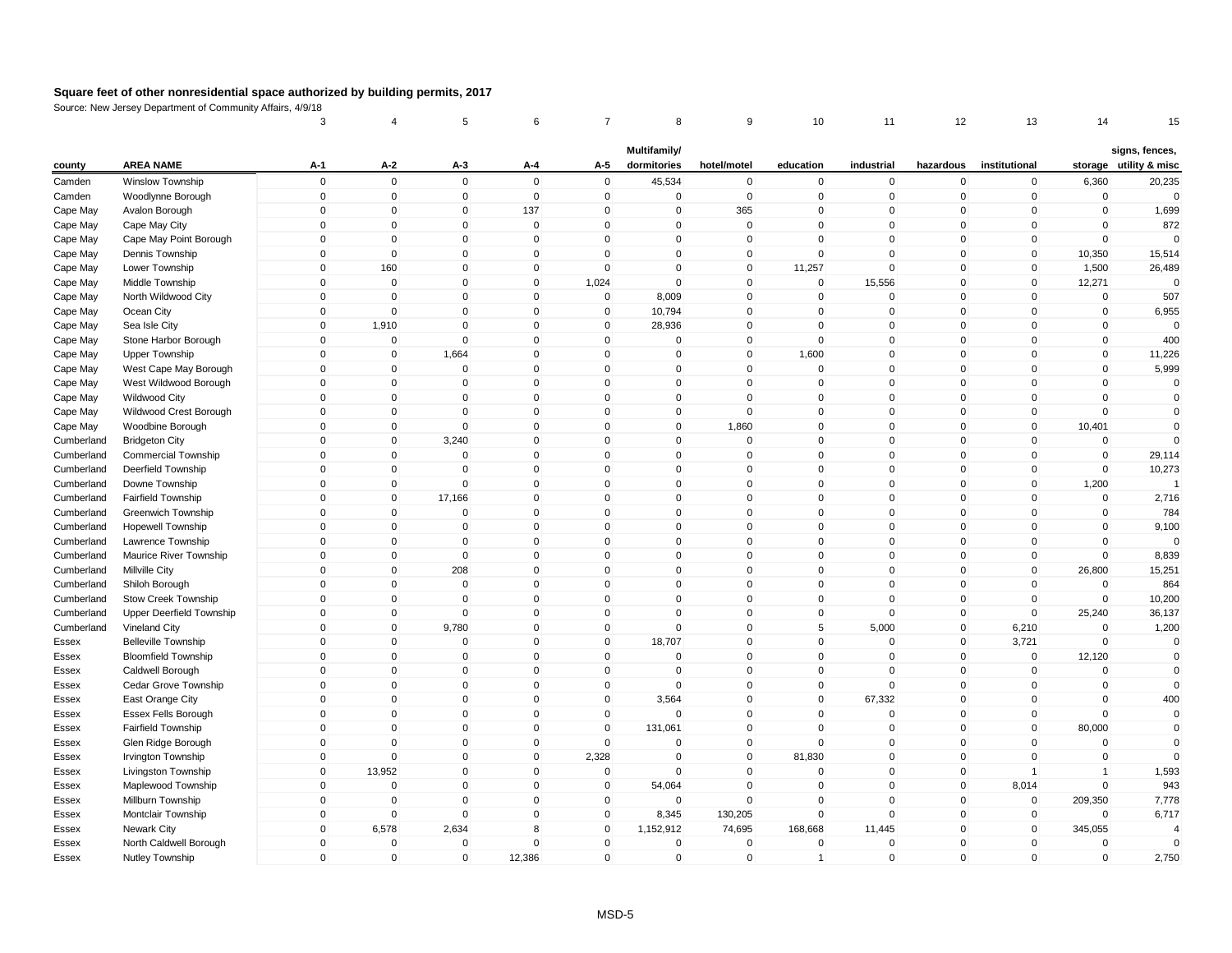|                      |                                         | 3                       | 4                        | 5                       | 6                           | 7                           | 8                           | 9                          | 10                    | 11           | 12                          | 13            | 14                      | 15                                       |
|----------------------|-----------------------------------------|-------------------------|--------------------------|-------------------------|-----------------------------|-----------------------------|-----------------------------|----------------------------|-----------------------|--------------|-----------------------------|---------------|-------------------------|------------------------------------------|
| county               | <b>AREA NAME</b>                        | A-1                     | $A-2$                    | A-3                     | A-4                         | A-5                         | Multifamily/<br>dormitories | hotel/motel                | education             | industrial   | hazardous                   | institutional |                         | signs, fences,<br>storage utility & misc |
| Camden               | <b>Winslow Township</b>                 | $\mathbf 0$             | $\mathbf 0$              | $\mathsf 0$             | $\mathbf 0$                 | $\mathbf 0$                 | 45,534                      | $\pmb{0}$                  | $\mathbf 0$           | $\mathbf 0$  | $\mathbf 0$                 | $\mathbf 0$   | 6,360                   | 20,235                                   |
| Camden               | Woodlynne Borough                       | $\mathbf 0$             | $\mathbf 0$              | $\mathbf 0$             | $\mathbf 0$                 | $\mathbf 0$                 | $\mathbf 0$                 | $\mathbf 0$                | $\mathbf 0$           | $\mathbf 0$  | $\mathbf 0$                 | $\mathbf 0$   | $\mathbf 0$             | $\Omega$                                 |
|                      | Avalon Borough                          | $\Omega$                | $\pmb{0}$                | 0                       | 137                         | 0                           | $\pmb{0}$                   | 365                        | $\Omega$              | $\mathbf 0$  | $\mathbf 0$                 | $\Omega$      | $\pmb{0}$               | 1,699                                    |
| Cape May             |                                         | $\mathbf{0}$            | $\mathbf 0$              | $\mathbf 0$             | $\mathbf 0$                 | $\mathbf{0}$                | $\Omega$                    | $\mathsf 0$                | $\mathbf{0}$          | $\Omega$     | $\mathbf{0}$                | $\mathbf{0}$  | $\mathbf 0$             | 872                                      |
| Cape May<br>Cape May | Cape May City<br>Cape May Point Borough | $\mathbf 0$             | $\mathbf 0$              | $\mathbf 0$             | $\mathbf 0$                 | $\mathbf 0$                 | $\mathbf 0$                 | $\mathbf 0$                | $\Omega$              | $\mathbf 0$  | $\mathbf 0$                 | $\mathbf 0$   | $\mathbf 0$             | $\Omega$                                 |
| Cape May             | Dennis Township                         | $\mathbf{0}$            | $\mathbf 0$              | $\mathbf{0}$            | $\mathbf 0$                 | $\mathbf{0}$                | $\Omega$                    | $\mathbf 0$                | $\Omega$              | $\Omega$     | $\mathbf 0$                 | $\Omega$      | 10,350                  | 15,514                                   |
| Cape May             | Lower Township                          | $\mathbf{0}$            | 160                      | $\mathbf{0}$            | $\mathbf{0}$                | $\mathbf{0}$                | $\Omega$                    | $\mathbf 0$                | 11,257                | $\mathbf 0$  | $\mathbf{0}$                | $\mathbf{0}$  | 1,500                   | 26,489                                   |
| Cape May             | Middle Township                         | $\mathbf 0$             | $\mathbf 0$              | $\mathbf 0$             | $\mathbf 0$                 | 1,024                       | $\mathbf 0$                 | $\mathsf 0$                | $\mathbf 0$           | 15,556       | $\mathbf 0$                 | $\mathbf 0$   | 12,271                  | $\mathbf 0$                              |
| Cape May             | North Wildwood City                     | $\mathbf{0}$            | $\mathbf 0$              | $\mathbf{0}$            | $\Omega$                    | $\mathbf 0$                 | 8,009                       | $\mathbf 0$                | $\mathbf{0}$          | $\mathbf{0}$ | $\mathbf{0}$                | $\Omega$      | $\mathbf 0$             | 507                                      |
|                      |                                         | $\mathbf 0$             | $\mathbf 0$              | $\mathbf 0$             |                             |                             |                             |                            | $\mathbf 0$           | $\mathbf 0$  |                             | $\mathbf 0$   | $\mathbf 0$             |                                          |
| Cape May             | Ocean City                              | $\mathbf 0$             | 1,910                    | $\mathbf 0$             | $\mathbf 0$<br>$\Omega$     | $\mathbf 0$<br>0            | 10,794<br>28,936            | $\mathbf 0$<br>$\mathbf 0$ | $\Omega$              | $\Omega$     | $\mathbf 0$<br>0            | 0             | $\pmb{0}$               | 6,955<br>$\Omega$                        |
| Cape May             | Sea Isle City<br>Stone Harbor Borough   | $\mathbf{0}$            | $\pmb{0}$                | $\mathbf 0$             | $\mathbf{0}$                | $\mathbf 0$                 | $\mathbf 0$                 | $\mathsf 0$                | $\mathbf{0}$          | $\mathbf 0$  | $\mathbf{0}$                | $\mathbf{0}$  | $\mathbf 0$             | 400                                      |
| Cape May             |                                         |                         |                          | 1,664                   | $\mathbf 0$                 |                             | $\mathbf 0$                 | $\mathsf 0$                |                       | $\mathbf 0$  |                             | $\mathbf 0$   | $\mathbf 0$             |                                          |
| Cape May             | <b>Upper Township</b>                   | $\mathbf 0$<br>$\Omega$ | $\pmb{0}$<br>$\mathbf 0$ | $\mathbf 0$             | $\mathbf{0}$                | $\mathbf 0$<br>$\mathbf{0}$ | $\Omega$                    | $\mathbf 0$                | 1,600<br>$\mathbf{0}$ | $\mathbf 0$  | $\mathbf 0$<br>$\mathbf{0}$ | $\Omega$      | $\mathbf 0$             | 11,226<br>5,999                          |
| Cape May             | West Cape May Borough                   | $\Omega$                | $\mathbf 0$              | $\Omega$                |                             |                             |                             |                            |                       | $\Omega$     |                             | 0             |                         |                                          |
| Cape May             | West Wildwood Borough                   |                         |                          |                         | $\mathbf{0}$<br>$\mathbf 0$ | $\mathbf 0$                 | 0                           | $\mathbf 0$                | $\mathbf{0}$          | $\mathbf 0$  | $\mathbf 0$                 |               | $\mathbf 0$             | $\mathbf 0$<br>$\mathbf 0$               |
| Cape May             | <b>Wildwood City</b>                    | $\mathbf 0$             | $\mathbf 0$              | $\mathbf 0$<br>$\Omega$ |                             | $\mathbf 0$                 | $\mathbf 0$                 | $\mathsf 0$                | $\mathbf{0}$          |              | $\mathbf 0$                 | $\mathbf 0$   | $\mathbf 0$<br>$\Omega$ |                                          |
| Cape May             | Wildwood Crest Borough                  | $\mathbf 0$             | $\pmb{0}$                |                         | $\mathbf 0$                 | $\mathbf 0$                 | $\mathbf 0$                 | $\mathsf 0$                | $\mathbf{0}$          | $\mathbf 0$  | $\mathbf 0$                 | $\mathbf 0$   |                         | $\Omega$                                 |
| Cape May             | Woodbine Borough                        | $\mathbf 0$             | $\mathbf 0$              | $\mathbf 0$             | $\mathbf 0$                 | $\mathbf 0$                 | $\mathbf 0$                 | 1,860                      | $\mathbf{0}$          | $\mathbf 0$  | $\mathbf 0$                 | $\mathbf 0$   | 10,401                  | $\Omega$<br>$\Omega$                     |
| Cumberland           | <b>Bridgeton City</b>                   | $\Omega$                | $\,0\,$                  | 3,240                   | $\mathbf 0$                 | 0                           | 0                           | $\mathbf 0$                | $\Omega$              | $\mathbf 0$  | 0                           | $\Omega$      | 0                       |                                          |
| Cumberland           | <b>Commercial Township</b>              | $\mathbf{0}$            | $\mathbf 0$              | $\mathbf 0$             | $\Omega$                    | $\mathbf{0}$                | $\Omega$                    | $\mathsf 0$                | $\mathbf{0}$          | $\mathbf{0}$ | $\mathbf{0}$                | $\mathbf{0}$  | $\mathbf 0$             | 29,114                                   |
| Cumberland           | Deerfield Township                      | $\mathbf 0$             | $\mathbf 0$              | $\mathbf 0$             | $\mathbf 0$                 | $\mathbf 0$                 | $\mathbf 0$                 | $\mathsf 0$                | $\mathbf{0}$          | $\mathbf 0$  | $\mathbf 0$                 | $\mathbf 0$   | $\mathbf 0$             | 10,273                                   |
| Cumberland           | Downe Township                          | $\mathbf{0}$            | $\mathbf 0$              | $\mathbf{0}$            | $\mathbf{0}$                | $\mathbf 0$                 | $\Omega$                    | $\mathbf 0$                | $\Omega$              | $\mathbf{0}$ | $\mathbf 0$                 | $\mathbf 0$   | 1,200                   |                                          |
| Cumberland           | Fairfield Township                      | $\mathbf{0}$            | $\mathbf 0$              | 17,166                  | $\mathbf{0}$                | $\mathbf{0}$                | $\mathbf 0$                 | $\mathbf 0$                | $\Omega$              | $\mathbf 0$  | $\mathbf{0}$                | $\Omega$      | $\mathbf 0$             | 2,716                                    |
| Cumberland           | Greenwich Township                      | $\Omega$                | $\mathbf 0$              | $\mathbf 0$             | $\mathbf 0$                 | 0                           | 0                           | $\mathsf 0$                | $\mathbf{0}$          | $\mathbf 0$  | $\mathbf 0$                 | 0             | $\mathbf 0$             | 784                                      |
| Cumberland           | <b>Hopewell Township</b>                | $\mathbf{0}$            | $\mathbf 0$              | $\mathbf{0}$            | $\mathbf{0}$                | $\mathbf{0}$                | $\mathbf{0}$                | $\mathsf 0$                | $\mathbf{0}$          | $\Omega$     | $\mathbf{0}$                | $\mathbf{0}$  | $\mathbf 0$             | 9,100                                    |
| Cumberland           | Lawrence Township                       | $\mathbf 0$             | $\pmb{0}$                | $\mathbf 0$             | $\mathbf 0$                 | $\mathbf 0$                 | 0                           | $\pmb{0}$                  | $\mathbf 0$           | $\mathbf 0$  | $\mathbf 0$                 | $\mathbf 0$   | $\mathbf 0$             | $\Omega$                                 |
| Cumberland           | Maurice River Township                  | $\mathbf 0$             | $\pmb{0}$                | $\mathbf 0$             | $\mathbf 0$                 | $\mathbf 0$                 | 0                           | $\mathbf 0$                | $\mathbf{0}$          | $\mathbf 0$  | $\mathbf 0$                 | $\pmb{0}$     | $\mathbf 0$             | 8,839                                    |
| Cumberland           | <b>Millville City</b>                   | $\mathbf{0}$            | $\pmb{0}$                | 208                     | $\mathbf 0$                 | $\mathbf 0$                 | 0                           | $\mathsf 0$                | $\mathbf{0}$          | $\mathbf 0$  | $\mathbf 0$                 | $\mathbf 0$   | 26,800                  | 15,251                                   |
| Cumberland           | Shiloh Borough                          | $\mathbf 0$             | $\mathbf 0$              | $\mathbf 0$             | $\mathbf 0$                 | $\mathbf 0$                 | 0                           | $\mathsf 0$                | $\mathbf{0}$          | $\mathbf 0$  | $\mathbf 0$                 | $\mathbf 0$   | $\mathbf 0$             | 864                                      |
| Cumberland           | Stow Creek Township                     | $\mathbf 0$             | $\mathbf 0$              | $\mathbf 0$             | $\mathbf 0$                 | $\mathbf 0$                 | $\Omega$                    | $\mathbf 0$                | $\Omega$              | $\mathbf 0$  | $\mathbf 0$                 | $\mathbf 0$   | $\mathbf 0$             | 10,200                                   |
| Cumberland           | Upper Deerfield Township                | $\Omega$                | $\mathbf 0$              | $\mathbf 0$             | $\mathbf 0$                 | $\mathbf 0$                 | $\Omega$                    | $\mathbf 0$                | $\mathbf{0}$          | $\Omega$     | $\mathbf 0$                 | $\mathbf{0}$  | 25,240                  | 36,137                                   |
| Cumberland           | Vineland City                           | $\mathbf{0}$            | $\mathbf 0$              | 9,780                   | $\mathbf 0$                 | $\mathbf 0$                 | $\mathbf 0$                 | $\mathsf 0$                | 5                     | 5,000        | $\mathbf 0$                 | 6,210         | $\mathbf 0$             | 1,200                                    |
| Essex                | <b>Belleville Township</b>              | $\mathbf 0$             | $\mathbf 0$              | $\mathbf 0$             | $\mathbf 0$                 | $\mathbf 0$                 | 18,707                      | $\mathsf 0$                | $\mathbf{0}$          | $\mathbf 0$  | $\mathbf 0$                 | 3,721         | $\Omega$                | $\mathbf 0$                              |
| Essex                | <b>Bloomfield Township</b>              | $\mathbf 0$             | $\mathbf 0$              | $\mathbf 0$             | $\mathbf 0$                 | $\mathbf 0$                 | $\mathbf 0$                 | $\mathsf 0$                | $\mathbf{0}$          | $\mathbf 0$  | $\mathbf 0$                 | $\mathbf 0$   | 12,120                  | $\mathbf 0$                              |
| Essex                | Caldwell Borough                        | $\mathbf 0$             | $\pmb{0}$                | $\mathbf 0$             | $\mathbf 0$                 | $\mathbf 0$                 | 0                           | $\mathbf 0$                | $\mathbf 0$           | $\mathbf 0$  | $\mathbf 0$                 | $\pmb{0}$     | $\mathbf 0$             | $\Omega$                                 |
| Essex                | Cedar Grove Township                    | $\mathbf{0}$            | $\mathbf 0$              | $\mathbf{0}$            | $\Omega$                    | $\mathbf{0}$                | $\Omega$                    | $\mathbf 0$                | $\mathbf{0}$          | $\Omega$     | $\mathbf{0}$                | $\mathbf{0}$  | $\Omega$                | $\mathbf{0}$                             |
| Essex                | East Orange City                        | $\mathbf{0}$            | $\mathbf 0$              | $\mathbf 0$             | $\mathbf 0$                 | $\mathbf 0$                 | 3,564                       | $\pmb{0}$                  | $\mathbf{0}$          | 67,332       | $\mathbf 0$                 | $\mathbf 0$   | $\mathbf 0$             | 400                                      |
| Essex                | Essex Fells Borough                     | $\mathbf 0$             | $\mathbf 0$              | $\mathbf 0$             | $\mathbf 0$                 | $\mathbf 0$                 | $\Omega$                    | $\mathbf 0$                | $\mathbf 0$           | $\mathbf 0$  | $\mathbf 0$                 | $\mathbf 0$   | $\mathbf 0$             | 0                                        |
| Essex                | Fairfield Township                      | $\mathbf{0}$            | $\mathbf 0$              | $\mathbf 0$             | $\mathbf{0}$                | $\mathbf{0}$                | 131,061                     | $\mathbf{0}$               | $\Omega$              | $\mathbf 0$  | $\mathbf{0}$                | $\mathbf{0}$  | 80,000                  | $\mathbf 0$                              |
| Essex                | Glen Ridge Borough                      | $\mathbf 0$             | $\mathbf 0$              | $\mathbf 0$             | $\mathbf 0$                 | $\mathbf 0$                 | $\Omega$                    | $\mathsf 0$                | $\mathbf{0}$          | $\mathbf 0$  | $\mathbf 0$                 | 0             | $\mathbf 0$             | $\Omega$                                 |
| Essex                | <b>Irvington Township</b>               | $\mathbf{0}$            | $\mathbf 0$              | $\mathbf{0}$            | $\Omega$                    | 2,328                       | $\Omega$                    | $\mathbf 0$                | 81,830                | $\Omega$     | $\mathbf{0}$                | $\mathbf{0}$  | $\mathbf 0$             | $\Omega$                                 |
| Essex                | Livingston Township                     | $\mathbf 0$             | 13,952                   | $\mathbf 0$             | $\mathbf 0$                 | $\mathbf 0$                 | 0                           | $\mathbf 0$                | $\mathbf{0}$          | $\mathbf 0$  | $\mathbf 0$                 | $\mathbf{1}$  | $\overline{1}$          | 1,593                                    |
| Essex                | Maplewood Township                      | $\mathbf 0$             | $\mathbf 0$              | $\mathbf 0$             | $\mathbf 0$                 | $\mathbf 0$                 | 54,064                      | $\mathbf 0$                | $\mathbf 0$           | $\mathbf 0$  | $\mathbf 0$                 | 8,014         | $\mathbf 0$             | 943                                      |
| Essex                | Millburn Township                       | $\Omega$                | $\mathbf 0$              | $\mathbf 0$             | $\mathbf 0$                 | $\mathbf 0$                 | $\mathbf 0$                 | $\mathbf 0$                | $\Omega$              | $\mathbf 0$  | $\mathbf 0$                 | $\mathbf 0$   | 209,350                 | 7,778                                    |
| Essex                | Montclair Township                      | $\mathbf 0$             | $\mathbf 0$              | $\mathbf 0$             | $\mathbf 0$                 | $\mathbf 0$                 | 8,345                       | 130,205                    | $\Omega$              | $\mathbf 0$  | $\mathbf 0$                 | $\mathbf 0$   | $\mathbf 0$             | 6,717                                    |
| Essex                | Newark City                             | $\mathbf 0$             | 6,578                    | 2,634                   | 8                           | $\mathbf 0$                 | 1,152,912                   | 74,695                     | 168,668               | 11,445       | $\mathbf 0$                 | $\mathbf 0$   | 345,055                 | $\Lambda$                                |
| Essex                | North Caldwell Borough                  | $\mathbf{0}$            | $\mathbf 0$              | $\mathbf 0$             | $\Omega$                    | $\mathbf 0$                 | 0                           | $\mathbf 0$                | $\Omega$              | $\Omega$     | $\mathbf{0}$                | $\Omega$      | $\mathbf 0$             | $\Omega$                                 |
| Essex                | Nutley Township                         | $\mathbf{0}$            | $\mathbf 0$              | $\mathbf 0$             | 12,386                      | $\mathbf{0}$                | $\mathbf{0}$                | $\mathsf 0$                | $\overline{1}$        | $\Omega$     | $\mathbf 0$                 | $\mathbf{0}$  | $\mathbf 0$             | 2,750                                    |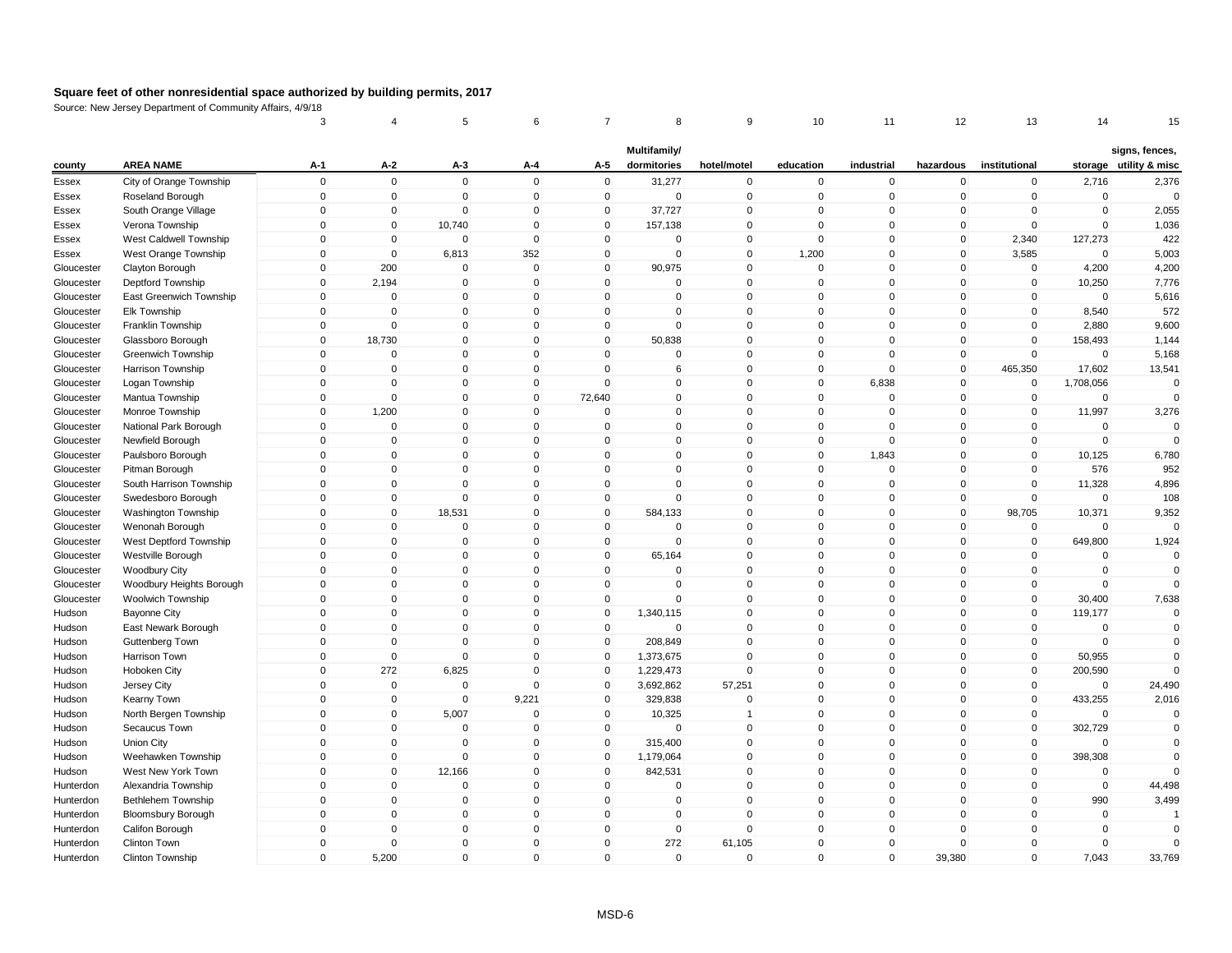|            |                           | 3            | 4            | 5           | 6            | 7            | 8            | 9              | 10           | 11           | 12             | 13            | 14          | 15                     |
|------------|---------------------------|--------------|--------------|-------------|--------------|--------------|--------------|----------------|--------------|--------------|----------------|---------------|-------------|------------------------|
|            |                           |              |              |             |              |              | Multifamily/ |                |              |              |                |               |             | signs, fences,         |
| county     | <b>AREA NAME</b>          | A-1          | A-2          | A-3         | A-4          | A-5          | dormitories  | hotel/motel    | education    | industrial   | hazardous      | institutional |             | storage utility & misc |
| Essex      | City of Orange Township   | $\mathbf 0$  | $\mathbf 0$  | $\mathbf 0$ | $\mathbf 0$  | $\mathbf 0$  | 31,277       | $\mathbf 0$    | $\mathbf 0$  | $\mathbf 0$  | 0              | $\mathbf 0$   | 2,716       | 2,376                  |
| Essex      | Roseland Borough          | $\mathbf 0$  | $\mathbf 0$  | $\mathbf 0$ | $\mathbf 0$  | $\mathbf 0$  | $\mathbf 0$  | $\mathbf 0$    | $\mathbf 0$  | $\mathbf 0$  | $\mathbf 0$    | $\mathbf 0$   | $\mathbf 0$ | $\Omega$               |
| Essex      | South Orange Village      | 0            | $\pmb{0}$    | $\pmb{0}$   | $\mathbf 0$  | 0            | 37,727       | $\pmb{0}$      | $\Omega$     | 0            | $\Omega$       | $\mathbf 0$   | $\Omega$    | 2,055                  |
| Essex      | Verona Township           | $\mathbf 0$  | $\mathbf 0$  | 10,740      | $\mathbf 0$  | $\mathbf{0}$ | 157,138      | $\mathsf 0$    | $\Omega$     | $\mathbf{0}$ | $\Omega$       | $\mathbf 0$   | $\Omega$    | 1,036                  |
| Essex      | West Caldwell Township    | $\mathbf 0$  | $\mathbf 0$  | $\mathbf 0$ | $\mathbf 0$  | $\mathbf 0$  | $\mathbf 0$  | $\mathbf 0$    | $\mathbf 0$  | $\mathbf 0$  | $\mathbf 0$    | 2,340         | 127,273     | 422                    |
| Essex      | West Orange Township      | $\mathbf 0$  | $\mathbf 0$  | 6,813       | 352          | $\mathbf 0$  | $\Omega$     | $\mathsf 0$    | 1,200        | $\mathbf{0}$ | $\mathbf 0$    | 3,585         | $\Omega$    | 5,003                  |
| Gloucester | Clayton Borough           | $\mathbf{0}$ | 200          | $\mathbf 0$ | $\mathbf{0}$ | $\mathbf 0$  | 90,975       | $\mathbf 0$    | $\Omega$     | $\mathbf 0$  | 0              | $\mathbf 0$   | 4,200       | 4,200                  |
| Gloucester | Deptford Township         | $\mathbf 0$  | 2,194        | $\mathbf 0$ | $\mathbf 0$  | 0            | 0            | $\mathbf 0$    | $\mathbf 0$  | $\mathbf 0$  | 0              | $\mathbf 0$   | 10,250      | 7,776                  |
| Gloucester | East Greenwich Township   | $\mathbf{0}$ | $\mathbf 0$  | $\mathbf 0$ | $\Omega$     | $\mathbf{0}$ | $\mathbf{0}$ | $\mathsf 0$    | $\Omega$     | $\mathbf{0}$ | $\mathbf{0}$   | $\mathbf 0$   | $\Omega$    | 5,616                  |
| Gloucester | Elk Township              | $\mathbf 0$  | $\mathbf 0$  | $\mathbf 0$ | $\mathbf 0$  | $\mathbf 0$  | $\mathbf 0$  | $\mathsf 0$    | $\mathbf 0$  | $\mathbf 0$  | $\overline{0}$ | $\mathbf 0$   | 8,540       | 572                    |
| Gloucester | Franklin Township         | 0            | $\mathbf 0$  | $\mathbf 0$ | $\Omega$     | 0            | $\mathbf 0$  | $\mathbf 0$    | $\Omega$     | $\mathbf 0$  | $\mathbf 0$    | $\mathbf 0$   | 2,880       | 9,600                  |
| Gloucester | Glassboro Borough         | $\mathbf 0$  | 18,730       | $\mathbf 0$ | $\mathbf 0$  | $\mathbf 0$  | 50,838       | $\mathsf 0$    | $\Omega$     | $\mathbf 0$  | $\mathbf 0$    | $\mathbf{0}$  | 158,493     | 1,144                  |
| Gloucester | Greenwich Township        | $\mathbf 0$  | $\mathbf 0$  | $\mathbf 0$ | $\mathbf 0$  | $\mathbf 0$  | 0            | $\mathsf 0$    | $\mathbf 0$  | $\mathbf 0$  | 0              | $\mathbf 0$   | $\mathbf 0$ | 5,168                  |
| Gloucester | Harrison Township         | $\mathbf{0}$ | $\mathbf 0$  | $\mathbf 0$ | $\mathbf{0}$ | $\mathbf{0}$ | 6            | $\mathbf 0$    | $\mathbf{0}$ | $\mathbf 0$  | $\mathbf{0}$   | 465,350       | 17,602      | 13,541                 |
| Gloucester | Logan Township            | $\mathbf 0$  | $\Omega$     | $\mathbf 0$ | $\mathbf 0$  | $\mathbf{0}$ | $\mathbf 0$  | $\mathbf 0$    | $\mathbf{0}$ | 6,838        | $\mathbf 0$    | $\mathbf 0$   | 1,708,056   | $\Omega$               |
| Gloucester | Mantua Township           | $\mathbf 0$  | $\mathbf 0$  | $\mathbf 0$ | $\mathbf 0$  | 72,640       | 0            | $\mathsf 0$    | $\Omega$     | $\mathbf 0$  | $\overline{0}$ | $\mathbf 0$   | $\mathbf 0$ | $\Omega$               |
| Gloucester | Monroe Township           | $\mathbf 0$  | 1,200        | $\mathbf 0$ | $\mathbf 0$  | $\mathbf 0$  | $\mathbf 0$  | $\mathsf 0$    | $\mathbf{0}$ | $\mathbf 0$  | $\mathbf 0$    | $\mathbf 0$   | 11,997      | 3,276                  |
| Gloucester | National Park Borough     | $\mathbf 0$  | $\mathbf 0$  | $\mathbf 0$ | $\mathbf 0$  | $\mathbf 0$  | $\mathbf 0$  | $\mathbf 0$    | $\mathbf 0$  | $\mathbf 0$  | $\overline{0}$ | $\mathbf 0$   | $\mathbf 0$ | $\Omega$               |
| Gloucester | Newfield Borough          | 0            | $\mathbf 0$  | $\mathbf 0$ | $\mathbf 0$  | $\Omega$     | 0            | $\mathbf 0$    | $\mathbf 0$  | $\mathbf 0$  | $\mathbf 0$    | $\mathbf 0$   | $\Omega$    |                        |
| Gloucester | Paulsboro Borough         | $\mathbf 0$  | $\mathbf 0$  | $\mathbf 0$ | $\Omega$     | $\mathbf{0}$ | $\Omega$     | $\mathsf 0$    | $\Omega$     | 1,843        | $\mathbf{0}$   | $\mathbf 0$   | 10,125      | 6,780                  |
| Gloucester | Pitman Borough            | $\mathbf 0$  | $\mathbf 0$  | $\mathbf 0$ | $\mathbf 0$  | $\mathbf 0$  | 0            | $\mathsf 0$    | $\Omega$     | $\mathbf 0$  | 0              | $\mathbf 0$   | 576         | 952                    |
| Gloucester | South Harrison Township   | $\mathbf{0}$ | $\pmb{0}$    | $\mathbf 0$ | $\mathbf 0$  | 0            | $\Omega$     | $\pmb{0}$      | $\mathbf{0}$ | $\mathbf{0}$ | 0              | $\mathbf 0$   | 11,328      | 4,896                  |
| Gloucester | Swedesboro Borough        | $\mathbf{0}$ | $\mathbf 0$  | $\mathbf 0$ | $\Omega$     | $\mathbf 0$  | $\mathbf 0$  | $\mathbf 0$    | $\Omega$     | $\mathbf{0}$ | $\mathbf 0$    | $\mathbf 0$   | $\Omega$    | 108                    |
| Gloucester | Washington Township       | $\mathbf 0$  | $\pmb{0}$    | 18,531      | $\mathbf 0$  | $\mathbf 0$  | 584,133      | $\mathbf 0$    | $\Omega$     | $\mathbf 0$  | $\mathbf 0$    | 98,705        | 10,371      | 9,352                  |
| Gloucester | Wenonah Borough           | $\mathbf{0}$ | $\mathbf 0$  | $\mathbf 0$ | $\Omega$     | $\mathbf 0$  | $\mathbf 0$  | $\mathsf 0$    | $\mathbf{0}$ | $\mathbf{0}$ | $\mathbf{0}$   | $\mathbf 0$   | $\Omega$    | $\mathbf{0}$           |
| Gloucester | West Deptford Township    | $\mathbf 0$  | $\pmb{0}$    | $\mathbf 0$ | $\mathbf 0$  | $\mathbf 0$  | $\mathbf 0$  | $\mathsf 0$    | $\mathbf 0$  | $\mathbf 0$  | $\mathbf 0$    | $\mathbf 0$   | 649,800     | 1,924                  |
| Gloucester | Westville Borough         | $\mathbf 0$  | $\pmb{0}$    | $\mathbf 0$ | $\mathbf 0$  | $\mathbf 0$  | 65,164       | $\mathbf 0$    | $\Omega$     | $\mathbf 0$  | $\mathbf 0$    | $\mathbf 0$   | $\mathbf 0$ | $\mathbf 0$            |
| Gloucester | <b>Woodbury City</b>      | $\mathbf{0}$ | $\mathbf 0$  | $\mathbf 0$ | $\Omega$     | $\mathbf 0$  | $\mathbf 0$  | $\mathsf 0$    | $\Omega$     | $\mathbf 0$  | $\mathbf{0}$   | $\mathbf{0}$  | $\Omega$    | $\Omega$               |
| Gloucester | Woodbury Heights Borough  | $\mathbf 0$  | $\mathbf 0$  | $\mathbf 0$ | $\mathbf 0$  | $\mathbf 0$  | 0            | $\mathsf 0$    | $\mathbf 0$  | $\mathbf 0$  | 0              | $\mathbf 0$   | $\mathbf 0$ | $\mathbf{0}$           |
| Gloucester | Woolwich Township         | $\mathbf 0$  | $\mathbf 0$  | $\mathbf 0$ | $\mathbf 0$  | $\mathbf 0$  | $\mathbf 0$  | $\mathbf 0$    | $\Omega$     | $\mathbf 0$  | $\mathbf 0$    | $\mathbf 0$   | 30,400      | 7,638                  |
| Hudson     | <b>Bayonne City</b>       | $\mathbf 0$  | $\mathbf 0$  | $\mathbf 0$ | $\mathbf 0$  | $\mathbf 0$  | 1,340,115    | $\mathbf 0$    | $\Omega$     | $\mathbf{0}$ | 0              | $\mathbf 0$   | 119,177     | $\mathbf{0}$           |
| Hudson     | East Newark Borough       | $\mathbf{0}$ | $\mathbf 0$  | $\mathbf 0$ | $\Omega$     | $\mathbf 0$  | $\mathbf 0$  | $\mathsf 0$    | $\Omega$     | $\mathbf 0$  | $\mathbf{0}$   | $\mathbf{0}$  | $\Omega$    | $\mathbf{0}$           |
| Hudson     | Guttenberg Town           | $\mathbf 0$  | $\mathbf 0$  | $\mathbf 0$ | $\mathbf 0$  | $\mathbf 0$  | 208,849      | $\mathsf 0$    | $\Omega$     | $\mathbf 0$  | $\mathbf 0$    | $\mathbf 0$   | $\Omega$    | $\mathbf{0}$           |
| Hudson     | Harrison Town             | $\mathbf 0$  | $\mathbf 0$  | $\mathbf 0$ | $\mathbf 0$  | $\mathbf 0$  | 1,373,675    | $\mathsf 0$    | $\Omega$     | $\mathbf 0$  | $\overline{0}$ | $\mathbf 0$   | 50,955      | $\mathbf{0}$           |
| Hudson     | Hoboken City              | $\mathbf 0$  | 272          | 6,825       | $\mathbf 0$  | 0            | 1,229,473    | $\mathbf 0$    | $\mathbf 0$  | $\mathbf 0$  | $\mathbf 0$    | $\mathbf 0$   | 200,590     |                        |
| Hudson     | Jersey City               | $\mathbf{0}$ | $\mathbf 0$  | $\mathbf 0$ | $\Omega$     | $\mathbf{0}$ | 3,692,862    | 57,251         | $\Omega$     | $\mathbf{0}$ | $\Omega$       | $\mathbf 0$   | $\Omega$    | 24,490                 |
| Hudson     | Kearny Town               | $\mathbf 0$  | $\mathbf 0$  | $\mathbf 0$ | 9,221        | $\mathbf 0$  | 329,838      | $\mathbf 0$    | $\Omega$     | $\mathbf 0$  | 0              | $\mathbf 0$   | 433,255     | 2,016                  |
| Hudson     | North Bergen Township     | $\mathbf 0$  | $\mathbf 0$  | 5,007       | $\mathbf 0$  | $\mathbf 0$  | 10,325       | $\overline{1}$ | $\mathbf 0$  | $\mathbf 0$  | 0              | $\mathbf 0$   | $\mathbf 0$ | $\mathbf 0$            |
| Hudson     | Secaucus Town             | $\mathbf{0}$ | $\mathbf 0$  | $\mathbf 0$ | $\Omega$     | $\mathbf 0$  | $\Omega$     | $\mathbf 0$    | $\Omega$     | $\mathbf 0$  | $\mathbf{0}$   | $\mathbf{0}$  | 302,729     | $\mathbf{0}$           |
| Hudson     | Union City                | $\mathbf 0$  | $\mathbf 0$  | $\mathbf 0$ | $\mathbf 0$  | $\mathbf 0$  | 315,400      | $\mathbf 0$    | $\Omega$     | $\mathbf 0$  | $\Omega$       | $\mathbf 0$   | $\Omega$    | $\mathbf{0}$           |
| Hudson     | Weehawken Township        | $\mathbf{0}$ | $\mathsf{O}$ | $\pmb{0}$   | $\Omega$     | $\mathbf{0}$ | 1,179,064    | $\mathbf 0$    | $\Omega$     | $\mathbf{0}$ | 0              | $\mathbf{0}$  | 398,308     | $\Omega$               |
| Hudson     | West New York Town        | $\mathbf 0$  | $\mathbf 0$  | 12,166      | $\mathbf 0$  | $\mathbf 0$  | 842,531      | $\mathbf 0$    | $\mathbf 0$  | $\mathbf 0$  | $\overline{0}$ | $\mathbf 0$   | $\mathbf 0$ |                        |
| Hunterdon  | Alexandria Township       | $\mathbf 0$  | $\mathbf 0$  | $\mathbf 0$ | $\mathbf 0$  | $\mathbf 0$  | 0            | $\mathbf 0$    | $\mathbf 0$  | $\mathbf 0$  | $\mathbf 0$    | $\mathbf 0$   | $\mathbf 0$ | 44,498                 |
| Hunterdon  | Bethlehem Township        | $\mathbf 0$  | $\mathbf 0$  | $\mathbf 0$ | $\mathbf 0$  | $\mathbf 0$  | $\mathbf 0$  | $\mathsf 0$    | $\Omega$     | $\mathbf 0$  | $\mathbf{0}$   | $\mathbf 0$   | 990         | 3,499                  |
| Hunterdon  | <b>Bloomsbury Borough</b> | $\mathbf 0$  | $\mathbf 0$  | $\mathbf 0$ | $\mathbf 0$  | $\mathbf 0$  | 0            | $\mathsf 0$    | $\Omega$     | $\mathbf 0$  | 0              | $\mathbf 0$   | $\mathbf 0$ | $\overline{1}$         |
| Hunterdon  | Califon Borough           | $\mathbf 0$  | $\mathbf 0$  | $\mathbf 0$ | $\mathbf 0$  | $\mathbf 0$  | $\mathbf 0$  | $\mathbf 0$    | $\Omega$     | $\mathbf 0$  | 0              | $\mathbf 0$   | $\mathbf 0$ | $\mathbf{0}$           |
| Hunterdon  | Clinton Town              | $\mathbf 0$  | $\Omega$     | $\mathbf 0$ | $\mathbf 0$  | $\mathbf{0}$ | 272          | 61,105         | $\Omega$     | $\mathbf{0}$ | $\Omega$       | $\Omega$      | $\Omega$    | $\Omega$               |
| Hunterdon  | Clinton Township          | $\mathbf{0}$ | 5,200        | $\mathbf 0$ | $\Omega$     | $\mathbf{0}$ | $\mathbf 0$  | $\mathbf 0$    | $\mathbf{0}$ | $\mathbf{0}$ | 39,380         | $\mathbf{0}$  | 7,043       | 33,769                 |
|            |                           |              |              |             |              |              |              |                |              |              |                |               |             |                        |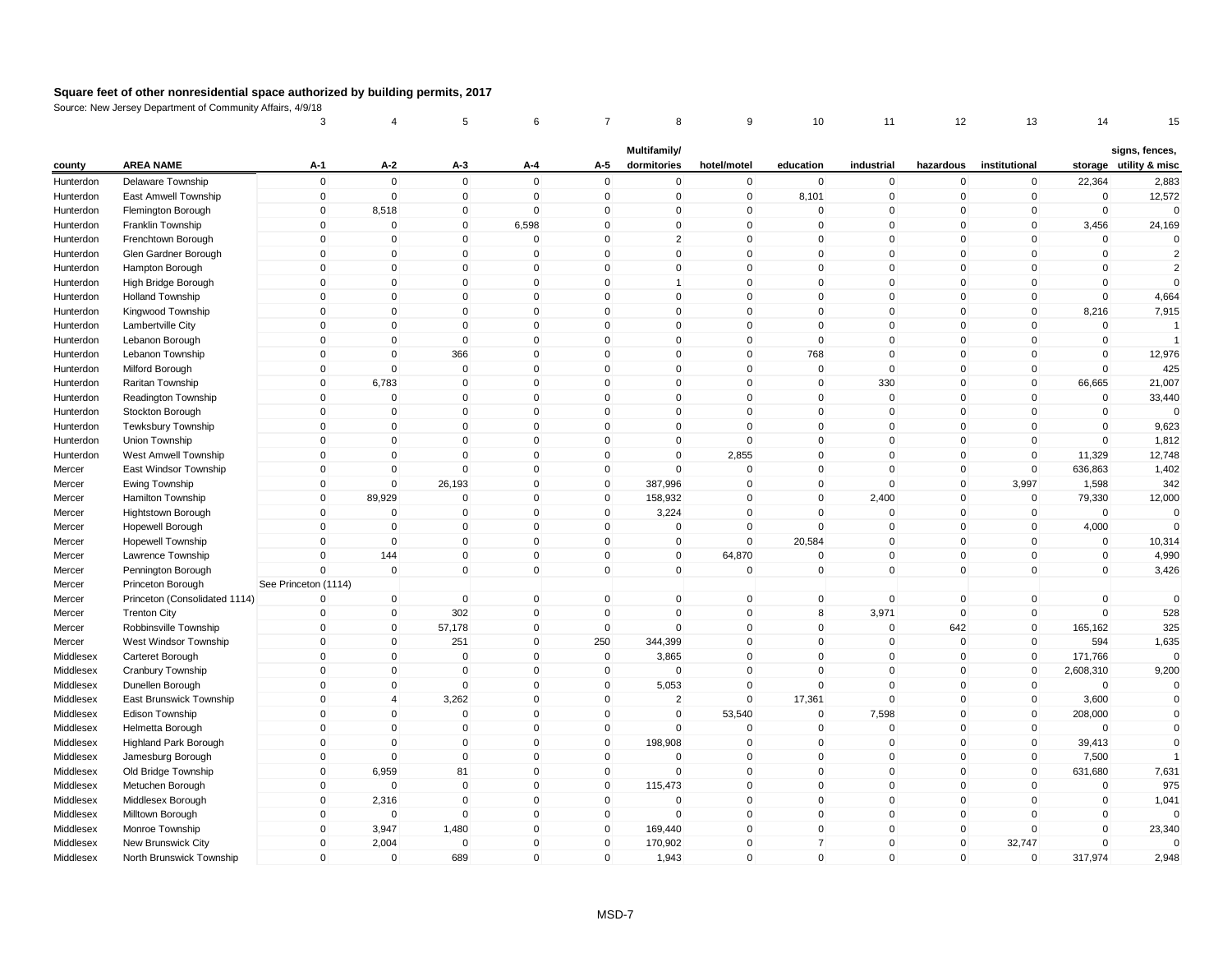|           |                               | 3                    | 4              | 5            | 6           |              | 8              | 9              | 10             | 11           | 12           | 13            | 14           | 15                     |
|-----------|-------------------------------|----------------------|----------------|--------------|-------------|--------------|----------------|----------------|----------------|--------------|--------------|---------------|--------------|------------------------|
|           |                               |                      |                |              |             |              | Multifamily/   |                |                |              |              |               |              | signs, fences,         |
| county    | <b>AREA NAME</b>              | $A-1$                | $A-2$          | A-3          | A-4         | A-5          | dormitories    | hotel/motel    | education      | industrial   | hazardous    | institutional |              | storage utility & misc |
| Hunterdon | Delaware Township             | $\mathsf 0$          | $\mathbf 0$    | $\mathbf 0$  | $\mathbf 0$ | $\mathbf 0$  | $\mathbf 0$    | $\mathbf 0$    | $\mathbf 0$    | $\mathbf 0$  | $\mathbf 0$  | $\mathbf 0$   | 22,364       | 2,883                  |
| Hunterdon | East Amwell Township          | $\pmb{0}$            | $\mathbf 0$    | $\mathbf 0$  | $\mathbf 0$ | $\mathbf 0$  | $\mathbf 0$    | $\mathbf 0$    | 8,101          | $\mathbf 0$  | $\mathbf 0$  | $\mathbf 0$   | $\mathbf 0$  | 12,572                 |
| Hunterdon | Flemington Borough            | 0                    | 8,518          | 0            | $\pmb{0}$   | 0            | 0              | $\mathbf 0$    | $\mathbf 0$    | $\mathbf 0$  | 0            | 0             | $\mathbf 0$  | $\mathbf 0$            |
| Hunterdon | Franklin Township             | $\mathsf 0$          | $\Omega$       | $\mathbf{0}$ | 6,598       | $\Omega$     | $\mathbf 0$    | $\mathbf 0$    | $\mathbf 0$    | $\Omega$     | $\Omega$     | $\mathbf{0}$  | 3,456        | 24,169                 |
| Hunterdon | Frenchtown Borough            | $\mathbf 0$          | $\overline{0}$ | $\mathbf 0$  | $\mathbf 0$ | $\mathbf{0}$ | $\overline{2}$ | $\overline{0}$ | $\Omega$       | $\mathbf 0$  | $\mathbf 0$  | $\mathbf{0}$  | $\mathbf 0$  | $\mathbf 0$            |
| Hunterdon | Glen Gardner Borough          | $\mathbf 0$          | $\Omega$       | $\Omega$     | 0           | $\Omega$     | $\mathbf 0$    | 0              | $\Omega$       | $\Omega$     | 0            | 0             | 0            | $\overline{2}$         |
| Hunterdon | Hampton Borough               | $\Omega$             | $\Omega$       | $\Omega$     | $\mathbf 0$ | $\Omega$     | $\mathbf{0}$   | $\mathbf{0}$   | $\Omega$       | $\mathbf{0}$ | $\mathbf{0}$ | $\Omega$      | $\mathbf 0$  | $\overline{2}$         |
| Hunterdon | High Bridge Borough           | $\mathsf 0$          | $\mathbf 0$    | $\mathbf{0}$ | $\mathbf 0$ | $\mathbf 0$  | $\mathbf{1}$   | 0              | $\mathbf 0$    | $\mathbf 0$  | $\mathbf 0$  | $\mathbf 0$   | $\mathbf 0$  | $\mathbf{0}$           |
| Hunterdon | <b>Holland Township</b>       | $\mathbf 0$          | $\mathbf{0}$   | $\mathbf{0}$ | $\mathbf 0$ | $\Omega$     | $\mathbf{0}$   | $\overline{0}$ | $\Omega$       | $\mathbf{0}$ | $\mathbf{0}$ | $\mathbf{0}$  | $\mathbf 0$  | 4,664                  |
| Hunterdon | Kingwood Township             | $\mathsf 0$          | $\mathbf 0$    | $\mathbf 0$  | $\mathbf 0$ | $\mathbf 0$  | $\pmb{0}$      | $\overline{0}$ | $\mathbf 0$    | $\mathbf 0$  | $\mathbf 0$  | $\mathbf 0$   | 8,216        | 7,915                  |
| Hunterdon | Lambertville City             | $\mathbf 0$          | $\mathbf 0$    | 0            | $\mathbf 0$ | 0            | $\mathbf 0$    | $\mathbf 0$    | $\mathbf 0$    | $\mathbf 0$  | 0            | 0             | 0            | $\overline{1}$         |
| Hunterdon | Lebanon Borough               | $\mathbf 0$          | $\mathbf{0}$   | $\mathbf{0}$ | $\mathbf 0$ | $\Omega$     | $\pmb{0}$      | $\mathbf{0}$   | $\mathbf{0}$   | $\Omega$     | $\mathbf{0}$ | $\mathbf{0}$  | $\mathbf{0}$ | $\overline{1}$         |
| Hunterdon | Lebanon Township              | $\mathsf 0$          | $\mathbf{0}$   | 366          | $\mathbf 0$ | $\mathbf 0$  | $\mathsf 0$    | $\mathbf 0$    | 768            | $\Omega$     | $\mathbf 0$  | $\mathbf 0$   | $\mathbf 0$  | 12,976                 |
| Hunterdon | Milford Borough               | $\Omega$             | $\mathbf 0$    | $\mathbf 0$  | $\mathbf 0$ | $\mathbf{0}$ | $\mathbf 0$    | $\mathbf 0$    | $\mathbf 0$    | $\mathbf{0}$ | $\mathbf 0$  | $\mathbf{0}$  | $\mathbf 0$  | 425                    |
| Hunterdon | Raritan Township              | $\mathbf 0$          | 6,783          | $\Omega$     | $\mathbf 0$ | $\Omega$     | $\mathbf{0}$   | 0              | $\Omega$       | 330          | $\mathbf 0$  | $\mathbf{0}$  | 66,665       | 21,007                 |
| Hunterdon | Readington Township           | $\mathsf 0$          | $\mathbf 0$    | $\mathbf 0$  | $\mathbf 0$ | $\Omega$     | $\mathsf 0$    | $\overline{0}$ | $\mathbf 0$    | $\mathbf 0$  | $\mathbf 0$  | $\mathbf 0$   | $\mathbf 0$  | 33,440                 |
| Hunterdon | Stockton Borough              | $\pmb{0}$            | $\mathbf 0$    | 0            | $\pmb{0}$   | 0            | $\pmb{0}$      | $\mathbf 0$    | $\mathbf 0$    | $\mathbf 0$  | $\mathbf 0$  | $\mathbf 0$   | $\mathbf 0$  | $\mathbf 0$            |
| Hunterdon | <b>Tewksbury Township</b>     | $\mathsf 0$          | $\Omega$       | $\Omega$     | $\mathbf 0$ | $\Omega$     | $\mathsf 0$    | $\mathbf 0$    | $\Omega$       | $\Omega$     | $\mathbf 0$  | $\mathbf{0}$  | $\mathbf 0$  | 9,623                  |
| Hunterdon | Union Township                | $\mathbf 0$          | $\mathbf 0$    | $\mathbf 0$  | $\mathbf 0$ | $\mathbf 0$  | $\mathbf 0$    | $\mathbf 0$    | $\Omega$       | $\mathbf 0$  | $\mathbf 0$  | $\mathbf 0$   | $\mathbf 0$  | 1,812                  |
| Hunterdon | West Amwell Township          | $\mathbf 0$          | $\mathbf 0$    | $\mathbf 0$  | $\mathbf 0$ | $\mathbf 0$  | $\mathbf 0$    | 2,855          | $\mathbf 0$    | $\mathbf 0$  | $\mathbf 0$  | $\mathbf 0$   | 11,329       | 12,748                 |
| Mercer    | East Windsor Township         | $\Omega$             | $\mathbf{0}$   | $\mathsf 0$  | $\mathbf 0$ | $\mathbf 0$  | $\mathbf{0}$   | $\mathbf{0}$   | $\Omega$       | $\Omega$     | $\mathbf 0$  | $\mathbf 0$   | 636,863      | 1,402                  |
| Mercer    | Ewing Township                | $\mathbf 0$          | $\mathbf 0$    | 26,193       | $\mathbf 0$ | $\mathbf 0$  | 387,996        | 0              | $\Omega$       | $\Omega$     | $\mathbf 0$  | 3,997         | 1,598        | 342                    |
| Mercer    | Hamilton Township             | $\mathbf 0$          | 89,929         | $\mathbf 0$  | $\mathbf 0$ | $\mathbf 0$  | 158,932        | $\mathbf 0$    | $\Omega$       | 2,400        | $\mathbf 0$  | $\mathbf 0$   | 79,330       | 12,000                 |
| Mercer    | Hightstown Borough            | $\mathsf 0$          | 0              | $\Omega$     | $\mathbf 0$ | $\Omega$     | 3,224          | $\Omega$       | $\Omega$       | $\Omega$     | $\mathbf{0}$ | $\mathbf 0$   | $\mathbf 0$  | $\Omega$               |
| Mercer    | Hopewell Borough              | $\mathbf 0$          | $\overline{0}$ | $\mathbf 0$  | $\mathbf 0$ | $\mathbf 0$  | $\mathbf 0$    | $\mathbf 0$    | $\mathbf 0$    | $\mathbf 0$  | $\mathbf 0$  | $\mathbf 0$   | 4,000        | $\mathbf{0}$           |
| Mercer    | <b>Hopewell Township</b>      | $\pmb{0}$            | $\mathbf 0$    | 0            | $\pmb{0}$   | 0            | 0              | $\mathbf 0$    | 20,584         | $\Omega$     | $\mathbf 0$  | 0             | $\mathbf 0$  | 10,314                 |
| Mercer    | Lawrence Township             | $\mathbf 0$          | 144            | $\mathbf 0$  | $\mathbf 0$ | $\mathbf 0$  | $\mathbf 0$    | 64,870         | $\mathbf 0$    | $\mathbf 0$  | $\mathbf 0$  | $\mathbf 0$   | $\mathbf 0$  | 4,990                  |
| Mercer    | Pennington Borough            | $\mathbf 0$          | $\overline{0}$ | $\mathbf 0$  | $\mathbf 0$ | $\mathbf 0$  | $\mathbf 0$    | $\mathbf 0$    | $\mathbf 0$    | $\mathbf{0}$ | $\mathbf 0$  | $\mathbf 0$   | $\mathbf 0$  | 3,426                  |
| Mercer    | Princeton Borough             | See Princeton (1114) |                |              |             |              |                |                |                |              |              |               |              |                        |
| Mercer    | Princeton (Consolidated 1114) | $\Omega$             | $\mathbf 0$    | $\mathbf 0$  | $\mathsf 0$ | $\mathbf 0$  | $\mathbf 0$    | $\mathbf 0$    | $\mathbf 0$    | $\mathbf 0$  | $\mathbf 0$  | $\mathbf 0$   | $\mathbf 0$  | $\mathbf 0$            |
| Mercer    | <b>Trenton City</b>           | 0                    | 0              | 302          | $\pmb{0}$   | $\mathbf 0$  | $\mathbf 0$    | 0              | 8              | 3,971        | $\mathbf 0$  | $\mathbf 0$   | $\mathbf 0$  | 528                    |
| Mercer    | Robbinsville Township         | $\mathbf 0$          | $\mathbf{0}$   | 57,178       | $\mathbf 0$ | $\mathbf{0}$ | $\mathbf{0}$   | $\overline{0}$ | $\mathbf{0}$   | $\Omega$     | 642          | $\mathbf{0}$  | 165,162      | 325                    |
| Mercer    | West Windsor Township         | $\mathbf 0$          | $\mathbf 0$    | 251          | $\pmb{0}$   | 250          | 344,399        | $\overline{0}$ | $\mathbf 0$    | $\mathbf 0$  | $\mathbf 0$  | $\mathbf 0$   | 594          | 1,635                  |
| Middlesex | Carteret Borough              | $\mathbf 0$          | $\mathbf 0$    | 0            | $\mathbf 0$ | $\mathbf 0$  | 3,865          | $\mathbf 0$    | $\mathbf 0$    | $\mathbf 0$  | $\mathbf 0$  | $\mathbf 0$   | 171,766      | $\Omega$               |
| Middlesex | Cranbury Township             | $\mathbf 0$          | $\mathbf 0$    | $\mathbf 0$  | $\pmb{0}$   | $\mathbf 0$  | $\mathbf 0$    | $\mathbf 0$    | $\Omega$       | $\mathbf 0$  | $\mathbf 0$  | $\mathbf 0$   | 2,608,310    | 9,200                  |
| Middlesex | Dunellen Borough              | $\mathbf 0$          | $\mathbf 0$    | $\mathbf 0$  | $\mathbf 0$ | $\mathbf 0$  | 5,053          | $\mathbf 0$    | $\Omega$       | $\Omega$     | $\mathbf 0$  | $\mathbf 0$   | $\mathbf 0$  | $\mathbf 0$            |
| Middlesex | East Brunswick Township       | $\mathbf 0$          | $\overline{4}$ | 3,262        | $\mathbf 0$ | $\mathbf 0$  | $\overline{2}$ | 0              | 17,361         | $\mathbf 0$  | $\mathbf 0$  | $\mathbf 0$   | 3,600        | $\mathbf 0$            |
| Middlesex | Edison Township               | $\mathbf 0$          | $\Omega$       | $\Omega$     | $\mathbf 0$ | $\mathbf{0}$ | $\mathbf 0$    | 53,540         | $\Omega$       | 7,598        | $\mathbf{0}$ | $\mathbf 0$   | 208,000      | $\pmb{0}$              |
| Middlesex | Helmetta Borough              | $\mathbf 0$          | $\mathbf{0}$   | $\Omega$     | $\mathbf 0$ | $\mathbf 0$  | $\mathbf 0$    | $\mathbf 0$    | $\Omega$       | $\mathbf 0$  | $\mathbf{0}$ | $\mathbf{0}$  | $\mathbf 0$  | $\mathbf{0}$           |
| Middlesex | <b>Highland Park Borough</b>  | $\mathbf 0$          | $\mathbf 0$    | 0            | $\mathbf 0$ | $\mathbf 0$  | 198,908        | 0              | $\mathbf 0$    | $\mathbf 0$  | $\mathbf 0$  | $\mathbf 0$   | 39,413       | $\mathbf 0$            |
| Middlesex | Jamesburg Borough             | $\mathsf 0$          | $\mathbf 0$    | $\mathbf 0$  | $\mathbf 0$ | $\mathbf 0$  | $\mathsf 0$    | $\mathbf{0}$   | $\Omega$       | $\Omega$     | $\mathbf{0}$ | $\mathbf 0$   | 7,500        |                        |
| Middlesex | Old Bridge Township           | $\pmb{0}$            | 6,959          | 81           | $\pmb{0}$   | 0            | $\pmb{0}$      | $\mathbf 0$    | 0              | $\mathbf 0$  | $\mathbf 0$  | $\mathbf 0$   | 631,680      | 7,631                  |
| Middlesex | Metuchen Borough              | $\pmb{0}$            | $\Omega$       | $\mathbf 0$  | $\pmb{0}$   | $\mathbf 0$  | 115,473        | $\mathbf 0$    | $\Omega$       | $\Omega$     | $\mathbf 0$  | $\mathbf 0$   | $\mathbf 0$  | 975                    |
| Middlesex | Middlesex Borough             | $\mathbf 0$          | 2,316          | $\mathbf 0$  | $\mathbf 0$ | $\mathbf 0$  | $\mathbf 0$    | $\mathbf 0$    | $\Omega$       | $\mathbf 0$  | $\mathbf 0$  | $\mathbf{0}$  | $\mathbf 0$  | 1,041                  |
| Middlesex | Milltown Borough              | $\mathbf 0$          | $\mathbf 0$    | $\mathbf 0$  | $\mathbf 0$ | $\mathbf 0$  | $\mathbf 0$    | $\mathbf 0$    | $\mathbf 0$    | $\mathbf{0}$ | $\mathbf 0$  | $\mathbf 0$   | $\mathbf 0$  | $\Omega$               |
| Middlesex | Monroe Township               | $\Omega$             | 3,947          | 1,480        | $\mathbf 0$ | $\mathbf{0}$ | 169,440        | $\overline{0}$ | $\Omega$       | $\mathbf{0}$ | 0            | $\mathbf{0}$  | $\mathbf 0$  | 23,340                 |
| Middlesex | New Brunswick City            | $\mathbf 0$          | 2,004          | $\Omega$     | $\mathbf 0$ | $\mathbf{0}$ | 170,902        | $\Omega$       | $\overline{7}$ | $\mathbf{0}$ | $\mathbf 0$  | 32,747        | $\Omega$     | $\Omega$               |
| Middlesex | North Brunswick Township      | $\mathbf 0$          | $\mathbf 0$    | 689          | $\mathbf 0$ | $\mathbf{0}$ | 1,943          | $\mathbf 0$    | $\Omega$       | $\Omega$     | $\mathbf 0$  | $\mathbf 0$   | 317,974      | 2,948                  |
|           |                               |                      |                |              |             |              |                |                |                |              |              |               |              |                        |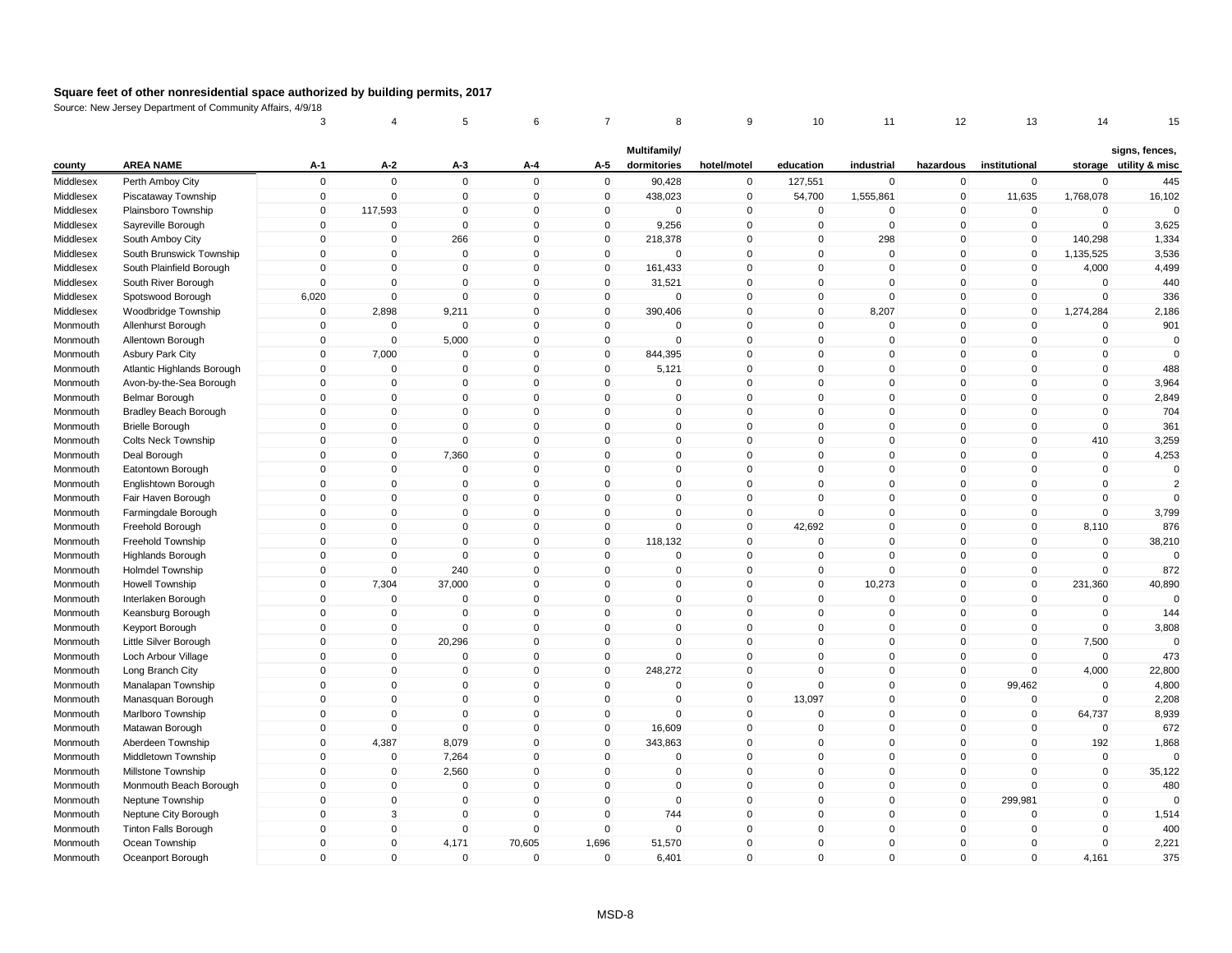|                      |                                        | 3              | 4                    | 5            | 6                       | 7            | 8                      | 9           | 10                      | 11           | 12           | 13                      | 14                 | 15                     |
|----------------------|----------------------------------------|----------------|----------------------|--------------|-------------------------|--------------|------------------------|-------------|-------------------------|--------------|--------------|-------------------------|--------------------|------------------------|
|                      |                                        |                |                      |              |                         |              | Multifamily/           |             |                         |              |              |                         |                    | signs, fences,         |
| county               | <b>AREA NAME</b>                       | A-1            | $A-2$                | A-3          | A-4                     | A-5          | dormitories            | hotel/motel | education               | industrial   | hazardous    | institutional           |                    | storage utility & misc |
| Middlesex            | Perth Amboy City                       | $\mathbf 0$    | $\mathbf 0$          | $\mathbf 0$  | $\mathbf 0$             | $\mathbf 0$  | 90,428                 | $\mathbf 0$ | 127,551                 | $\mathbf 0$  | $\mathbf 0$  | $\mathbf 0$             | $\Omega$           | 445                    |
| Middlesex            | Piscataway Township                    | $\mathbf 0$    | $\mathbf 0$          | $\mathbf{0}$ | $\mathbf 0$             | $\mathbf 0$  | 438,023                | $\mathbf 0$ | 54,700                  | 1,555,861    | $\mathbf 0$  | 11,635                  | 1,768,078          | 16,102                 |
| Middlesex            | Plainsboro Township                    | $\mathbf 0$    | 117,593              | $\mathbf 0$  | $\mathbf 0$             | 0            | $\mathbf 0$            | $\mathbf 0$ | $\mathbf 0$             | 0            | 0            | $\pmb{0}$               | $\mathbf 0$        | $\Omega$               |
| Middlesex            | Sayreville Borough                     | $\mathbf 0$    | $\mathbf 0$          | $\mathbf{0}$ | $\mathbf 0$             | $\mathbf 0$  | 9,256                  | $\mathsf 0$ | $\mathbf 0$             | $\mathbf{0}$ | $\mathbf{0}$ | $\mathbf 0$             | $\mathbf 0$        | 3,625                  |
| Middlesex            | South Amboy City                       | 0              | $\mathbf 0$          | 266          | $\mathbf 0$             | $\mathbf 0$  | 218,378                | $\mathbf 0$ | $\mathbf{0}$            | 298          | $\mathbf 0$  | $\mathbf 0$             | 140,298            | 1,334                  |
| Middlesex            | South Brunswick Township               | $\Omega$       | $\mathbf 0$          | $\Omega$     | $\Omega$                | 0            | $\Omega$               | $\mathbf 0$ | $\Omega$                | $\Omega$     | 0            | $\Omega$                | 1,135,525          | 3,536                  |
| Middlesex            | South Plainfield Borough               | $\Omega$       | $\mathbf 0$          | $\mathbf{0}$ | $\Omega$                | $\mathbf 0$  | 161,433                | $\mathbf 0$ | $\mathbf{0}$            | $\Omega$     | $\mathbf{0}$ | $\Omega$                | 4,000              | 4,499                  |
| Middlesex            | South River Borough                    | $\mathbf 0$    | $\mathbf 0$          | $\mathbf 0$  | $\mathbf 0$             | $\mathbf 0$  | 31,521                 | $\mathsf 0$ | $\mathbf 0$             | $\mathbf 0$  | $\mathbf 0$  | $\mathbf 0$             | $\mathbf 0$        | 440                    |
| Middlesex            | Spotswood Borough                      | 6,020          | $\pmb{0}$            | $\mathbf{0}$ | $\Omega$                | $\mathsf 0$  | $\mathbf 0$            | $\mathbf 0$ | $\mathbf{0}$            | $\mathbf 0$  | $\mathbf{0}$ | $\Omega$                | $\Omega$           | 336                    |
| Middlesex            | Woodbridge Township                    | $\mathbf 0$    | 2,898                | 9,211        | $\mathbf 0$             | $\mathbf 0$  | 390,406                | $\mathsf 0$ | $\mathbf 0$             | 8,207        | $\mathbf 0$  | $\mathbf 0$             | 1,274,284          | 2,186                  |
| Monmouth             | Allenhurst Borough                     | 0              | $\mathbf 0$          | $\mathbf 0$  | $\mathbf 0$             | 0            | 0                      | $\mathbf 0$ | $\mathbf 0$             | 0            | $\mathbf 0$  | $\mathbf 0$             | $\mathbf 0$        | 901                    |
| Monmouth             | Allentown Borough                      | $\Omega$       | $\pmb{0}$            | 5,000        | $\Omega$                | $\mathbf 0$  | $\mathbf{0}$           | $\mathbf 0$ | $\mathbf{0}$            | $\pmb{0}$    | $\mathbf 0$  | $\Omega$                | $\mathbf 0$        | $\mathbf 0$            |
| Monmouth             | <b>Asbury Park City</b>                | 0              | 7,000                | $\Omega$     | $\mathbf 0$             | $\mathbf 0$  | 844,395                | $\mathsf 0$ | $\mathbf{0}$            | $\mathbf 0$  | $\mathbf 0$  | $\mathbf 0$             | $\mathbf 0$        | $\mathbf 0$            |
| Monmouth             | Atlantic Highlands Borough             | $\Omega$       | $\mathbf 0$          | $\mathbf 0$  | $\Omega$                | $\mathbf 0$  | 5,121                  | $\mathbf 0$ | $\Omega$                | 0            | $\mathbf 0$  | 0                       | $\mathbf 0$        | 488                    |
| Monmouth             | Avon-by-the-Sea Borough                | 0              | $\mathbf 0$          | $\mathbf 0$  | $\Omega$                | $\Omega$     | 0                      | $\mathsf 0$ | $\Omega$                | $\Omega$     | $\mathbf{0}$ | $\Omega$                | $\mathbf 0$        | 3,964                  |
| Monmouth             | <b>Belmar Borough</b>                  | $\overline{0}$ | $\mathbf 0$          | $\mathbf{0}$ | $\mathbf 0$             | $\mathbf 0$  | $\mathbf 0$            | $\mathsf 0$ | $\Omega$                | $\mathbf 0$  | $\mathbf{0}$ | $\Omega$                | $\mathbf 0$        | 2,849                  |
| Monmouth             | <b>Bradley Beach Borough</b>           | 0              | $\pmb{0}$            | $\mathbf 0$  | 0                       | $\mathbf 0$  | 0                      | $\mathbf 0$ | $\mathbf 0$             | $\mathbf 0$  | $\mathbf 0$  | $\mathbf 0$             | $\mathbf 0$        | 704                    |
| Monmouth             | <b>Brielle Borough</b>                 | 0              | $\mathbf 0$          | $\mathbf{0}$ | $\mathbf 0$             | $\mathbf{0}$ | $\mathbf{0}$           | $\mathsf 0$ | $\mathbf{0}$            | $\mathbf 0$  | $\mathbf{0}$ | $\Omega$                | $\mathbf 0$        | 361                    |
| Monmouth             | Colts Neck Township                    | 0              | $\pmb{0}$            | $\mathbf 0$  | $\mathbf 0$             | $\mathbf 0$  | $\mathbf 0$            | $\pmb{0}$   | $\Omega$                | 0            | $\mathbf 0$  | $\mathbf 0$             | 410                | 3,259                  |
| Monmouth             | Deal Borough                           | 0              | $\pmb{0}$            | 7,360        | $\mathbf 0$             | $\mathbf 0$  | $\mathbf 0$            | $\pmb{0}$   | $\mathbf 0$             | $\mathbf 0$  | $\mathbf 0$  | $\mathbf 0$             | $\mathbf 0$        | 4,253                  |
| Monmouth             | Eatontown Borough                      | $\Omega$       | $\mathbf 0$          | $\mathbf 0$  | $\Omega$                | $\mathbf 0$  | $\mathbf 0$            | $\mathsf 0$ | $\mathbf{0}$            | $\mathbf 0$  | $\mathbf{0}$ | $\Omega$                | $\mathbf 0$        | $\mathbf 0$            |
| Monmouth             | Englishtown Borough                    | 0              | $\mathbf 0$          | $\mathbf 0$  | $\mathbf 0$             | $\mathbf 0$  | 0                      | $\mathbf 0$ | $\mathbf{0}$            | 0            | $\mathbf 0$  | $\Omega$                | $\mathbf 0$        | $\overline{2}$         |
| Monmouth             | Fair Haven Borough                     | 0              | $\pmb{0}$            | $\mathbf 0$  | $\Omega$                | $\mathbf 0$  | $\mathbf 0$            | $\mathsf 0$ | $\Omega$                | $\mathbf 0$  | $\mathbf 0$  | $\Omega$                | $\mathbf 0$        | $\Omega$               |
| Monmouth             | Farmingdale Borough                    | 0              | $\mathbf 0$          | $\mathbf{0}$ | $\Omega$                | $\mathbf 0$  | 0                      | $\mathsf 0$ | $\Omega$                | $\mathbf 0$  | $\mathbf 0$  | 0                       | $\Omega$           | 3,799                  |
| Monmouth             | Freehold Borough                       | 0              | $\mathbf 0$          | $\mathbf 0$  | $\mathbf 0$             | $\mathbf 0$  | $\mathbf 0$            | $\mathsf 0$ | 42,692                  | $\mathbf 0$  | $\mathbf 0$  | $\mathbf 0$             | 8,110              | 876                    |
| Monmouth             | Freehold Township                      | 0              | $\mathbf 0$          | $\mathbf 0$  | 0                       | $\mathbf 0$  | 118,132                | $\mathbf 0$ | $\Omega$                | $\mathbf 0$  | 0            | 0                       | 0                  | 38,210                 |
| Monmouth             | <b>Highlands Borough</b>               | 0              | $\mathbf 0$          | $\Omega$     | $\mathbf 0$             | $\Omega$     | $\mathbf 0$            | $\mathsf 0$ | $\Omega$                | $\mathbf 0$  | $\Omega$     | $\mathbf 0$             | $\mathbf 0$        | $\Omega$               |
| Monmouth             | <b>Holmdel Township</b>                | $\mathbf 0$    | $\mathbf 0$          | 240          | $\mathbf 0$             | $\mathbf 0$  | $\mathbf 0$            | $\mathsf 0$ | $\mathbf 0$             | $\mathbf 0$  | $\mathbf 0$  | $\mathbf 0$             | $\mathbf 0$        | 872                    |
| Monmouth             | Howell Township                        | $\mathbf 0$    | 7,304                | 37,000       | $\Omega$                | $\mathbf{0}$ | $\mathsf{O}\xspace$    | $\pmb{0}$   | $\mathbf{0}$            | 10,273       | $\mathbf{0}$ | $\mathbf{0}$            | 231,360            | 40,890                 |
| Monmouth             | Interlaken Borough                     | $\Omega$       | $\mathbf 0$          | $\mathbf{0}$ | $\mathbf 0$             | $\mathbf 0$  | $\mathbf 0$            | $\mathsf 0$ | $\mathbf{0}$            | $\mathbf 0$  | $\mathbf 0$  | $\Omega$                | $\mathbf 0$        | $\mathbf 0$            |
| Monmouth             | Keansburg Borough                      | 0              | $\pmb{0}$            | $\Omega$     | $\mathbf 0$             | $\mathbf 0$  | 0                      | $\mathbf 0$ | $\Omega$                | 0            | $\mathbf 0$  | 0                       | $\Omega$           | 144                    |
| Monmouth             | Keyport Borough                        | $\overline{0}$ | $\mathbf 0$          | $\mathbf{0}$ | $\Omega$                | $\mathbf{0}$ | $\mathbf{0}$           | $\mathbf 0$ | $\mathbf{0}$            | $\mathbf{0}$ | $\mathbf{0}$ | $\mathbf{0}$            | $\Omega$           | 3,808                  |
| Monmouth             | Little Silver Borough                  | 0              | $\pmb{0}$            | 20,296       | $\mathbf 0$             | $\mathbf 0$  | $\mathbf 0$            | $\mathsf 0$ | $\mathbf 0$             | $\mathbf 0$  | $\mathbf 0$  | $\mathbf 0$             | 7,500              | $\Omega$               |
| Monmouth             | Loch Arbour Village                    | 0              | $\pmb{0}$            | $\mathbf 0$  | $\mathbf 0$             | $\mathbf 0$  | 0                      | $\mathsf 0$ | $\Omega$                | 0            | $\mathbf 0$  | $\mathbf 0$             | $\mathbf 0$        | 473                    |
| Monmouth             | Long Branch City                       | 0              | $\pmb{0}$            | $\Omega$     | $\mathbf 0$             | $\mathbf 0$  | 248,272                | $\pmb{0}$   | $\Omega$                | 0            | $\mathbf 0$  | $\mathbf 0$             | 4,000              | 22,800                 |
| Monmouth             | Manalapan Township                     | $\mathbf 0$    | $\mathbf 0$          | $\Omega$     | $\mathbf 0$             | $\mathbf 0$  | $\mathbf 0$            | $\mathbf 0$ | $\Omega$                | $\mathbf 0$  | $\mathbf 0$  | 99,462                  | $\mathbf 0$        | 4,800                  |
|                      |                                        | $\mathbf 0$    | $\pmb{0}$            | $\mathbf 0$  | $\mathbf 0$             | $\mathbf 0$  | $\mathbf 0$            | $\mathbf 0$ | 13,097                  | $\mathbf 0$  | $\mathbf 0$  | $\mathbf 0$             | $\mathbf 0$        | 2,208                  |
| Monmouth             | Manasquan Borough<br>Marlboro Township | 0              | $\mathbf 0$          | $\Omega$     | $\Omega$                | $\mathbf 0$  | $\Omega$               | $\mathsf 0$ | $\Omega$                | $\mathbf{0}$ | $\mathbf{0}$ | $\mathbf 0$             | 64,737             | 8,939                  |
| Monmouth<br>Monmouth | Matawan Borough                        | $\overline{0}$ | $\mathbf 0$          | $\mathbf{0}$ | $\Omega$                | $\mathbf 0$  | 16,609                 | $\mathsf 0$ | $\Omega$                | $\mathbf 0$  | $\mathbf{0}$ | $\Omega$                | $\mathbf 0$        | 672                    |
|                      |                                        | 0              |                      | 8,079        | $\mathbf 0$             | $\mathbf 0$  |                        | $\mathsf 0$ | $\mathbf 0$             | $\mathbf 0$  | $\mathbf 0$  | $\mathbf 0$             |                    |                        |
| Monmouth             | Aberdeen Township                      | 0              | 4,387<br>$\mathbf 0$ | 7,264        | $\Omega$                | $\mathbf 0$  | 343,863<br>$\mathbf 0$ | $\mathsf 0$ | $\Omega$                | $\mathbf 0$  | $\mathbf{0}$ | $\Omega$                | 192<br>$\mathbf 0$ | 1,868<br>$\Omega$      |
| Monmouth             | Middletown Township                    |                |                      |              | 0                       |              | $\mathbf 0$            |             | $\mathbf 0$             |              | $\mathbf 0$  | $\mathbf 0$             |                    |                        |
| Monmouth             | Millstone Township                     | 0              | $\mathbf 0$          | 2,560        |                         | $\mathbf 0$  |                        | $\mathbf 0$ |                         | $\mathbf 0$  |              |                         | $\pmb{0}$          | 35,122                 |
| Monmouth             | Monmouth Beach Borough                 | 0              | $\pmb{0}$            | $\mathbf 0$  | $\Omega$                | $\mathbf 0$  | $\Omega$               | $\mathbf 0$ | $\Omega$                | $\Omega$     | $\mathbf 0$  | 0                       | $\mathbf 0$        | 480<br>$\Omega$        |
| Monmouth             | Neptune Township                       | $\Omega$       | $\pmb{0}$            | $\mathbf 0$  | $\mathbf 0$             | $\mathbf 0$  | $\mathbf 0$            | $\mathsf 0$ | $\Omega$                | $\mathbf 0$  | $\mathbf 0$  | 299,981                 | $\mathbf 0$        |                        |
| Monmouth             | Neptune City Borough                   | 0<br>$\Omega$  | 3                    | $\mathbf 0$  | $\mathbf 0$<br>$\Omega$ | $\mathbf 0$  | 744                    | $\mathbf 0$ | $\mathbf 0$<br>$\Omega$ | $\mathbf 0$  | $\mathbf 0$  | $\mathbf 0$<br>$\Omega$ | $\mathbf 0$        | 1,514                  |
| Monmouth             | <b>Tinton Falls Borough</b>            |                | $\pmb{0}$            | $\mathbf{0}$ |                         | $\mathbf 0$  | $\mathbf 0$            | $\mathbf 0$ |                         | $\mathbf{0}$ | $\mathbf 0$  |                         | $\mathbf 0$        | 400                    |
| Monmouth             | Ocean Township                         | $\Omega$       | $\mathbf 0$          | 4,171        | 70,605                  | 1,696        | 51,570                 | $\mathsf 0$ | $\Omega$                | $\Omega$     | $\mathbf{0}$ | $\Omega$                | $\mathbf 0$        | 2,221                  |
| Monmouth             | Oceanport Borough                      | $\overline{0}$ | $\mathbf 0$          | $\mathbf 0$  | $\mathbf 0$             | $\mathbf 0$  | 6,401                  | $\mathbf 0$ | $\mathbf{0}$            | $\mathbf 0$  | $\mathbf 0$  | $\overline{0}$          | 4,161              | 375                    |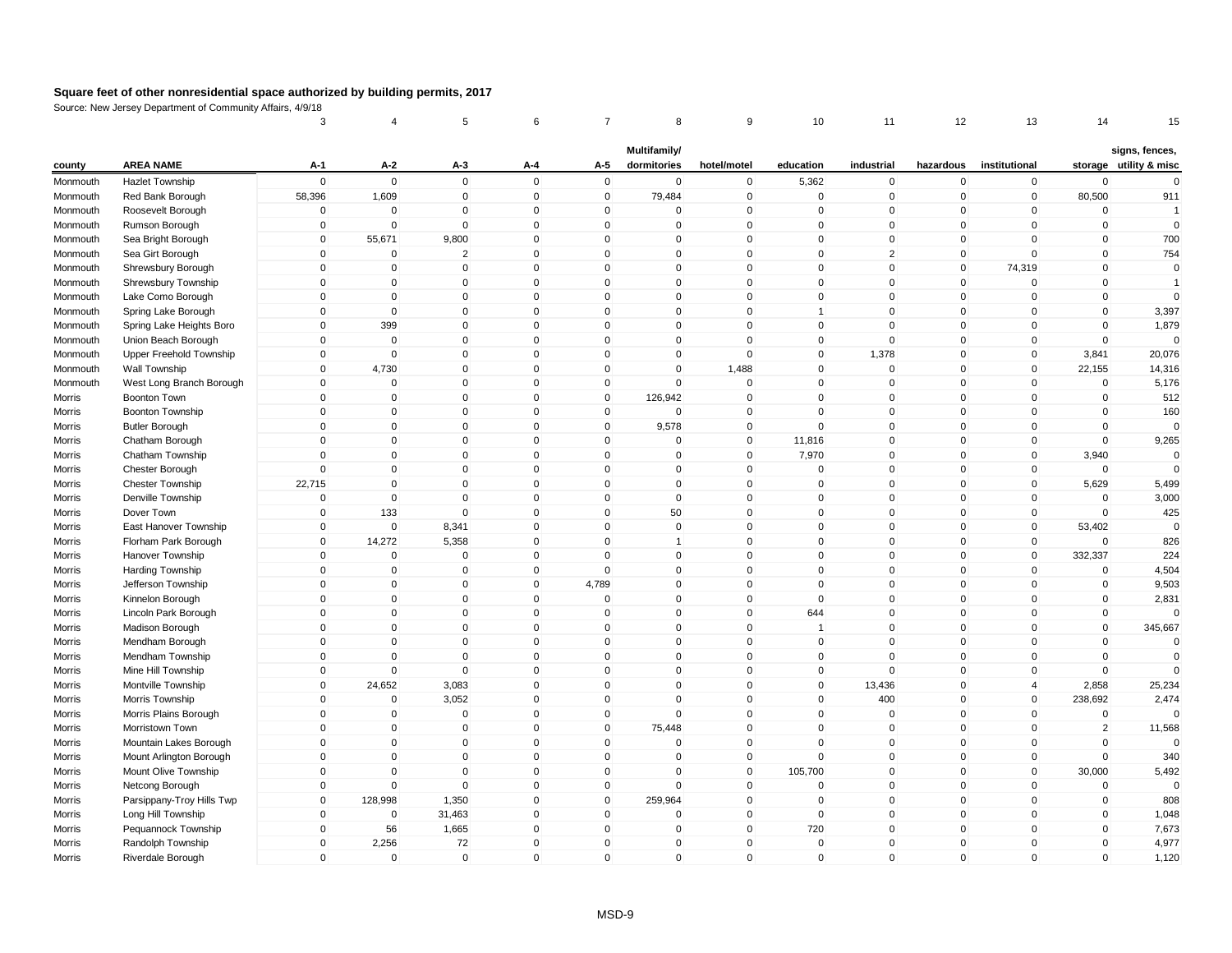|          |                           | 3           | 4              | 5              | 6            | 7            | 8                           | 9              | 10             | 11             | 12                  | 13             | 14             | 15                                       |
|----------|---------------------------|-------------|----------------|----------------|--------------|--------------|-----------------------------|----------------|----------------|----------------|---------------------|----------------|----------------|------------------------------------------|
| county   | <b>AREA NAME</b>          | A-1         | $A-2$          | A-3            | A-4          | A-5          | Multifamily/<br>dormitories | hotel/motel    | education      | industrial     | hazardous           | institutional  |                | signs, fences,<br>storage utility & misc |
| Monmouth | <b>Hazlet Township</b>    | $\mathsf 0$ | $\mathbf 0$    | $\mathbf 0$    | $\mathbf 0$  | $\mathbf 0$  | $\mathbf 0$                 | $\mathbf 0$    | 5,362          | $\mathbf 0$    | $\mathbf 0$         | $\mathbf 0$    | $\Omega$       | $\mathbf 0$                              |
| Monmouth | Red Bank Borough          | 58,396      | 1,609          | $\overline{0}$ | $\mathbf 0$  | $\mathbf 0$  | 79,484                      | $\overline{0}$ | $\mathbf 0$    | $\mathbf 0$    | $\mathbf 0$         | $\mathbf 0$    | 80,500         | 911                                      |
| Monmouth | Roosevelt Borough         | 0           | $\mathbf 0$    | 0              | $\mathbf 0$  | 0            | 0                           | $\pmb{0}$      | $\mathbf 0$    | $\mathbf 0$    | 0                   | $\mathbf 0$    | $\mathbf 0$    | $\overline{1}$                           |
| Monmouth | Rumson Borough            | $\mathsf 0$ | $\mathbf 0$    | $\Omega$       | $\mathbf{0}$ | $\mathbf{0}$ | $\mathbf{0}$                | $\mathbf 0$    | $\mathbf 0$    | $\Omega$       | $\mathbf{0}$        | $\mathbf{0}$   | $\mathbf 0$    | $\mathbf 0$                              |
| Monmouth | Sea Bright Borough        | $\mathbf 0$ | 55,671         | 9,800          | $\mathbf 0$  | $\mathbf 0$  | $\mathbf 0$                 | $\mathbf 0$    | $\mathbf 0$    | $\mathbf 0$    | $\mathbf 0$         | $\mathbf{0}$   | $\mathbf 0$    | 700                                      |
| Monmouth | Sea Girt Borough          | $\mathbf 0$ | $\Omega$       | $\overline{2}$ | $\mathbf 0$  | $\Omega$     | $\Omega$                    | $\pmb{0}$      | 0              | $\overline{2}$ | 0                   | $\Omega$       | $\mathbf 0$    | 754                                      |
| Monmouth | Shrewsbury Borough        | $\Omega$    | $\mathbf 0$    | $\Omega$       | $\mathbf{0}$ | $\Omega$     | $\mathbf{0}$                | $\pmb{0}$      | $\mathbf 0$    | $\mathbf 0$    | $\mathbf{0}$        | 74,319         | $\mathbf 0$    | $\mathbf 0$                              |
| Monmouth | Shrewsbury Township       | $\mathsf 0$ | $\mathbf 0$    | $\mathbf 0$    | $\mathbf 0$  | $\mathbf 0$  | $\mathbf 0$                 | $\mathbf 0$    | $\mathbf 0$    | $\mathsf 0$    | $\mathbf 0$         | $\mathbf 0$    | $\mathbf 0$    | $\overline{1}$                           |
| Monmouth | Lake Como Borough         | $\pmb{0}$   | $\mathbf{0}$   | $\Omega$       | $\mathbf{0}$ | $\Omega$     | $\mathbf{0}$                | $\,0\,$        | $\mathbf 0$    | $\Omega$       | $\mathbf{0}$        | $\mathbf{0}$   | $\mathbf 0$    | $\Omega$                                 |
| Monmouth | Spring Lake Borough       | $\mathbf 0$ | $\overline{0}$ | $\mathbf 0$    | $\mathbf 0$  | $\mathbf 0$  | $\mathbf 0$                 | $\mathbf 0$    | $\overline{1}$ | $\mathbf 0$    | $\mathbf 0$         | $\mathbf 0$    | $\mathbf 0$    | 3,397                                    |
| Monmouth | Spring Lake Heights Boro  | $\mathbf 0$ | 399            | $\mathbf 0$    | $\mathbf 0$  | $\mathbf 0$  | $\mathbf 0$                 | $\pmb{0}$      | 0              | $\mathbf 0$    | 0                   | $\mathbf 0$    | $\mathbf 0$    | 1,879                                    |
| Monmouth | Union Beach Borough       | $\Omega$    | $\mathbf{0}$   | $\mathbf 0$    | $\mathbf{0}$ | $\mathbf{0}$ | $\mathbf 0$                 | $\mathbf 0$    | $\mathbf 0$    | $\mathbf 0$    | $\mathbf{0}$        | $\mathbf{0}$   | $\mathbf 0$    | $\Omega$                                 |
| Monmouth | Upper Freehold Township   | $\mathsf 0$ | $\mathbf 0$    | $\mathbf 0$    | $\mathbf 0$  | $\mathbf 0$  | $\mathbf 0$                 | $\pmb{0}$      | $\mathbf 0$    | 1,378          | $\mathbf 0$         | $\mathbf 0$    | 3,841          | 20,076                                   |
| Monmouth | Wall Township             | $\Omega$    | 4,730          | $\mathbf 0$    | $\mathbf{0}$ | $\Omega$     | $\mathbf 0$                 | 1,488          | $\mathbf 0$    | $\mathbf 0$    | $\mathbf 0$         | $\mathbf 0$    | 22,155         | 14,316                                   |
| Monmouth | West Long Branch Borough  | $\mathbf 0$ | $\Omega$       | $\Omega$       | $\mathbf{0}$ | $\Omega$     | $\mathbf{0}$                | $\Omega$       | $\mathbf 0$    | $\mathsf 0$    | $\mathbf{0}$        | $\mathbf{0}$   | $\mathbf 0$    | 5,176                                    |
| Morris   | Boonton Town              | $\mathsf 0$ | $\mathbf 0$    | $\mathbf 0$    | $\mathbf{0}$ | $\mathbf 0$  | 126,942                     | $\mathbf 0$    | $\mathbf 0$    | $\mathbf 0$    | $\mathbf 0$         | $\mathbf 0$    | $\mathbf 0$    | 512                                      |
| Morris   | <b>Boonton Township</b>   | $\mathsf 0$ | 0              | 0              | $\mathbf 0$  | $\mathbf 0$  | $\mathbf 0$                 | $\mathbf 0$    | $\mathbf 0$    | $\mathbf 0$    | $\mathbf 0$         | $\mathbf 0$    | $\mathbf 0$    | 160                                      |
| Morris   | <b>Butler Borough</b>     | $\mathbf 0$ | $\mathbf{0}$   | $\Omega$       | $\mathbf{0}$ | $\mathbf 0$  | 9,578                       | $\mathbf 0$    | $\mathbf 0$    | $\mathsf 0$    | $\mathbf 0$         | $\mathbf 0$    | $\mathbf 0$    | $\Omega$                                 |
| Morris   | Chatham Borough           | $\mathbf 0$ | $\mathbf 0$    | $\mathbf 0$    | $\mathbf 0$  | $\mathbf 0$  | 0                           | $\pmb{0}$      | 11,816         | $\mathbf 0$    | $\mathbf 0$         | $\mathbf 0$    | $\mathbf 0$    | 9,265                                    |
| Morris   | Chatham Township          | $\mathsf 0$ | $\mathbf 0$    | $\mathbf 0$    | $\mathbf 0$  | $\mathbf 0$  | $\mathbf 0$                 | $\overline{0}$ | 7,970          | $\mathbf 0$    | $\mathbf 0$         | $\mathbf 0$    | 3,940          | $\mathbf 0$                              |
| Morris   | Chester Borough           | $\mathbf 0$ | $\mathbf{0}$   | $\mathbf 0$    | $\mathbf{0}$ | $\Omega$     | $\mathbf 0$                 | $\mathbf 0$    | $\mathbf 0$    | $\mathbf 0$    | $\mathbf 0$         | $\mathbf{0}$   | $\mathbf 0$    | $\Omega$                                 |
| Morris   | <b>Chester Township</b>   | 22,715      | $\mathbf{0}$   | 0              | $\mathbf 0$  | $\Omega$     | $\mathbf{0}$                | $\mathbf 0$    | $\mathbf 0$    | $\mathbf 0$    | $\mathbf 0$         | $\mathbf 0$    | 5,629          | 5,499                                    |
| Morris   | Denville Township         | $\mathbf 0$ | $\mathbf 0$    | $\mathbf 0$    | $\mathbf 0$  | $\Omega$     | $\mathbf 0$                 | $\mathbf 0$    | $\mathbf 0$    | $\mathbf 0$    | $\mathbf 0$         | $\mathbf 0$    | $\mathbf 0$    | 3,000                                    |
| Morris   | Dover Town                | $\mathbf 0$ | 133            | $\Omega$       | $\mathbf{0}$ | $\Omega$     | 50                          | $\mathbf 0$    | $\Omega$       | $\mathbf 0$    | $\mathbf 0$         | $\mathbf{0}$   | $\Omega$       | 425                                      |
| Morris   | East Hanover Township     | $\mathbf 0$ | $\mathbf 0$    | 8,341          | $\mathbf 0$  | $\mathbf 0$  | $\mathbf 0$                 | $\mathbf 0$    | $\mathbf 0$    | $\mathbf 0$    | $\mathbf 0$         | $\mathbf 0$    | 53,402         | $\mathbf 0$                              |
| Morris   | Florham Park Borough      | 0           | 14,272         | 5,358          | $\mathbf 0$  | 0            | $\mathbf{1}$                | $\mathbf 0$    | 0              | $\mathbf 0$    | $\mathbf 0$         | $\mathbf 0$    | 0              | 826                                      |
| Morris   | Hanover Township          | $\mathsf 0$ | $\Omega$       | $\mathbf 0$    | $\mathbf 0$  | $\Omega$     | $\mathbf{0}$                | $\pmb{0}$      | $\mathbf 0$    | $\mathbf 0$    | $\mathbf 0$         | $\mathbf 0$    | 332,337        | 224                                      |
| Morris   | Harding Township          | $\mathbf 0$ | $\overline{0}$ | $\overline{0}$ | $\mathbf 0$  | $\mathbf 0$  | $\mathbf 0$                 | $\mathbf 0$    | $\mathbf 0$    | $\mathbf 0$    | $\mathbf 0$         | $\overline{0}$ | $\mathbf 0$    | 4,504                                    |
| Morris   | Jefferson Township        | $\mathsf 0$ | $\mathbf{0}$   | $\Omega$       | $\mathbf{0}$ | 4,789        | $\mathbf{0}$                | $\mathbf 0$    | $\mathbf 0$    | $\Omega$       | $\mathsf 0$         | $\mathbf{0}$   | $\pmb{0}$      | 9,503                                    |
| Morris   | Kinnelon Borough          | $\mathbf 0$ | $\mathbf 0$    | $\mathbf 0$    | $\mathbf{0}$ | $\mathbf 0$  | $\mathbf 0$                 | $\mathbf 0$    | $\mathbf 0$    | $\mathbf 0$    | $\mathbf 0$         | $\mathbf{0}$   | $\mathbf 0$    | 2,831                                    |
| Morris   | Lincoln Park Borough      | $\mathsf 0$ | $\mathbf 0$    | 0              | $\mathbf 0$  | $\mathbf 0$  | $\mathbf 0$                 | $\mathbf 0$    | 644            | $\mathbf 0$    | $\mathbf 0$         | $\mathbf 0$    | $\mathbf 0$    |                                          |
| Morris   | Madison Borough           | $\mathbf 0$ | $\mathbf{0}$   | $\mathbf{0}$   | $\mathbf{0}$ | $\mathbf{0}$ | $\mathbf{0}$                | $\mathbf{0}$   | $\overline{1}$ | $\Omega$       | $\mathbf{0}$        | $\mathbf{0}$   | $\mathbf 0$    | 345,667                                  |
| Morris   | Mendham Borough           | $\mathsf 0$ | $\mathbf 0$    | $\mathbf 0$    | $\mathbf 0$  | $\mathbf 0$  | $\mathbf 0$                 | $\mathbf 0$    | $\mathbf 0$    | $\mathbf 0$    | $\mathbf 0$         | $\mathbf 0$    | $\mathbf 0$    | $\mathbf 0$                              |
| Morris   | Mendham Township          | 0           | $\mathbf 0$    | $\mathbf 0$    | $\mathbf 0$  | $\mathbf 0$  | $\mathbf 0$                 | $\mathbf 0$    | $\mathbf 0$    | $\mathbf 0$    | $\mathbf 0$         | $\mathbf 0$    | $\mathbf 0$    | $\mathbf 0$                              |
| Morris   | Mine Hill Township        | $\mathbf 0$ | $\Omega$       | $\mathbf 0$    | $\mathbf 0$  | $\Omega$     | $\mathbf 0$                 | $\mathbf 0$    | $\mathbf 0$    | $\mathbf 0$    | $\mathbf 0$         | $\mathbf{0}$   | $\mathbf 0$    | $\Omega$                                 |
| Morris   | Montville Township        | $\mathsf 0$ | 24,652         | 3,083          | $\mathbf 0$  | $\mathbf 0$  | $\mathbf 0$                 | $\mathbf 0$    | $\mathbf 0$    | 13,436         | $\mathbf 0$         | $\overline{4}$ | 2,858          | 25,234                                   |
| Morris   | Morris Township           | $\mathbf 0$ | $\overline{0}$ | 3,052          | $\mathbf 0$  | $\mathbf 0$  | $\mathbf 0$                 | $\mathbf 0$    | $\mathbf 0$    | 400            | $\mathbf 0$         | $\mathbf 0$    | 238,692        | 2,474                                    |
| Morris   | Morris Plains Borough     | $\mathsf 0$ | $\mathbf 0$    | $\Omega$       | $\mathbf 0$  | $\mathbf 0$  | $\Omega$                    | $\mathbf 0$    | $\mathbf 0$    | $\mathbf 0$    | $\mathbf 0$         | $\mathbf{0}$   | $\mathbf 0$    |                                          |
| Morris   | Morristown Town           | $\mathbf 0$ | $\mathbf 0$    | $\Omega$       | $\mathbf{0}$ | $\Omega$     | 75,448                      | $\mathbf{0}$   | $\mathbf 0$    | $\mathbf 0$    | $\mathbf{0}$        | $\mathbf{0}$   | $\overline{2}$ | 11,568                                   |
| Morris   | Mountain Lakes Borough    | $\mathsf 0$ | $\mathbf 0$    | 0              | $\mathbf 0$  | $\mathbf 0$  | $\mathbf 0$                 | $\mathbf 0$    | $\mathbf 0$    | $\mathbf 0$    | $\mathbf 0$         | $\mathbf 0$    | $\mathbf 0$    | $\Omega$                                 |
| Morris   | Mount Arlington Borough   | $\Omega$    | $\mathbf{0}$   | $\Omega$       | $\mathbf{0}$ | $\Omega$     | $\mathbf{0}$                | $\mathbf 0$    | $\Omega$       | $\mathbf 0$    | $\mathbf{0}$        | $\mathbf 0$    | $\mathbf 0$    | 340                                      |
| Morris   | Mount Olive Township      | 0           | $\mathbf 0$    | 0              | $\mathbf 0$  | $\mathbf 0$  | $\mathbf 0$                 | $\mathbf 0$    | 105,700        | $\mathbf 0$    | $\mathbf 0$         | $\mathbf 0$    | 30,000         | 5,492                                    |
| Morris   | Netcong Borough           | 0           | $\Omega$       | $\Omega$       | $\mathbf 0$  | $\mathbf 0$  | $\mathbf 0$                 | $\pmb{0}$      | $\mathbf 0$    | $\Omega$       | 0                   | $\mathbf 0$    | $\mathbf 0$    | $\Omega$                                 |
| Morris   | Parsippany-Troy Hills Twp | $\mathbf 0$ | 128,998        | 1,350          | $\mathbf 0$  | $\mathbf 0$  | 259,964                     | $\mathbf 0$    | $\mathbf 0$    | $\mathbf 0$    | $\mathbf 0$         | $\mathbf{0}$   | $\mathbf 0$    | 808                                      |
| Morris   | Long Hill Township        | $\mathbf 0$ | $\mathbf 0$    | 31,463         | $\mathbf 0$  | $\mathbf 0$  | 0                           | $\mathbf 0$    | $\mathbf 0$    | $\mathbf 0$    | $\mathbf 0$         | $\mathbf 0$    | $\mathbf 0$    | 1,048                                    |
| Morris   | Pequannock Township       | $\mathbf 0$ | 56             | 1,665          | $\mathbf{0}$ | $\Omega$     | $\mathbf 0$                 | $\mathbf 0$    | 720            | $\mathbf 0$    | $\mathsf{O}\xspace$ | $\mathbf{0}$   | $\pmb{0}$      | 7,673                                    |
| Morris   | Randolph Township         | $\Omega$    | 2,256          | 72             | $\mathbf{0}$ | $\Omega$     | $\mathbf{0}$                | $\pmb{0}$      | $\mathbf 0$    | $\mathbf 0$    | $\mathbf 0$         | $\Omega$       | $\mathbf 0$    | 4,977                                    |
| Morris   | Riverdale Borough         | $\mathbf 0$ | $\mathbf 0$    | $\overline{0}$ | $\mathbf 0$  | $\Omega$     | $\mathbf 0$                 | $\mathbf 0$    | $\mathbf 0$    | $\mathbf 0$    | $\mathbf 0$         | $\mathbf 0$    | $\mathbf 0$    | 1,120                                    |
|          |                           |             |                |                |              |              |                             |                |                |                |                     |                |                |                                          |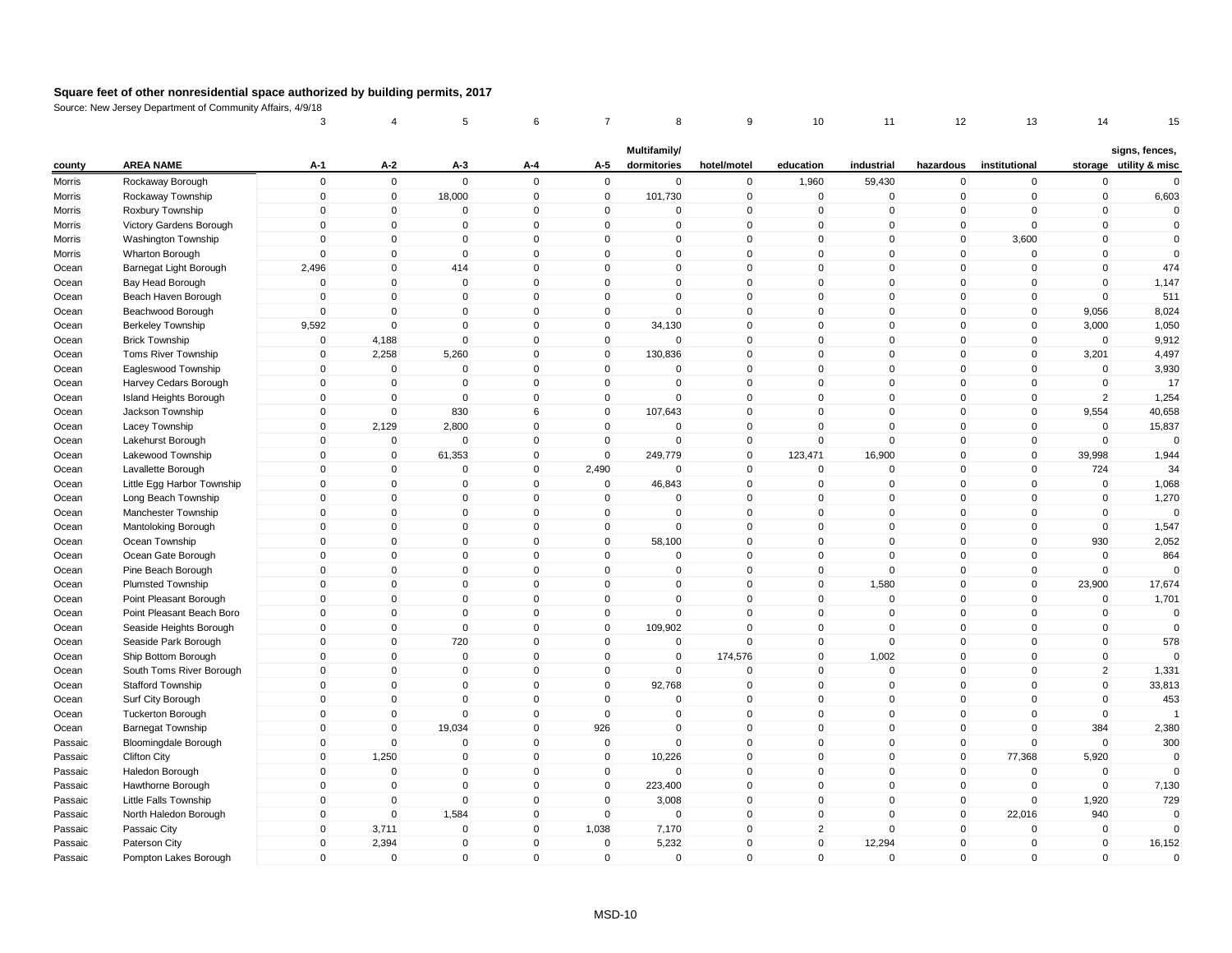|                    |                             | 3           | 4              | 5            | 6            | 7            | 8                           | 9            | 10             | 11           | 12             | 13            | 14             | 15                                       |
|--------------------|-----------------------------|-------------|----------------|--------------|--------------|--------------|-----------------------------|--------------|----------------|--------------|----------------|---------------|----------------|------------------------------------------|
| county             | <b>AREA NAME</b>            | $A-1$       | $A-2$          | $A-3$        | A-4          | A-5          | Multifamily/<br>dormitories | hotel/motel  | education      | industrial   | hazardous      | institutional |                | signs, fences,<br>storage utility & misc |
| Morris             | Rockaway Borough            | $\mathsf 0$ | $\mathbf 0$    | $\mathbf 0$  | $\Omega$     | $\mathsf 0$  | 0                           | $\mathbf 0$  | 1,960          | 59,430       | 0              | $\mathbf 0$   | $\mathbf 0$    | $\mathbf{0}$                             |
| Morris             | Rockaway Township           | $\mathbf 0$ | $\overline{0}$ | 18,000       | $\mathbf{0}$ | $\mathbf 0$  | 101,730                     | $\mathbf 0$  | $\mathbf 0$    | 0            | $\mathbf 0$    | $\mathbf 0$   | $\mathbf 0$    | 6,603                                    |
| Morris             | Roxbury Township            | $\mathbf 0$ | $\mathbf 0$    | $\mathbf 0$  | $\Omega$     | 0            | 0                           | $\pmb{0}$    | $\mathbf{0}$   | $\mathbf 0$  | $\Omega$       | $\Omega$      | $\Omega$       | $\Omega$                                 |
| Morris             | Victory Gardens Borough     | $\mathbf 0$ | $\mathbf{0}$   | $\Omega$     | $\mathbf{0}$ | $\mathbf{0}$ | $\mathbf{0}$                | $\mathbf 0$  | $\mathbf{0}$   | $\Omega$     | $\mathbf{0}$   | $\Omega$      | $\mathbf{0}$   | $\mathbf 0$                              |
| Morris             | Washington Township         | $\mathbf 0$ | $\overline{0}$ | $\mathbf 0$  | $\mathbf 0$  | $\mathbf 0$  | $\mathbf 0$                 | $\mathbf 0$  | $\mathbf{0}$   | $\mathbf 0$  | 0              | 3,600         | $\mathbf 0$    | $\mathbf 0$                              |
| Morris             | Wharton Borough             | $\mathbf 0$ | $\mathbf{0}$   | $\Omega$     | $\mathbf{0}$ | $\mathbf{0}$ | $\Omega$                    | $\mathbf 0$  | $\Omega$       | $\mathbf{0}$ | $\mathbf{0}$   | $\Omega$      | $\Omega$       | $\mathbf{0}$                             |
| Ocean              | Barnegat Light Borough      | 2,496       | $\overline{0}$ | 414          | $\mathbf 0$  | $\mathbf{0}$ | $\Omega$                    | $\mathbf{0}$ | $\mathbf{0}$   | $\mathbf 0$  | 0              | $\mathbf{0}$  | $\Omega$       | 474                                      |
| Ocean              | Bay Head Borough            | $\mathbf 0$ | $\mathbf 0$    | $\mathbf 0$  | $\mathbf 0$  | $\mathbf 0$  | 0                           | $\mathbf 0$  | $\mathbf 0$    | $\mathbf 0$  | 0              | $\mathbf 0$   | $\mathbf 0$    | 1,147                                    |
| Ocean              | Beach Haven Borough         | $\mathsf 0$ | $\mathbf 0$    | $\mathbf 0$  | $\mathbf{0}$ | $\mathbf 0$  | $\mathbf{0}$                | $\mathbf 0$  | $\mathbf{0}$   | $\mathbf 0$  | $\overline{0}$ | $\mathbf 0$   | $\Omega$       | 511                                      |
| Ocean              | Beachwood Borough           | $\mathbf 0$ | $\mathbf 0$    | $\mathbf 0$  | $\mathbf 0$  | $\mathbf 0$  | $\mathbf 0$                 | $\mathbf 0$  | $\mathbf 0$    | $\mathbf 0$  | 0              | $\mathbf 0$   | 9,056          | 8,024                                    |
| Ocean              | Berkeley Township           | 9,592       | $\mathbf 0$    | $\Omega$     | $\Omega$     | $\mathbf 0$  | 34,130                      | $\mathbf 0$  | $\Omega$       | $\Omega$     | 0              | 0             | 3,000          | 1,050                                    |
| Ocean              | <b>Brick Township</b>       | $\mathbf 0$ | 4,188          | $\mathbf 0$  | $\mathbf{0}$ | $\mathbf 0$  | $\mathbf{0}$                | $\mathbf 0$  | $\mathbf{0}$   | $\mathbf 0$  | $\mathbf{0}$   | $\mathbf 0$   | $\Omega$       | 9,912                                    |
| Ocean              | Toms River Township         | $\mathbf 0$ | 2,258          | 5,260        | $\mathbf 0$  | $\mathbf 0$  | 130,836                     | $\mathbf 0$  | $\mathbf{0}$   | $\mathbf 0$  | 0              | $\mathbf 0$   | 3,201          | 4,497                                    |
| Ocean              | Eagleswood Township         | $\Omega$    | $\mathbf 0$    | $\mathbf 0$  | $\Omega$     | $\mathbf{0}$ | $\Omega$                    | $\mathbf{0}$ | $\Omega$       | $\mathbf{0}$ | $\mathbf{0}$   | $\Omega$      | $\Omega$       | 3,930                                    |
| Ocean              | Harvey Cedars Borough       | $\mathbf 0$ | 0              | $\Omega$     | $\mathbf 0$  | $\mathbf 0$  | $\Omega$                    | $\mathbf 0$  | $\mathbf{0}$   | $\mathbf 0$  | 0              | $\Omega$      | $\Omega$       | 17                                       |
| Ocean              | Island Heights Borough      | $\mathsf 0$ | $\mathbf 0$    | $\mathbf 0$  | $\mathbf{0}$ | $\mathbf 0$  | 0                           | $\mathbf 0$  | $\mathbf{0}$   | $\mathbf 0$  | 0              | $\mathbf 0$   | $\overline{2}$ | 1,254                                    |
| Ocean              | Jackson Township            | $\mathsf 0$ | $\mathbf 0$    | 830          | 6            | $\mathbf 0$  | 107,643                     | $\mathbf 0$  | $\mathbf{0}$   | $\mathbf 0$  | 0              | $\mathbf 0$   | 9,554          | 40,658                                   |
| Ocean              | Lacey Township              | $\mathsf 0$ | 2,129          | 2,800        | $\Omega$     | $\mathbf 0$  | 0                           | $\mathbf 0$  | $\mathbf{0}$   | $\mathbf 0$  | $\mathbf 0$    | $\mathbf 0$   | $\Omega$       | 15,837                                   |
| Ocean              | Lakehurst Borough           | 0           | $\mathbf 0$    | $\mathbf 0$  | $\mathbf 0$  | $\mathbf 0$  | $\Omega$                    | $\mathbf 0$  | $\Omega$       | $\mathbf 0$  | 0              | $\mathbf 0$   | $\Omega$       | $\Omega$                                 |
| Ocean              | Lakewood Township           | $\mathsf 0$ | $\mathbf 0$    | 61,353       | $\mathbf{0}$ | $\mathbf{0}$ | 249,779                     | $\mathbf 0$  | 123,471        | 16,900       | $\mathbf{0}$   | $\mathbf 0$   | 39,998         | 1,944                                    |
| Ocean              | Lavallette Borough          | $\mathsf 0$ | $\mathbf 0$    | $\mathbf 0$  | $\mathbf 0$  | 2,490        | $\mathbf 0$                 | $\mathbf 0$  | $\Omega$       | $\mathbf 0$  | $\mathbf 0$    | $\mathbf 0$   | 724            | 34                                       |
| Ocean              | Little Egg Harbor Township  | $\mathbf 0$ | 0              | $\Omega$     | $\mathbf{0}$ | 0            | 46,843                      | $\pmb{0}$    | $\mathbf{0}$   | $\mathbf{0}$ | 0              | $\Omega$      | $\Omega$       | 1,068                                    |
| Ocean              | Long Beach Township         | $\Omega$    | $\mathbf 0$    | $\Omega$     | $\mathbf{0}$ | $\mathbf{0}$ | $\Omega$                    | $\mathbf 0$  | $\mathbf{0}$   | 0            | $\mathbf{0}$   | $\mathbf{0}$  | $\Omega$       | 1,270                                    |
| Ocean              | Manchester Township         | $\mathsf 0$ | $\mathbf 0$    | 0            | $\mathbf 0$  | $\mathbf 0$  | $\Omega$                    | $\mathbf 0$  | $\mathbf{0}$   | $\mathbf 0$  | 0              | $\Omega$      | $\Omega$       | $\Omega$                                 |
| Ocean              | Mantoloking Borough         | $\mathbf 0$ | $\overline{0}$ | $\mathbf{0}$ | $\mathbf{0}$ | $\mathbf 0$  | $\mathbf{0}$                | $\mathbf 0$  | $\mathbf{0}$   | $\mathbf{0}$ | $\mathbf{0}$   | $\mathbf{0}$  | $\mathbf{0}$   | 1,547                                    |
| Ocean              | Ocean Township              | $\mathsf 0$ | $\mathbf 0$    | $\mathbf 0$  | $\mathbf 0$  | $\mathbf 0$  | 58,100                      | $\pmb{0}$    | $\mathbf 0$    | $\mathbf 0$  | $\mathbf 0$    | $\mathbf 0$   | 930            | 2,052                                    |
| Ocean              | Ocean Gate Borough          | $\mathbf 0$ | $\mathbf 0$    | $\mathbf 0$  | $\Omega$     | $\mathbf 0$  | 0                           | $\mathbf 0$  | $\mathbf 0$    | 0            | $\mathbf 0$    | $\mathbf 0$   | $\mathbf 0$    | 864                                      |
| Ocean              | Pine Beach Borough          | $\mathsf 0$ | $\mathbf 0$    | $\mathbf 0$  | $\mathbf{0}$ | $\mathbf 0$  | 0                           | $\mathbf 0$  | $\mathbf{0}$   | $\mathbf 0$  | $\mathbf{0}$   | $\mathbf{0}$  | $\Omega$       | $\Omega$                                 |
| Ocean              | Plumsted Township           | $\mathsf 0$ | $\mathbf 0$    | $\mathbf 0$  | $\mathbf 0$  | $\mathbf 0$  | 0                           | $\mathbf 0$  | $\mathbf 0$    | 1,580        | $\mathbf 0$    | $\mathbf 0$   | 23,900         | 17,674                                   |
| Ocean              | Point Pleasant Borough      | $\mathbf 0$ | $\Omega$       | $\mathbf 0$  | $\Omega$     | $\mathbf 0$  | $\mathbf 0$                 | $\mathbf 0$  | $\Omega$       | $\mathbf 0$  | 0              | $\Omega$      | $\Omega$       | 1,701                                    |
| Ocean              | Point Pleasant Beach Boro   | $\mathbf 0$ | $\mathbf 0$    | $\Omega$     | $\mathbf 0$  | $\mathbf 0$  | $\Omega$                    | $\mathbf 0$  | $\mathbf{0}$   | $\Omega$     | $\mathbf{0}$   | $\Omega$      | $\Omega$       | $\Omega$                                 |
| Ocean              | Seaside Heights Borough     | $\mathbf 0$ | $\mathbf 0$    | $\mathbf 0$  | $\mathbf{0}$ | $\mathbf{0}$ | 109,902                     | $\mathbf{0}$ | $\mathbf{0}$   | $\mathbf 0$  | $\mathbf{0}$   | $\mathbf{0}$  | $\mathbf 0$    | $\mathbf{0}$                             |
| Ocean              | Seaside Park Borough        | $\mathsf 0$ | $\mathbf 0$    | 720          | $\mathbf{0}$ | $\mathbf 0$  | 0                           | $\mathbf 0$  | $\mathbf{0}$   | $\mathbf 0$  | 0              | $\mathbf 0$   | $\Omega$       | 578                                      |
| Ocean              | Ship Bottom Borough         | $\mathsf 0$ | $\mathbf 0$    | $\mathbf 0$  | $\mathbf{0}$ | $\mathbf 0$  | $\mathbf 0$                 | 174,576      | $\mathbf{0}$   | 1,002        | $\mathbf 0$    | $\mathbf 0$   | $\mathbf 0$    | $\Omega$                                 |
| Ocean              | South Toms River Borough    | $\mathsf 0$ | $\mathbf 0$    | $\mathbf 0$  | $\mathbf 0$  | 0            | 0                           | $\mathbf 0$  | $\mathbf 0$    | $\mathbf 0$  | $\mathbf 0$    | $\mathbf 0$   | $\overline{2}$ | 1,331                                    |
| Ocean              | <b>Stafford Township</b>    | $\mathbf 0$ | $\mathbf{0}$   | $\Omega$     | $\mathbf{0}$ | $\mathbf{0}$ | 92,768                      | $\mathbf 0$  | $\mathbf{0}$   | $\mathbf 0$  | $\mathbf{0}$   | $\mathbf{0}$  | $\mathbf{0}$   | 33,813                                   |
| Ocean              | Surf City Borough           | $\mathsf 0$ | $\mathbf 0$    | $\mathbf 0$  | $\mathbf{0}$ | $\mathbf 0$  | 0                           | $\mathbf 0$  | $\mathbf{0}$   | $\mathbf 0$  | 0              | $\mathbf 0$   | $\mathbf 0$    | 453                                      |
| Ocean              | <b>Tuckerton Borough</b>    | $\mathbf 0$ | $\overline{0}$ | $\mathbf 0$  | $\mathbf 0$  | $\mathbf 0$  | 0                           | $\mathbf 0$  | $\mathbf{0}$   | $\mathbf 0$  | 0              | $\mathbf 0$   | $\mathbf 0$    |                                          |
| Ocean              | <b>Barnegat Township</b>    | $\Omega$    | $\Omega$       | 19,034       | $\mathbf{0}$ | 926          | $\Omega$                    | $\mathbf{0}$ | $\mathbf{0}$   | $\mathbf 0$  | $\mathbf{0}$   | $\Omega$      | 384            | 2,380                                    |
| Passaic            | <b>Bloomingdale Borough</b> | $\mathbf 0$ | 0              | 0            | $\mathbf 0$  | $\mathbf 0$  | $\mathbf 0$                 | $\mathbf 0$  | $\mathbf{0}$   | $\mathbf 0$  | 0              | $\Omega$      | $\mathbf 0$    | 300                                      |
| Passaic            | Clifton City                | $\mathbf 0$ | 1,250          | $\mathbf{0}$ | $\mathbf{0}$ | $\mathbf{0}$ | 10,226                      | $\mathbf{0}$ | $\mathbf{0}$   | $\mathbf{0}$ | $\overline{0}$ | 77,368        | 5,920          | $\mathbf{0}$                             |
| Passaic            | Haledon Borough             | $\mathbf 0$ | $\mathbf 0$    | $\mathbf 0$  | $\mathbf 0$  | $\mathbf 0$  | 0                           | $\mathbf 0$  | $\mathbf 0$    | $\mathbf 0$  | 0              | $\mathbf 0$   | $\mathbf 0$    | $\Omega$                                 |
|                    | Hawthorne Borough           | $\mathbf 0$ | $\mathbf 0$    | $\mathbf 0$  | $\Omega$     | $\mathbf 0$  | 223,400                     | $\mathbf 0$  | $\mathbf 0$    | $\mathbf 0$  | $\mathbf 0$    | $\mathbf 0$   | $\mathbf 0$    | 7,130                                    |
| Passaic            | Little Falls Township       | $\mathbf 0$ | $\mathbf 0$    | $\mathbf 0$  | $\Omega$     | $\mathbf{0}$ | 3,008                       | $\mathbf 0$  | $\mathbf{0}$   | $\mathbf 0$  | $\mathbf 0$    | $\mathbf 0$   | 1,920          | 729                                      |
| Passaic<br>Passaic | North Haledon Borough       | $\mathsf 0$ | $\mathbf 0$    | 1,584        | $\mathbf 0$  | $\mathbf 0$  | $\mathbf 0$                 | $\mathbf 0$  | $\mathbf{0}$   | $\mathbf 0$  | 0              | 22,016        | 940            | $\mathbf 0$                              |
|                    | Passaic City                | $\mathbf 0$ | 3,711          | $\mathbf 0$  | $\mathbf 0$  | 1,038        | 7,170                       | $\mathbf 0$  | $\overline{2}$ | $\mathbf 0$  | 0              | $\mathbf 0$   | $\mathbf 0$    | $\mathbf 0$                              |
| Passaic<br>Passaic | Paterson City               | $\mathbf 0$ | 2,394          | $\Omega$     | $\mathbf{0}$ | $\mathbf{0}$ | 5,232                       | $\mathbf 0$  | $\mathbf{0}$   | 12,294       | 0              | $\Omega$      | $\mathbf{0}$   | 16,152                                   |
| Passaic            | Pompton Lakes Borough       | $\Omega$    | $\mathbf 0$    | $\Omega$     | $\mathbf{0}$ | $\mathbf{0}$ | 0                           | $\mathbf{0}$ | $\mathbf{0}$   | $\mathbf 0$  | $\mathbf{0}$   | $\mathbf{0}$  | $\Omega$       | $\mathbf{0}$                             |
|                    |                             |             |                |              |              |              |                             |              |                |              |                |               |                |                                          |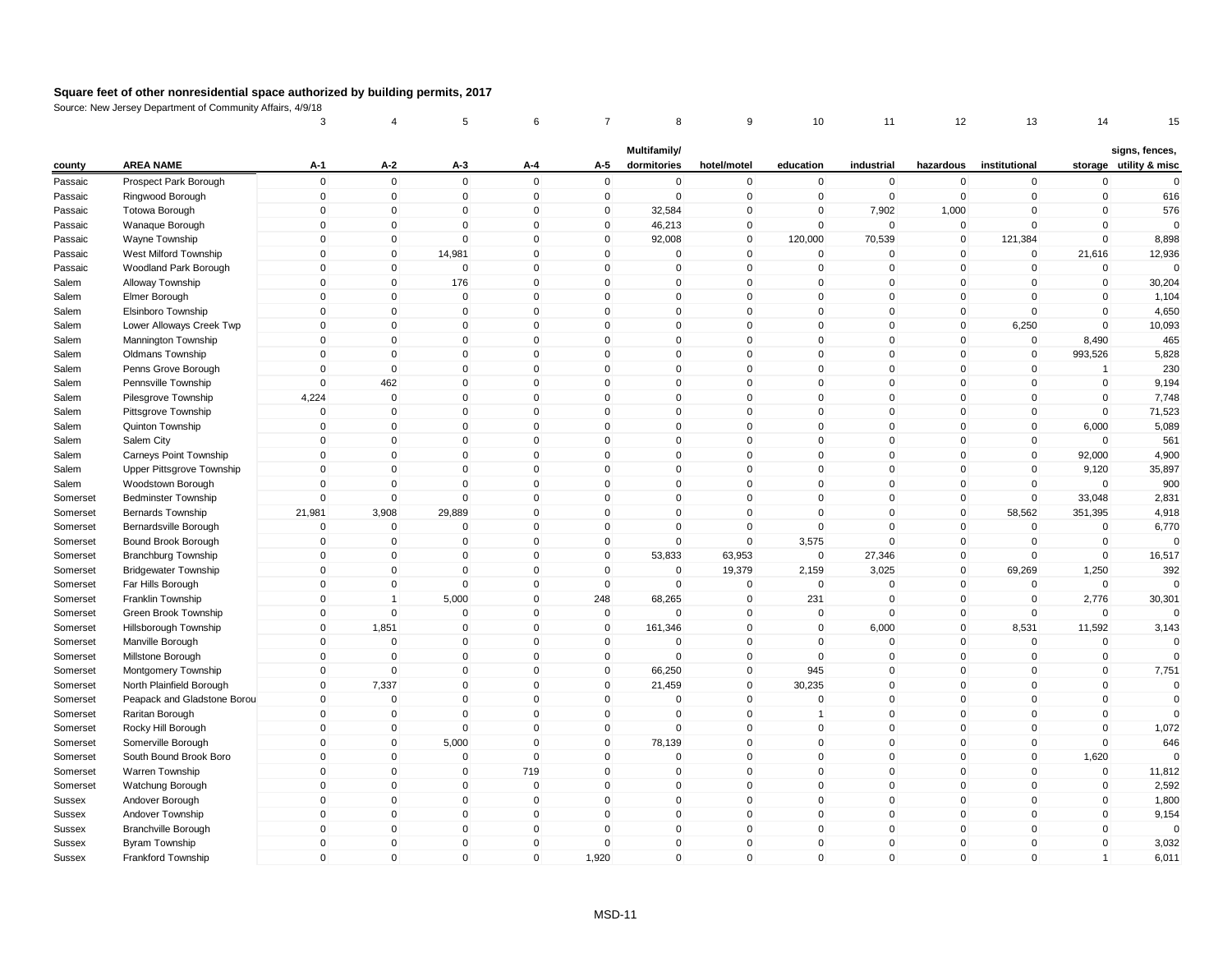|               |                             | 3           |                | 5              | 6            |              | 8                           | 9              | 10             | 11          | 12           | 13             | 14             | 15                                       |
|---------------|-----------------------------|-------------|----------------|----------------|--------------|--------------|-----------------------------|----------------|----------------|-------------|--------------|----------------|----------------|------------------------------------------|
| county        | <b>AREA NAME</b>            | $A-1$       | $A-2$          | $A-3$          | A-4          | A-5          | Multifamily/<br>dormitories | hotel/motel    | education      | industrial  | hazardous    | institutional  |                | signs, fences,<br>storage utility & misc |
| Passaic       | Prospect Park Borough       | $\mathsf 0$ | $\mathbf 0$    | $\mathbf 0$    | $\mathbf 0$  | $\mathbf 0$  | $\mathbf 0$                 | $\pmb{0}$      | $\mathbf 0$    | $\mathbf 0$ | $\mathbf 0$  | $\mathbf 0$    | $\mathbf 0$    | $\mathbf 0$                              |
| Passaic       | Ringwood Borough            | $\mathbf 0$ | $\overline{0}$ | $\mathbf 0$    | $\mathbf 0$  | $\mathbf 0$  | $\mathbf 0$                 | $\mathbf 0$    | $\mathbf 0$    | $\mathbf 0$ | $\mathbf 0$  | $\overline{0}$ | $\mathbf 0$    | 616                                      |
| Passaic       | Totowa Borough              | $\mathbf 0$ | $\mathbf{0}$   | $\mathbf 0$    | $\pmb{0}$    | 0            | 32,584                      | $\mathbf 0$    | $\mathbf 0$    | 7,902       | 1,000        | $\mathbf{0}$   | $\mathbf 0$    | 576                                      |
| Passaic       | Wanaque Borough             | $\mathbf 0$ | $\mathbf{0}$   | $\Omega$       | $\mathbf 0$  | $\mathbf 0$  | 46,213                      | $\pmb{0}$      | $\mathbf 0$    | $\mathsf 0$ | $\mathbf 0$  | $\mathbf{0}$   | $\mathbf 0$    | $\Omega$                                 |
| Passaic       | Wayne Township              | $\mathbf 0$ | $\mathbf 0$    | $\overline{0}$ | $\mathbf 0$  | $\mathbf 0$  | 92,008                      | $\mathbf 0$    | 120,000        | 70,539      | $\mathbf 0$  | 121,384        | $\mathbf 0$    | 8,898                                    |
| Passaic       | West Milford Township       | $\mathbf 0$ | $\mathbf{0}$   | 14,981         | $\mathbf 0$  | $\Omega$     | $\Omega$                    | $\mathbf 0$    | $\mathbf 0$    | $\mathbf 0$ | $\mathbf 0$  | $\mathbf 0$    | 21,616         | 12,936                                   |
| Passaic       | Woodland Park Borough       | $\Omega$    | $\mathbf 0$    | $\mathbf 0$    | $\mathbf 0$  | $\Omega$     | $\mathbf{0}$                | $\mathbf 0$    | $\mathbf 0$    | $\mathbf 0$ | $\mathbf 0$  | $\mathbf 0$    | $\mathbf 0$    | $\Omega$                                 |
| Salem         | Alloway Township            | $\mathbf 0$ | $\mathbf 0$    | 176            | $\mathbf 0$  | $\mathbf 0$  | $\mathbf 0$                 | $\mathbf 0$    | $\mathbf 0$    | $\mathbf 0$ | $\mathbf 0$  | $\mathbf 0$    | $\mathbf 0$    | 30,204                                   |
| Salem         | Elmer Borough               | $\mathbf 0$ | $\mathbf{0}$   | $\mathbf 0$    | $\mathbf{0}$ | $\Omega$     | $\mathbf{0}$                | $\mathbf 0$    | $\mathbf 0$    | $\mathbf 0$ | $\mathbf 0$  | $\mathbf{0}$   | $\mathbf 0$    | 1,104                                    |
| Salem         | Elsinboro Township          | $\mathbf 0$ | $\mathbf 0$    | 0              | $\mathbf 0$  | $\mathbf 0$  | $\mathbf 0$                 | $\mathbf 0$    | $\mathbf 0$    | $\mathbf 0$ | $\mathbf 0$  | $\mathbf 0$    | $\mathbf 0$    | 4,650                                    |
| Salem         | Lower Alloways Creek Twp    | $\Omega$    | $\mathbf 0$    | $\Omega$       | $\Omega$     | $\Omega$     | $\mathbf 0$                 | $\pmb{0}$      | 0              | $\Omega$    | $\mathbf 0$  | 6,250          | $\Omega$       | 10,093                                   |
| Salem         | Mannington Township         | $\mathbf 0$ | $\mathbf 0$    | $\mathbf 0$    | $\mathbf 0$  | $\Omega$     | $\mathbf 0$                 | $\mathbf 0$    | $\mathbf 0$    | $\mathbf 0$ | $\mathbf 0$  | $\mathbf 0$    | 8,490          | 465                                      |
| Salem         | <b>Oldmans Township</b>     | $\mathbf 0$ | $\overline{0}$ | $\mathbf 0$    | $\mathbf 0$  | $\mathbf 0$  | $\mathbf 0$                 | $\mathbf 0$    | $\mathbf 0$    | $\mathbf 0$ | $\mathbf 0$  | $\overline{0}$ | 993,526        | 5,828                                    |
| Salem         | Penns Grove Borough         | $\Omega$    | $\mathbf{0}$   | $\Omega$       | $\mathbf{0}$ | $\Omega$     | $\mathbf{0}$                | $\mathbf 0$    | $\mathbf 0$    | $\mathbf 0$ | $\mathbf 0$  | $\mathbf{0}$   | $\overline{1}$ | 230                                      |
| Salem         | Pennsville Township         | $\mathbf 0$ | 462            | $\Omega$       | $\mathbf 0$  | $\Omega$     | $\mathbf{0}$                | $\pmb{0}$      | $\mathbf 0$    | $\mathbf 0$ | $\mathbf 0$  | $\mathbf{0}$   | $\mathbf 0$    | 9,194                                    |
| Salem         | Pilesgrove Township         | 4,224       | $\mathbf 0$    | $\mathbf 0$    | $\mathbf 0$  | $\mathbf 0$  | $\mathbf 0$                 | $\mathbf 0$    | $\mathsf 0$    | $\mathbf 0$ | $\mathbf 0$  | $\mathbf 0$    | $\mathbf 0$    | 7,748                                    |
| Salem         | Pittsgrove Township         | $\mathbf 0$ | $\mathbf 0$    | $\mathbf 0$    | $\mathbf 0$  | $\mathbf 0$  | $\mathbf 0$                 | $\mathbf 0$    | $\mathbf 0$    | $\mathbf 0$ | $\mathbf 0$  | $\mathbf 0$    | $\mathbf 0$    | 71,523                                   |
| Salem         | Quinton Township            | $\mathbf 0$ | $\overline{0}$ | $\mathbf 0$    | $\mathbf 0$  | $\mathbf 0$  | $\mathbf 0$                 | $\mathbf 0$    | $\mathbf 0$    | $\mathbf 0$ | $\mathbf 0$  | $\mathbf 0$    | 6,000          | 5,089                                    |
| Salem         | Salem City                  | $\Omega$    | $\Omega$       | 0              | $\mathbf 0$  | $\Omega$     | 0                           | $\pmb{0}$      | 0              | $\mathbf 0$ | 0            | 0              | $\Omega$       | 561                                      |
| Salem         | Carneys Point Township      | $\Omega$    | $\Omega$       | $\Omega$       | $\mathbf 0$  | $\Omega$     | $\mathbf{0}$                | $\pmb{0}$      | $\mathbf 0$    | $\mathbf 0$ | $\mathbf 0$  | $\mathbf 0$    | 92,000         | 4,900                                    |
| Salem         | Upper Pittsgrove Township   | $\Omega$    | $\overline{0}$ | $\mathbf 0$    | $\mathbf 0$  | $\mathbf 0$  | $\mathbf 0$                 | $\mathbf 0$    | $\mathbf 0$    | $\mathbf 0$ | $\mathbf 0$  | $\mathbf 0$    | 9,120          | 35,897                                   |
| Salem         | Woodstown Borough           | $\Omega$    | 0              | $\Omega$       | $\mathbf{0}$ | $\Omega$     | $\mathbf{0}$                | $\mathbf 0$    | $\mathbf 0$    | $\Omega$    | 0            | $\mathbf{0}$   | $\mathbf 0$    | 900                                      |
| Somerset      | <b>Bedminster Township</b>  | $\mathbf 0$ | $\mathbf 0$    | $\mathbf 0$    | $\mathbf{0}$ | $\Omega$     | $\mathbf{0}$                | $\mathbf{0}$   | $\mathbf 0$    | $\mathbf 0$ | $\mathbf 0$  | $\mathbf 0$    | 33,048         | 2,831                                    |
| Somerset      | <b>Bernards Township</b>    | 21,981      | 3,908          | 29,889         | $\mathbf 0$  | 0            | $\mathbf 0$                 | $\mathbf 0$    | $\Omega$       | $\mathbf 0$ | $\mathbf 0$  | 58,562         | 351,395        | 4,918                                    |
| Somerset      | Bernardsville Borough       | $\mathsf 0$ | $\mathbf 0$    | $\mathbf 0$    | $\mathbf{0}$ | $\Omega$     | $\mathbf{0}$                | $\mathbf 0$    | $\mathbf 0$    | $\mathbf 0$ | $\mathbf 0$  | $\mathbf 0$    | $\mathbf 0$    | 6,770                                    |
| Somerset      | Bound Brook Borough         | $\mathbf 0$ | $\mathbf 0$    | $\mathbf 0$    | $\mathbf 0$  | $\mathbf 0$  | $\mathbf 0$                 | $\mathbf 0$    | 3,575          | $\mathsf 0$ | $\mathbf 0$  | $\mathbf 0$    | $\mathbf 0$    | $\Omega$                                 |
| Somerset      | <b>Branchburg Township</b>  | $\mathbf 0$ | $\mathbf 0$    | 0              | $\mathbf 0$  | $\mathbf 0$  | 53,833                      | 63,953         | $\mathbf 0$    | 27,346      | $\mathbf 0$  | $\mathbf 0$    | $\mathbf 0$    | 16,517                                   |
| Somerset      | <b>Bridgewater Township</b> | $\Omega$    | $\Omega$       | $\mathbf 0$    | $\mathbf{0}$ | $\Omega$     | $\mathbf{0}$                | 19,379         | 2,159          | 3,025       | $\mathbf 0$  | 69,269         | 1,250          | 392                                      |
| Somerset      | Far Hills Borough           | $\mathsf 0$ | $\overline{0}$ | $\mathbf 0$    | $\mathbf 0$  | $\mathbf 0$  | $\mathbf 0$                 | $\pmb{0}$      | $\mathbf 0$    | $\mathbf 0$ | $\mathbf 0$  | $\mathbf 0$    | $\mathbf 0$    | $\Omega$                                 |
| Somerset      | Franklin Township           | $\Omega$    | 1              | 5,000          | $\mathbf 0$  | 248          | 68,265                      | $\mathbf 0$    | 231            | $\mathbf 0$ | $\mathbf 0$  | $\mathbf 0$    | 2,776          | 30,301                                   |
| Somerset      | Green Brook Township        | $\mathbf 0$ | $\mathbf 0$    | $\mathbf 0$    | $\mathbf 0$  | $\mathbf 0$  | $\Omega$                    | $\mathbf 0$    | 0              | $\mathbf 0$ | $\mathbf 0$  | $\mathbf 0$    | $\mathbf 0$    |                                          |
| Somerset      | Hillsborough Township       | $\Omega$    | 1,851          | $\mathbf 0$    | $\mathbf{0}$ | $\mathbf 0$  | 161,346                     | $\mathbf 0$    | $\mathbf 0$    | 6,000       | $\mathbf 0$  | 8,531          | 11,592         | 3,143                                    |
| Somerset      | Manville Borough            | $\mathsf 0$ | $\mathbf 0$    | $\mathbf 0$    | $\mathbf 0$  | $\mathbf 0$  | $\mathbf 0$                 | $\mathbf 0$    | $\mathbf 0$    | $\mathsf 0$ | $\mathbf 0$  | $\mathbf 0$    | $\mathbf 0$    | $\Omega$                                 |
| Somerset      | Millstone Borough           | $\mathbf 0$ | $\mathbf 0$    | $\mathbf 0$    | $\mathbf{0}$ | $\mathbf 0$  | $\mathbf 0$                 | $\mathbf 0$    | $\mathbf 0$    | $\mathbf 0$ | $\mathbf 0$  | $\mathbf 0$    | $\mathbf 0$    | $\Omega$                                 |
| Somerset      | Montgomery Township         | 0           | $\mathbf 0$    | 0              | $\mathbf 0$  | 0            | 66,250                      | $\mathbf 0$    | 945            | $\mathbf 0$ | $\mathbf 0$  | 0              | $\pmb{0}$      | 7,751                                    |
| Somerset      | North Plainfield Borough    | $\Omega$    | 7,337          | $\Omega$       | $\mathbf{0}$ | $\mathbf{0}$ | 21,459                      | $\mathbf 0$    | 30,235         | $\Omega$    | $\mathbf{0}$ | $\mathbf{0}$   | $\mathbf 0$    | $\mathbf 0$                              |
| Somerset      | Peapack and Gladstone Borou | $\mathbf 0$ | $\overline{0}$ | $\mathbf 0$    | $\mathbf 0$  | $\mathbf 0$  | $\mathbf 0$                 | $\mathbf 0$    | $\mathbf 0$    | $\mathbf 0$ | $\mathbf 0$  | $\mathbf 0$    | $\mathbf 0$    | $\mathbf 0$                              |
| Somerset      | Raritan Borough             | $\mathbf 0$ | $\mathbf 0$    | $\mathbf 0$    | $\mathbf 0$  | $\mathbf 0$  | $\mathbf 0$                 | $\pmb{0}$      | $\overline{1}$ | $\mathbf 0$ | $\mathbf 0$  | $\mathbf 0$    | $\mathbf 0$    | $\Omega$                                 |
| Somerset      | Rocky Hill Borough          | $\Omega$    | $\mathbf 0$    | $\mathbf 0$    | $\mathbf{0}$ | $\Omega$     | $\mathbf 0$                 | $\mathbf 0$    | $\mathbf 0$    | $\mathbf 0$ | $\mathbf{0}$ | $\mathbf{0}$   | $\mathbf 0$    | 1,072                                    |
| Somerset      | Somerville Borough          | $\mathbf 0$ | $\mathbf 0$    | 5,000          | $\mathbf 0$  | $\mathbf 0$  | 78,139                      | $\mathbf 0$    | $\mathbf 0$    | $\mathbf 0$ | $\mathbf 0$  | $\mathbf 0$    | $\mathbf 0$    | 646                                      |
| Somerset      | South Bound Brook Boro      | $\mathbf 0$ | $\mathbf{0}$   | $\mathbf{0}$   | $\mathbf{0}$ | $\Omega$     | $\mathbf{0}$                | $\mathbf{0}$   | $\mathbf 0$    | $\Omega$    | $\mathbf{0}$ | $\mathbf{0}$   | 1,620          | $\Omega$                                 |
| Somerset      | Warren Township             | $\mathbf 0$ | $\mathbf 0$    | $\mathbf 0$    | 719          | $\mathbf 0$  | $\mathbf 0$                 | $\mathbf 0$    | $\mathbf 0$    | $\mathbf 0$ | $\mathbf 0$  | $\mathbf 0$    | $\mathbf 0$    | 11,812                                   |
| Somerset      | Watchung Borough            | $\mathbf 0$ | $\mathbf 0$    | $\mathbf 0$    | $\mathbf 0$  | $\mathbf 0$  | $\mathbf 0$                 | $\mathbf 0$    | $\mathbf 0$    | $\mathbf 0$ | $\mathbf 0$  | $\mathbf 0$    | $\mathbf 0$    | 2,592                                    |
| Sussex        | Andover Borough             | $\mathbf 0$ | $\mathbf 0$    | $\mathbf 0$    | $\mathbf 0$  | $\Omega$     | $\mathbf 0$                 | $\pmb{0}$      | $\mathbf 0$    | $\mathbf 0$ | $\mathbf 0$  | $\mathbf 0$    | $\mathbf 0$    | 1,800                                    |
| <b>Sussex</b> | Andover Township            | $\mathbf 0$ | $\mathbf 0$    | $\mathbf 0$    | $\mathbf 0$  | $\mathbf 0$  | $\mathbf 0$                 | $\mathbf 0$    | $\mathbf 0$    | $\mathbf 0$ | $\mathbf 0$  | $\mathbf 0$    | $\mathbf 0$    | 9,154                                    |
| Sussex        | <b>Branchville Borough</b>  | $\mathbf 0$ | $\mathbf 0$    | $\mathbf 0$    | $\mathbf 0$  | $\Omega$     | $\mathbf 0$                 | $\overline{0}$ | $\mathbf 0$    | $\mathbf 0$ | $\mathbf 0$  | $\mathbf 0$    | $\mathbf 0$    | $\mathbf 0$                              |
| Sussex        | <b>Byram Township</b>       | $\Omega$    | $\mathbf{0}$   | 0              | $\mathbf{0}$ | $\Omega$     | $\mathbf{0}$                | $\pmb{0}$      | $\mathbf 0$    | $\mathbf 0$ | $\mathbf 0$  | $\mathbf{0}$   | $\mathbf 0$    | 3,032                                    |
| Sussex        | Frankford Township          | $\Omega$    | $\mathbf{0}$   | $\mathbf{0}$   | $\mathbf{0}$ | 1,920        | $\mathbf{0}$                | $\mathbf 0$    | $\mathbf{0}$   | $\Omega$    | $\mathbf{0}$ | $\mathbf{0}$   | $\overline{1}$ | 6,011                                    |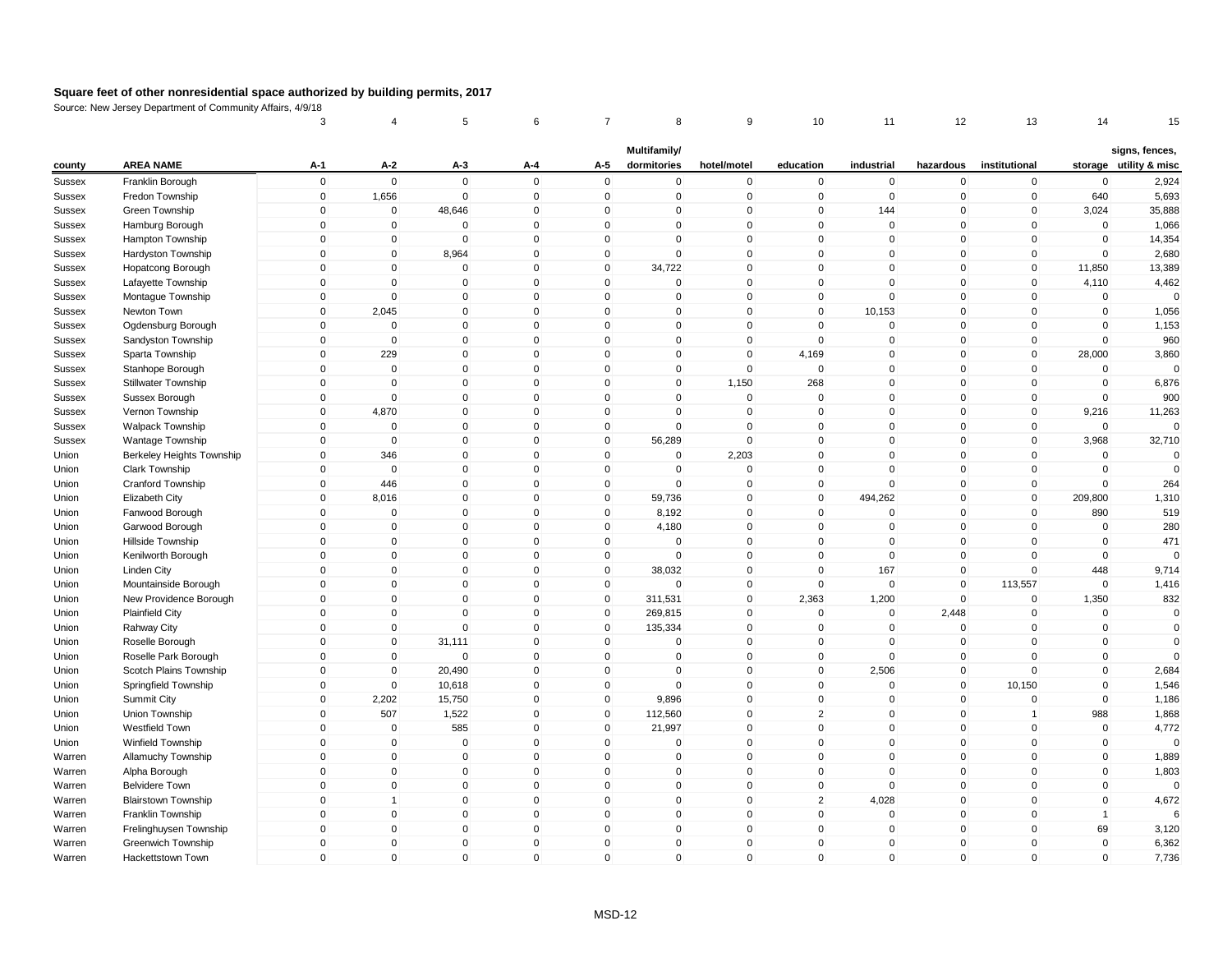|               |                            | 3           | 4              | 5           | 6            | 7            | 8                           | 9              | 10             | 11          | 12           | 13             | 14             | 15                                       |
|---------------|----------------------------|-------------|----------------|-------------|--------------|--------------|-----------------------------|----------------|----------------|-------------|--------------|----------------|----------------|------------------------------------------|
| county        | <b>AREA NAME</b>           | $A-1$       | $A-2$          | $A-3$       | A-4          | A-5          | Multifamily/<br>dormitories | hotel/motel    | education      | industrial  | hazardous    | institutional  |                | signs, fences,<br>storage utility & misc |
| Sussex        | Franklin Borough           | $\mathsf 0$ | $\mathbf 0$    | $\mathbf 0$ | $\mathbf 0$  | $\mathbf 0$  | $\mathbf 0$                 | $\pmb{0}$      | $\mathbf 0$    | $\mathbf 0$ | $\mathbf 0$  | $\mathbf 0$    | $\mathbf 0$    | 2,924                                    |
| Sussex        | Fredon Township            | $\mathsf 0$ | 1,656          | $\mathbf 0$ | $\mathbf 0$  | $\mathbf 0$  | $\mathbf 0$                 | $\mathbf 0$    | $\mathbf 0$    | $\mathbf 0$ | $\mathbf 0$  | $\overline{0}$ | 640            | 5,693                                    |
| Sussex        | Green Township             | $\mathbf 0$ | $\mathbf{0}$   | 48,646      | $\pmb{0}$    | $\Omega$     | 0                           | $\mathbf 0$    | 0              | 144         | 0            | 0              | 3,024          | 35,888                                   |
| Sussex        | Hamburg Borough            | $\mathsf 0$ | $\mathbf 0$    | $\mathbf 0$ | $\mathbf 0$  | $\mathbf{0}$ | $\mathbf{0}$                | $\pmb{0}$      | $\mathbf 0$    | $\mathbf 0$ | $\mathbf{0}$ | $\mathbf 0$    | $\mathbf 0$    | 1,066                                    |
| Sussex        | Hampton Township           | $\mathbf 0$ | $\overline{0}$ | $\mathbf 0$ | $\mathbf 0$  | $\mathbf 0$  | $\mathbf 0$                 | $\mathbf 0$    | $\mathbf 0$    | $\mathbf 0$ | $\mathbf 0$  | $\mathbf 0$    | $\mathbf 0$    | 14,354                                   |
| <b>Sussex</b> | Hardyston Township         | $\mathsf 0$ | $\mathbf 0$    | 8,964       | $\mathbf{0}$ | $\mathbf{0}$ | $\mathbf{0}$                | $\mathbf 0$    | $\mathbf 0$    | $\mathbf 0$ | $\mathbf 0$  | $\mathbf{0}$   | $\mathbf 0$    | 2,680                                    |
| Sussex        | Hopatcong Borough          | $\Omega$    | $\mathbf 0$    | $\mathbf 0$ | $\mathbf 0$  | $\Omega$     | 34,722                      | $\mathbf 0$    | $\mathbf 0$    | $\mathbf 0$ | $\mathbf 0$  | $\mathbf 0$    | 11,850         | 13,389                                   |
| Sussex        | Lafayette Township         | $\mathsf 0$ | $\mathbf 0$    | 0           | $\mathbf 0$  | $\mathbf 0$  | 0                           | $\mathbf 0$    | $\mathbf 0$    | $\mathbf 0$ | $\mathbf 0$  | $\mathbf 0$    | 4,110          | 4,462                                    |
| Sussex        | Montague Township          | $\mathsf 0$ | $\mathbf{0}$   | $\mathbf 0$ | $\mathbf{0}$ | $\Omega$     | $\mathbf 0$                 | $\mathbf 0$    | $\mathbf 0$    | $\mathbf 0$ | $\mathbf 0$  | $\mathbf 0$    | $\mathbf 0$    | $\mathbf 0$                              |
| Sussex        | Newton Town                | $\pmb{0}$   | 2,045          | 0           | $\mathbf 0$  | $\mathbf 0$  | $\mathbf 0$                 | $\mathbf 0$    | $\mathbf 0$    | 10,153      | $\mathbf 0$  | $\mathbf 0$    | $\mathbf 0$    | 1,056                                    |
| Sussex        | Ogdensburg Borough         | 0           | $\mathbf 0$    | $\Omega$    | $\mathbf 0$  | $\Omega$     | $\mathbf 0$                 | $\pmb{0}$      | 0              | $\mathbf 0$ | 0            | $\mathbf 0$    | $\mathbf 0$    | 1,153                                    |
| Sussex        | Sandyston Township         | $\mathsf 0$ | $\mathbf{0}$   | $\mathbf 0$ | $\mathbf 0$  | $\mathbf 0$  | $\mathbf 0$                 | $\mathbf 0$    | $\mathbf 0$    | $\mathbf 0$ | $\mathbf 0$  | $\overline{0}$ | $\mathbf 0$    | 960                                      |
| Sussex        | Sparta Township            | $\mathsf 0$ | 229            | $\mathbf 0$ | $\mathbf 0$  | $\mathbf 0$  | $\mathbf 0$                 | $\mathbf 0$    | 4,169          | $\mathbf 0$ | $\mathbf 0$  | $\mathbf 0$    | 28,000         | 3,860                                    |
| Sussex        | Stanhope Borough           | $\Omega$    | $\overline{0}$ | $\mathbf 0$ | $\mathbf{0}$ | $\Omega$     | $\mathbf 0$                 | $\mathbf 0$    | $\mathbf 0$    | $\mathbf 0$ | $\mathbf 0$  | $\mathbf{0}$   | $\mathbf 0$    | $\Omega$                                 |
| Sussex        | Stillwater Township        | $\mathsf 0$ | $\Omega$       | $\mathbf 0$ | $\mathbf{0}$ | $\Omega$     | $\mathbf{0}$                | 1,150          | 268            | $\mathbf 0$ | $\mathbf 0$  | $\mathbf 0$    | $\mathbf 0$    | 6,876                                    |
| Sussex        | Sussex Borough             | $\mathsf 0$ | $\overline{0}$ | $\mathbf 0$ | $\mathbf 0$  | $\mathbf 0$  | $\mathbf 0$                 | $\mathbf 0$    | $\mathbf 0$    | $\mathbf 0$ | $\mathbf 0$  | $\mathbf 0$    | $\mathbf 0$    | 900                                      |
| <b>Sussex</b> | Vernon Township            | $\mathsf 0$ | 4,870          | $\mathbf 0$ | $\mathbf 0$  | $\mathbf 0$  | $\mathbf 0$                 | $\mathbf 0$    | $\mathsf 0$    | $\mathbf 0$ | $\mathbf 0$  | $\mathbf 0$    | 9,216          | 11,263                                   |
| Sussex        | Walpack Township           | $\mathsf 0$ | $\overline{0}$ | $\mathbf 0$ | $\mathbf 0$  | $\mathbf 0$  | $\mathbf 0$                 | $\mathbf 0$    | $\mathbf 0$    | $\mathbf 0$ | $\mathbf 0$  | $\mathbf 0$    | $\mathbf 0$    | $\Omega$                                 |
| Sussex        | Wantage Township           | 0           | $\mathbf 0$    | 0           | $\mathbf 0$  | 0            | 56,289                      | $\pmb{0}$      | 0              | $\mathbf 0$ | 0            | $\mathbf 0$    | 3,968          | 32,710                                   |
| Union         | Berkeley Heights Township  | $\mathbf 0$ | 346            | $\mathbf 0$ | $\mathbf 0$  | $\mathbf{0}$ | $\mathbf 0$                 | 2,203          | $\mathbf 0$    | $\mathbf 0$ | $\mathbf 0$  | $\mathbf{0}$   | $\mathbf 0$    | $\mathbf 0$                              |
| Union         | Clark Township             | $\mathbf 0$ | $\mathbf 0$    | $\mathbf 0$ | $\mathbf 0$  | $\mathbf 0$  | $\mathbf 0$                 | $\mathbf 0$    | $\mathbf 0$    | $\mathbf 0$ | $\mathbf 0$  | $\mathbf 0$    | $\mathbf 0$    | $\mathbf 0$                              |
| Union         | Cranford Township          | $\mathbf 0$ | 446            | $\Omega$    | $\mathbf{0}$ | $\mathbf{0}$ | $\Omega$                    | $\Omega$       | 0              | $\mathbf 0$ | 0            | $\mathbf{0}$   | $\Omega$       | 264                                      |
| Union         | Elizabeth City             | $\Omega$    | 8,016          | $\Omega$    | $\mathbf{0}$ | $\Omega$     | 59,736                      | $\pmb{0}$      | $\mathbf 0$    | 494,262     | $\mathbf 0$  | $\mathbf{0}$   | 209,800        | 1,310                                    |
| Union         | Fanwood Borough            | $\mathsf 0$ | $\mathbf 0$    | 0           | $\mathbf 0$  | 0            | 8,192                       | $\mathbf 0$    | $\mathbf 0$    | $\mathbf 0$ | 0            | $\mathbf 0$    | 890            | 519                                      |
| Union         | Garwood Borough            | $\mathsf 0$ | $\mathbf 0$    | $\mathbf 0$ | $\mathbf{0}$ | $\Omega$     | 4,180                       | $\mathbf 0$    | $\mathbf{0}$   | $\mathbf 0$ | $\mathbf 0$  | $\mathbf 0$    | $\mathbf 0$    | 280                                      |
| Union         | Hillside Township          | $\mathsf 0$ | $\mathbf 0$    | 0           | $\mathbf 0$  | $\mathbf 0$  | $\mathbf 0$                 | $\mathbf 0$    | $\mathbf 0$    | $\mathbf 0$ | $\mathbf 0$  | $\mathbf 0$    | $\mathbf 0$    | 471                                      |
| Union         | Kenilworth Borough         | $\mathsf 0$ | $\mathbf 0$    | $\mathbf 0$ | $\mathbf 0$  | $\mathbf 0$  | $\mathbf 0$                 | $\mathbf 0$    | $\mathbf 0$    | $\mathbf 0$ | $\mathbf 0$  | $\mathbf 0$    | $\mathbf 0$    | $\Omega$                                 |
| Union         | <b>Linden City</b>         | $\Omega$    | $\Omega$       | $\mathbf 0$ | $\mathbf{0}$ | $\mathbf 0$  | 38,032                      | $\mathbf 0$    | $\mathbf 0$    | 167         | $\mathbf 0$  | $\mathbf{0}$   | 448            | 9,714                                    |
| Union         | Mountainside Borough       | $\mathbf 0$ | $\overline{0}$ | $\mathbf 0$ | $\mathbf 0$  | $\mathbf 0$  | $\mathbf 0$                 | $\overline{0}$ | $\mathbf 0$    | $\mathbf 0$ | $\mathbf 0$  | 113,557        | $\mathbf 0$    | 1,416                                    |
| Union         | New Providence Borough     | $\Omega$    | $\mathbf 0$    | $\mathbf 0$ | $\mathbf 0$  | $\mathbf 0$  | 311,531                     | $\overline{0}$ | 2,363          | 1,200       | $\mathbf 0$  | $\mathbf 0$    | 1,350          | 832                                      |
| Union         | <b>Plainfield City</b>     | $\mathbf 0$ | $\mathbf 0$    | $\Omega$    | $\mathbf 0$  | $\mathbf 0$  | 269,815                     | $\mathbf 0$    | $\mathbf 0$    | $\mathbf 0$ | 2,448        | $\mathbf 0$    | $\mathbf 0$    | $\mathbf 0$                              |
| Union         | Rahway City                | $\mathbf 0$ | $\mathbf 0$    | $\mathbf 0$ | $\mathbf{0}$ | $\mathbf 0$  | 135,334                     | $\mathbf 0$    | $\mathsf 0$    | $\mathbf 0$ | 0            | $\mathbf{0}$   | $\mathbf 0$    | $\mathbf 0$                              |
| Union         | Roselle Borough            | $\mathsf 0$ | $\mathbf 0$    | 31,111      | $\mathbf 0$  | $\mathbf 0$  | $\mathbf 0$                 | $\mathbf 0$    | $\mathsf 0$    | $\mathbf 0$ | $\mathbf 0$  | $\mathbf 0$    | $\mathbf 0$    | $\Omega$                                 |
| Union         | Roselle Park Borough       | $\mathbf 0$ | $\mathbf 0$    | $\mathbf 0$ | $\mathbf 0$  | $\mathbf 0$  | $\mathbf 0$                 | $\mathbf 0$    | $\mathbf 0$    | $\mathbf 0$ | $\mathbf 0$  | $\mathbf 0$    | $\mathbf 0$    | $\Omega$                                 |
| Union         | Scotch Plains Township     | 0           | 0              | 20,490      | $\mathbf 0$  | 0            | $\mathbf 0$                 | $\mathbf 0$    | 0              | 2,506       | 0            | $\mathbf 0$    | $\pmb{0}$      | 2,684                                    |
| Union         | Springfield Township       | $\mathbf 0$ | $\mathbf 0$    | 10,618      | $\mathbf{0}$ | $\mathbf{0}$ | $\mathbf{0}$                | $\mathbf 0$    | $\mathbf 0$    | $\mathbf 0$ | $\mathbf{0}$ | 10,150         | $\mathbf 0$    | 1,546                                    |
| Union         | Summit City                | $\mathbf 0$ | 2,202          | 15,750      | $\mathbf 0$  | $\mathbf 0$  | 9,896                       | $\mathbf 0$    | $\mathbf 0$    | $\mathbf 0$ | $\mathbf 0$  | $\mathbf 0$    | $\mathbf 0$    | 1,186                                    |
| Union         | Union Township             | $\mathsf 0$ | 507            | 1,522       | $\mathbf 0$  | $\mathbf 0$  | 112,560                     | $\mathbf 0$    | $\overline{2}$ | $\mathbf 0$ | $\mathbf 0$  | $\mathbf{1}$   | 988            | 1,868                                    |
| Union         | Westfield Town             | $\Omega$    | $\overline{0}$ | 585         | $\mathbf 0$  | $\Omega$     | 21,997                      | $\mathbf 0$    | $\mathbf 0$    | $\mathbf 0$ | $\mathbf 0$  | $\mathbf{0}$   | $\mathbf 0$    | 4,772                                    |
| Union         | Winfield Township          | $\mathsf 0$ | $\mathbf 0$    | $\mathbf 0$ | $\mathbf 0$  | $\mathbf 0$  | 0                           | $\mathbf 0$    | $\mathbf 0$    | $\mathsf 0$ | $\mathbf 0$  | $\mathbf 0$    | $\mathbf 0$    | $\Omega$                                 |
| Warren        | Allamuchy Township         | $\mathbf 0$ | $\mathbf{0}$   | $\Omega$    | $\mathbf{0}$ | $\Omega$     | $\mathbf{0}$                | $\mathbf{0}$   | $\mathbf 0$    | $\Omega$    | $\mathbf{0}$ | $\mathbf{0}$   | $\mathbf 0$    | 1,889                                    |
| Warren        | Alpha Borough              | $\mathsf 0$ | $\mathbf 0$    | $\mathbf 0$ | $\mathbf 0$  | $\mathbf 0$  | $\mathbf 0$                 | $\mathbf 0$    | $\mathbf 0$    | $\mathbf 0$ | $\mathbf 0$  | $\mathbf 0$    | $\mathbf 0$    | 1,803                                    |
| Warren        | <b>Belvidere Town</b>      | $\mathbf 0$ | $\mathbf 0$    | $\mathbf 0$ | $\mathbf 0$  | $\mathbf 0$  | $\mathbf 0$                 | $\mathbf 0$    | $\mathbf 0$    | $\mathbf 0$ | $\mathbf 0$  | $\mathbf 0$    | $\pmb{0}$      | $\mathbf 0$                              |
| Warren        | <b>Blairstown Township</b> | $\mathbf 0$ | 1              | $\mathbf 0$ | $\mathbf 0$  | $\mathbf 0$  | $\mathbf 0$                 | $\pmb{0}$      | $\overline{2}$ | 4,028       | $\mathbf 0$  | $\mathbf 0$    | $\mathbf 0$    | 4,672                                    |
| Warren        | Franklin Township          | $\mathsf 0$ | $\mathbf 0$    | $\mathbf 0$ | $\mathbf 0$  | $\mathbf 0$  | $\mathbf 0$                 | $\mathbf 0$    | $\mathbf 0$    | $\mathbf 0$ | $\mathbf 0$  | $\mathbf 0$    | $\overline{1}$ | 6                                        |
| Warren        | Frelinghuysen Township     | $\mathbf 0$ | $\mathbf 0$    | $\mathbf 0$ | $\mathbf 0$  | $\mathbf 0$  | $\mathbf 0$                 | $\overline{0}$ | $\mathbf 0$    | $\mathbf 0$ | $\mathbf 0$  | $\mathbf 0$    | 69             | 3,120                                    |
| Warren        | Greenwich Township         | $\mathbf 0$ | $\mathbf{0}$   | 0           | $\mathbf{0}$ | $\Omega$     | $\mathbf{0}$                | $\pmb{0}$      | $\mathbf 0$    | $\mathbf 0$ | $\mathbf 0$  | $\mathbf{0}$   | $\mathbf 0$    | 6,362                                    |
| Warren        | Hackettstown Town          | $\Omega$    | $\mathbf{0}$   | $\mathbf 0$ | $\mathbf 0$  | $\Omega$     | $\mathbf{0}$                | $\mathbf 0$    | $\mathbf{0}$   | $\mathbf 0$ | $\mathbf 0$  | $\mathbf{0}$   | $\mathbf 0$    | 7,736                                    |